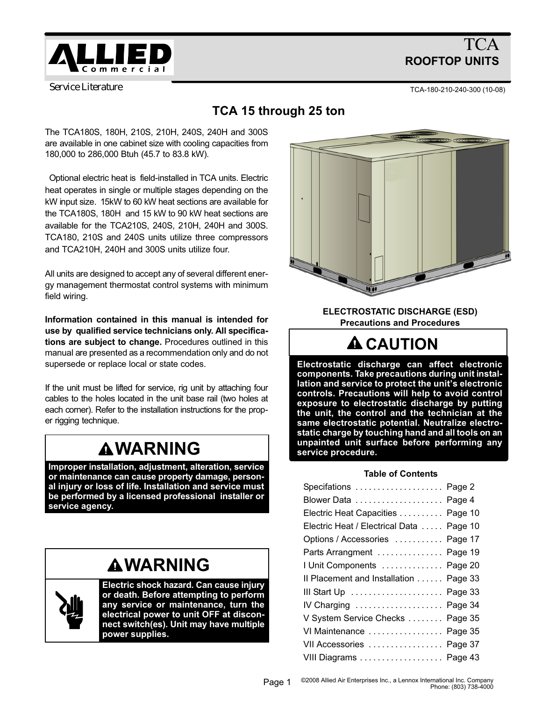

# TCA ROOFTOP UNITS

*Service Literature*

TCA−180−210−240−300 (10−08)

# TCA 15 through 25 ton

The TCA180S, 180H, 210S, 210H, 240S, 240H and 300S are available in one cabinet size with cooling capacities from 180,000 to 286,000 Btuh (45.7 to 83.8 kW).

 Optional electric heat is field−installed in TCA units. Electric heat operates in single or multiple stages depending on the kW input size. 15kW to 60 kW heat sections are available for the TCA180S, 180H and 15 kW to 90 kW heat sections are available for the TCA210S, 240S, 210H, 240H and 300S. TCA180, 210S and 240S units utilize three compressors and TCA210H, 240H and 300S units utilize four.

All units are designed to accept any of several different energy management thermostat control systems with minimum field wiring.

Information contained in this manual is intended for use by qualified service technicians only. All specifications are subject to change. Procedures outlined in this manual are presented as a recommendation only and do not supersede or replace local or state codes.

If the unit must be lifted for service, rig unit by attaching four cables to the holes located in the unit base rail (two holes at each corner). Refer to the installation instructions for the proper rigging technique.

# **AWARNING**

Improper installation, adjustment, alteration, service or maintenance can cause property damage, personal injury or loss of life. Installation and service must be performed by a licensed professional installer or service agency.

# **AWARNING**



Electric shock hazard. Can cause injury or death. Before attempting to perform any service or maintenance, turn the electrical power to unit OFF at disconnect switch(es). Unit may have multiple power supplies.



ELECTROSTATIC DISCHARGE (ESD) Precautions and Procedures

# **A** CAUTION

Electrostatic discharge can affect electronic components. Take precautions during unit installation and service to protect the unit's electronic controls. Precautions will help to avoid control exposure to electrostatic discharge by putting the unit, the control and the technician at the same electrostatic potential. Neutralize electrostatic charge by touching hand and all tools on an unpainted unit surface before performing any service procedure.

#### Table of Contents

| Specifations  Page 2                    |  |
|-----------------------------------------|--|
|                                         |  |
| Electric Heat Capacities Page 10        |  |
| Electric Heat / Electrical Data Page 10 |  |
| Options / Accessories  Page 17          |  |
| Parts Arrangment  Page 19               |  |
| I Unit Components Page 20               |  |
| Il Placement and Installation Page 33   |  |
| III Start Up  Page 33                   |  |
| IV Charging  Page 34                    |  |
| V System Service Checks Page 35         |  |
| VI Maintenance  Page 35                 |  |
| VII Accessories  Page 37                |  |
| VIII Diagrams Page 43                   |  |
|                                         |  |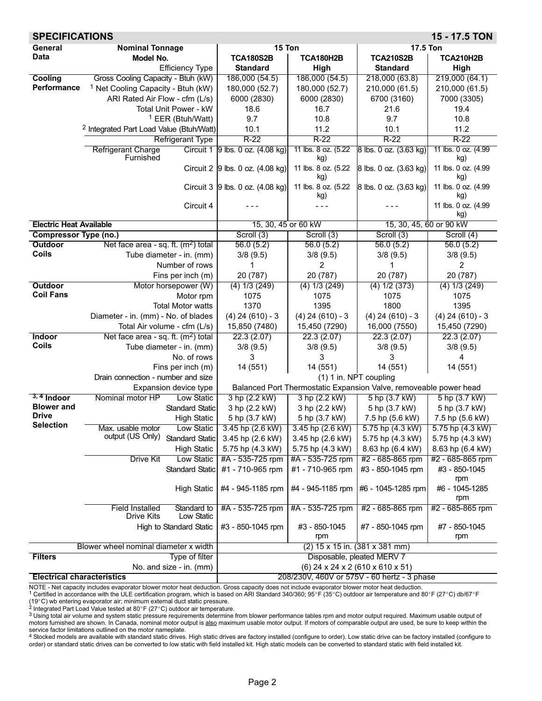<span id="page-1-0"></span>

| <b>SPECIFICATIONS</b>             |                                                                   |                                  |                            |                                                                   | 15 - 17.5 TON              |
|-----------------------------------|-------------------------------------------------------------------|----------------------------------|----------------------------|-------------------------------------------------------------------|----------------------------|
| General                           | <b>Nominal Tonnage</b>                                            | 15 Ton                           |                            | 17.5 Ton                                                          |                            |
| Data                              | Model No.                                                         | <b>TCA180S2B</b>                 | <b>TCA180H2B</b>           | <b>TCA210S2B</b>                                                  | <b>TCA210H2B</b>           |
|                                   | <b>Efficiency Type</b>                                            | <b>Standard</b>                  | High                       | <b>Standard</b>                                                   | High                       |
| Cooling                           | Gross Cooling Capacity - Btuh (kW)                                | 186,000 (54.5)                   | 186,000 (54.5)             | 218,000 (63.8)                                                    | 219,000 (64.1)             |
| Performance                       | <sup>1</sup> Net Cooling Capacity - Btuh (kW)                     | 180,000 (52.7)                   | 180,000 (52.7)             | 210,000 (61.5)                                                    | 210,000 (61.5)             |
|                                   | ARI Rated Air Flow - cfm (L/s)                                    | 6000 (2830)                      | 6000 (2830)                | 6700 (3160)                                                       | 7000 (3305)                |
|                                   | Total Unit Power - kW                                             | 18.6                             | 16.7                       | 21.6                                                              | 19.4                       |
|                                   | <sup>1</sup> EER (Btuh/Watt)                                      | 9.7                              | 10.8                       | 9.7                                                               | 10.8                       |
|                                   | <sup>2</sup> Integrated Part Load Value (Btuh/Watt)               | 10.1                             | 11.2                       | 10.1                                                              | 11.2                       |
|                                   | <b>Refrigerant Type</b>                                           | $R-22$                           | $R-22$                     | $R-22$                                                            | $R-22$                     |
|                                   | <b>Refrigerant Charge</b><br>Furnished                            | Circuit 1 9 lbs. 0 oz. (4.08 kg) | 11 lbs. 8 oz. (5.22<br>kg) | 8 lbs. 0 oz. (3.63 kg)                                            | 11 lbs. 0 oz. (4.99<br>kg) |
|                                   |                                                                   | Circuit 2 9 lbs. 0 oz. (4.08 kg) | 11 lbs. 8 oz. (5.22<br>ka) | 8 lbs. 0 oz. (3.63 kg)                                            | 11 lbs. 0 oz. (4.99<br>kg) |
|                                   |                                                                   | Circuit 3 9 lbs. 0 oz. (4.08 kg) | 11 lbs. 8 oz. (5.22<br>kg) | 8 lbs. 0 oz. (3.63 kg)                                            | 11 lbs. 0 oz. (4.99<br>kg) |
|                                   | Circuit 4                                                         |                                  |                            |                                                                   | 11 lbs. 0 oz. (4.99<br>kg) |
| <b>Electric Heat Available</b>    |                                                                   | 15, 30, 45 or 60 kW              |                            | 15, 30, 45, 60 or 90 kW                                           |                            |
| <b>Compressor Type (no.)</b>      |                                                                   | Scroll (3)                       | Scroll (3)                 | Scroll (3)                                                        | Scroll (4)                 |
| <b>Outdoor</b>                    | Net face area - sq. ft. $(m2)$ total                              | 56.0(5.2)                        | 56.0(5.2)                  | 56.0(5.2)                                                         | 56.0(5.2)                  |
| <b>Coils</b>                      | Tube diameter - in. (mm)                                          | 3/8(9.5)                         | 3/8(9.5)                   | 3/8(9.5)                                                          | 3/8(9.5)                   |
|                                   | Number of rows                                                    |                                  | 2                          |                                                                   | 2                          |
|                                   | Fins per inch (m)                                                 | 20 (787)                         | 20 (787)                   | 20 (787)                                                          | 20 (787)                   |
| <b>Outdoor</b>                    | Motor horsepower (W)                                              | $(4)$ 1/3 $(249)$                | $(4)$ 1/3 $(249)$          | $(4)$ 1/2 $(373)$                                                 | $(4)$ 1/3 $(249)$          |
| <b>Coil Fans</b>                  | Motor rpm                                                         | 1075                             | 1075                       | 1075                                                              | 1075                       |
|                                   | <b>Total Motor watts</b>                                          | 1370                             | 1395                       | 1800                                                              | 1395                       |
|                                   | Diameter - in. (mm) - No. of blades                               | $(4)$ 24 $(610)$ - 3             | $(4)$ 24 $(610)$ - 3       | $(4)$ 24 $(610) - 3$                                              | $(4)$ 24 $(610) - 3$       |
|                                   | Total Air volume - cfm (L/s)                                      | 15,850 (7480)                    | 15,450 (7290)              | 16,000 (7550)                                                     | 15,450 (7290)              |
| Indoor                            | Net face area - sq. ft. $(m2)$ total                              | 22.3(2.07)                       | 22.3(2.07)                 | 22.3(2.07)                                                        | 22.3(2.07)                 |
| <b>Coils</b>                      | Tube diameter - in. (mm)                                          | 3/8(9.5)                         | 3/8(9.5)                   | 3/8(9.5)                                                          | 3/8(9.5)                   |
|                                   | No. of rows                                                       | 3                                | 3                          | 3                                                                 | 4                          |
|                                   | Fins per inch (m)                                                 | 14 (551)                         | 14 (551)                   | 14 (551)                                                          | 14 (551)                   |
|                                   | Drain connection - number and size                                |                                  |                            | (1) 1 in. NPT coupling                                            |                            |
|                                   | Expansion device type                                             |                                  |                            | Balanced Port Thermostatic Expansion Valve, removeable power head |                            |
| $3, 4$ Indoor                     | Nominal motor HP<br><b>Low Static</b>                             | 3 hp (2.2 kW)                    | 3 hp (2.2 kW)              | 5 hp (3.7 kW)                                                     | 5 hp (3.7 kW)              |
| <b>Blower</b> and                 | <b>Standard Static</b>                                            | 3 hp (2.2 kW)                    | 3 hp (2.2 kW)              | 5 hp (3.7 kW)                                                     | 5 hp (3.7 kW)              |
| <b>Drive</b><br><b>Selection</b>  | <b>High Static</b>                                                | 5 hp (3.7 kW)                    | 5 hp (3.7 kW)              | 7.5 hp (5.6 kW)                                                   | 7.5 hp (5.6 kW)            |
|                                   | Low Static<br>Max. usable motor                                   | 3.45 hp (2.6 kW)                 | 3.45 hp $(2.6 \text{ kW})$ | 5.75 hp (4.3 kW)                                                  | 5.75 hp (4.3 kW)           |
|                                   | output (US Only)<br><b>Standard Static</b>                        | 3.45 hp (2.6 kW)                 | 3.45 hp (2.6 kW)           | 5.75 hp (4.3 kW)                                                  | 5.75 hp (4.3 kW)           |
|                                   | <b>High Static</b>                                                | 5.75 hp (4.3 kW)                 | 5.75 hp (4.3 kW)           | 8.63 hp (6.4 kW)                                                  | 8.63 hp (6.4 kW)           |
|                                   | Low Static<br>Drive Kit                                           | #A - 535-725 rpm                 | #A - 535-725 rpm           | #2 - 685-865 rpm                                                  | #2 - 685-865 rpm           |
|                                   | <b>Standard Static</b>                                            | #1 - 710-965 rpm                 | #1 - 710-965 rpm           | #3 - 850-1045 rpm                                                 | #3 - 850-1045<br>rpm       |
|                                   | <b>High Static</b>                                                | #4 - 945-1185 rpm                | #4 - 945-1185 rpm          | #6 - 1045-1285 rpm                                                | #6 - 1045-1285<br>rpm      |
|                                   | Standard to<br><b>Field Installed</b><br>Low Static<br>Drive Kits | #A - 535-725 rpm                 | #A - 535-725 rpm           | #2 - 685-865 rpm                                                  | #2 - 685-865 rpm           |
|                                   | High to Standard Static                                           | #3 - 850-1045 rpm                | #3 - 850-1045<br>rpm       | #7 - 850-1045 rpm                                                 | #7 - 850-1045<br>rpm       |
|                                   | Blower wheel nominal diameter x width                             |                                  |                            | $(2)$ 15 x 15 in. $(381 \times 381 \text{ mm})$                   |                            |
| <b>Filters</b>                    | Type of filter                                                    |                                  |                            | Disposable, pleated MERV 7                                        |                            |
|                                   | No. and size - in. (mm)                                           |                                  |                            | (6) 24 x 24 x 2 (610 x 610 x 51)                                  |                            |
| <b>Electrical characteristics</b> |                                                                   |                                  |                            | 208/230V, 460V or 575V - 60 hertz - 3 phase                       |                            |

NOTE - Net capacity includes evaporator blower motor heat deduction. Gross capacity does not include evaporator blower motor heat deduction.<br><sup>1</sup> Certified in accordance with the ULE certification program, which is based o

3 Using total air volume and system static pressure requirements determine from blower performance tables rpm and motor output required. Maximum usable output of motors furnished are shown. In Canada, nominal motor output is also maximum usable motor output. If motors of comparable output are used, be sure to keep within the

service factor limitations outlined on the motor nameplate.<br><sup>4</sup> Stocked models are available with standard static drives. High static drives are factory installed (configure to order). Low static drive can be factory insta order) or standard static drives can be converted to low static with field installed kit. High static models can be converted to standard static with field installed kit.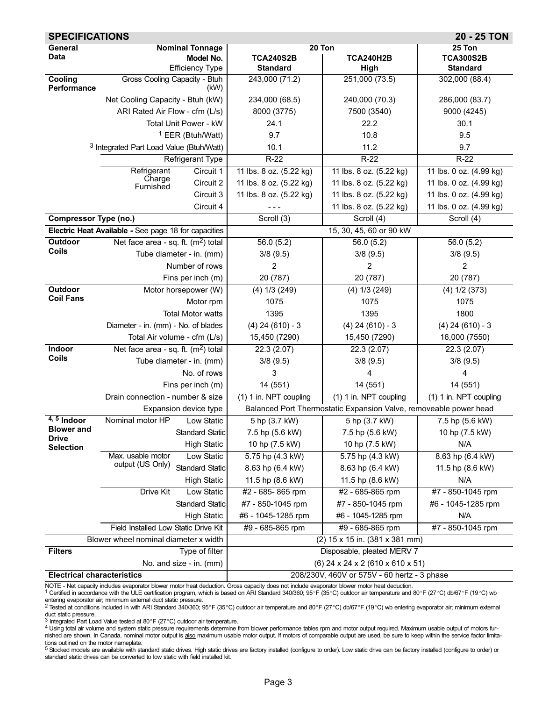| <b>SPECIFICATIONS</b>             |                                                      |                              |                         |                                                                   | 20 - 25 TON             |
|-----------------------------------|------------------------------------------------------|------------------------------|-------------------------|-------------------------------------------------------------------|-------------------------|
| General                           |                                                      | <b>Nominal Tonnage</b>       | 20 Ton                  |                                                                   | 25 Ton                  |
| Data                              |                                                      | Model No.                    | <b>TCA240S2B</b>        | <b>TCA240H2B</b>                                                  | <b>TCA300S2B</b>        |
|                                   |                                                      | <b>Efficiency Type</b>       | <b>Standard</b>         | High                                                              | <b>Standard</b>         |
| Cooling<br>Performance            | Gross Cooling Capacity - Btuh                        | (kW)                         | 243,000 (71.2)          | 251,000(73.5)                                                     | 302,000 (88.4)          |
|                                   | Net Cooling Capacity - Btuh (kW)                     |                              | 234,000 (68.5)          | 240,000 (70.3)                                                    | 286,000 (83.7)          |
|                                   | ARI Rated Air Flow - cfm (L/s)                       |                              | 8000 (3775)             | 7500 (3540)                                                       | 9000 (4245)             |
|                                   |                                                      | Total Unit Power - kW        | 24.1                    | 22.2                                                              | 30.1                    |
|                                   |                                                      | <sup>1</sup> EER (Btuh/Watt) | 9.7                     | 10.8                                                              | 9.5                     |
|                                   | <sup>3</sup> Integrated Part Load Value (Btuh/Watt)  |                              | 10.1                    | 11.2                                                              | 9.7                     |
|                                   |                                                      | Refrigerant Type             | $R-22$                  | $R-22$                                                            | $R-22$                  |
|                                   | Refrigerant                                          | Circuit 1                    | 11 lbs. 8 oz. (5.22 kg) | 11 lbs. 8 oz. (5.22 kg)                                           | 11 lbs. 0 oz. (4.99 kg) |
|                                   | Charge<br>Furnished                                  | Circuit 2                    | 11 lbs. 8 oz. (5.22 kg) | 11 lbs. 8 oz. (5.22 kg)                                           | 11 lbs. 0 oz. (4.99 kg) |
|                                   |                                                      | Circuit 3                    | 11 lbs. 8 oz. (5.22 kg) | 11 lbs. 8 oz. (5.22 kg)                                           | 11 lbs. 0 oz. (4.99 kg) |
|                                   |                                                      | Circuit 4                    |                         | 11 lbs. 8 oz. (5.22 kg)                                           | 11 lbs. 0 oz. (4.99 kg) |
| <b>Compressor Type (no.)</b>      |                                                      |                              | Scroll (3)              | Scroll (4)                                                        | Scroll (4)              |
|                                   | Electric Heat Available - See page 18 for capacities |                              |                         | 15, 30, 45, 60 or 90 kW                                           |                         |
| Outdoor                           | Net face area - sq. ft. $(m2)$ total                 |                              | 56.0(5.2)               | 56.0(5.2)                                                         | 56.0(5.2)               |
| <b>Coils</b>                      | Tube diameter - in. (mm)                             |                              | 3/8(9.5)                | 3/8(9.5)                                                          | 3/8(9.5)                |
|                                   |                                                      | Number of rows               | 2                       | 2                                                                 | 2                       |
|                                   |                                                      | Fins per inch (m)            | 20 (787)                | 20 (787)                                                          | 20 (787)                |
| Outdoor                           |                                                      | Motor horsepower (W)         | $(4)$ 1/3 $(249)$       | $(4)$ 1/3 $(249)$                                                 | $(4)$ 1/2 $(373)$       |
| <b>Coil Fans</b>                  |                                                      | Motor rpm                    | 1075                    | 1075                                                              | 1075                    |
|                                   |                                                      | <b>Total Motor watts</b>     | 1395                    | 1395                                                              | 1800                    |
|                                   | Diameter - in. (mm) - No. of blades                  |                              | $(4)$ 24 $(610) - 3$    | $(4)$ 24 $(610) - 3$                                              | $(4)$ 24 $(610) - 3$    |
|                                   | Total Air volume - cfm (L/s)                         |                              | 15,450 (7290)           | 15,450 (7290)                                                     | 16,000 (7550)           |
| Indoor                            | Net face area - sq. ft. $(m2)$ total                 |                              | 22.3(2.07)              | 22.3(2.07)                                                        | 22.3(2.07)              |
| <b>Coils</b>                      | Tube diameter - in. (mm)                             |                              | 3/8(9.5)                | 3/8(9.5)                                                          | 3/8(9.5)                |
|                                   |                                                      | No. of rows                  | 3                       | 4                                                                 | 4                       |
|                                   |                                                      | Fins per inch (m)            | 14 (551)                | 14 (551)                                                          | 14 (551)                |
|                                   | Drain connection - number & size                     |                              | (1) 1 in. NPT coupling  | (1) 1 in. NPT coupling                                            | (1) 1 in. NPT coupling  |
|                                   |                                                      | Expansion device type        |                         | Balanced Port Thermostatic Expansion Valve, removeable power head |                         |
| $4, 5$ Indoor                     | Nominal motor HP                                     | Low Static                   | 5 hp (3.7 kW)           | 5 hp (3.7 kW)                                                     | 7.5 hp (5.6 kW)         |
| <b>Blower</b> and<br>Drive        |                                                      | Standard Static              | 7.5 hp (5.6 kW)         | 7.5 hp (5.6 kW)                                                   | 10 hp (7.5 kW)          |
| <b>Selection</b>                  |                                                      | <b>High Static</b>           | 10 hp (7.5 kW)          | 10 hp (7.5 kW)                                                    | N/A                     |
|                                   | Max. usable motor                                    | Low Static                   | 5.75 hp (4.3 kW)        | 5.75 hp (4.3 kW)                                                  | 8.63 hp (6.4 kW)        |
|                                   | output (US Only)                                     | <b>Standard Static</b>       | 8.63 hp (6.4 kW)        | 8.63 hp (6.4 kW)                                                  | 11.5 hp (8.6 kW)        |
|                                   |                                                      | <b>High Static</b>           | 11.5 hp (8.6 kW)        | 11.5 hp (8.6 kW)                                                  | N/A                     |
|                                   | Drive Kit                                            | Low Static                   | #2 - 685-865 rpm        | #2 - 685-865 rpm                                                  | #7 - 850-1045 rpm       |
|                                   |                                                      | <b>Standard Static</b>       | #7 - 850-1045 rpm       | #7 - 850-1045 rpm                                                 | #6 - 1045-1285 rpm      |
|                                   |                                                      | <b>High Static</b>           | #6 - 1045-1285 rpm      | #6 - 1045-1285 rpm                                                | N/A                     |
|                                   | Field Installed Low Static Drive Kit                 |                              | #9 - 685-865 rpm        | #9 - 685-865 rpm                                                  | #7 - 850-1045 rpm       |
|                                   | Blower wheel nominal diameter x width                |                              |                         | (2) 15 x 15 in. (381 x 381 mm)                                    |                         |
| <b>Filters</b>                    |                                                      | Type of filter               |                         | Disposable, pleated MERV 7                                        |                         |
|                                   |                                                      | No. and size - in. (mm)      |                         | $(6)$ 24 x 24 x 2 (610 x 610 x 51)                                |                         |
| <b>Electrical characteristics</b> |                                                      |                              |                         | 208/230V, 460V or 575V - 60 hertz - 3 phase                       |                         |

NOTE - Net capacity includes evaporator blower motor heat deduction. Gross capacity does not include evaporator blower motor heat deduction.<br><sup>1</sup> Certified in accordance with the ULE certification program, which is based o

entering evaporator air; minimum external duct static pressure.<br><sup>2</sup> Tested at conditions included in with ARI Standard 340/360; 95°F (35°C) outdoor air temperature and 80°F (27°C) db/67°F (19°C) wb entering evaporator air

duct static pressure.<br><sup>3</sup> Integrated Part Load Value tested at 80°F (27°C) outdoor air temperature.

4 Using total air volume and system static pressure requirements determine from blower performance tables rpm and motor output required. Maximum usable output of motors furnished are shown. In Canada, nominal motor output is also maximum usable motor output. If motors of comparable output are used, be sure to keep within the service factor limitations outlined on the motor nameplate.

5 Stocked models are available with standard static drives. High static drives are factory installed (configure to order). Low static drive can be factory installed (configure to order) or standard static drives can be converted to low static with field installed kit.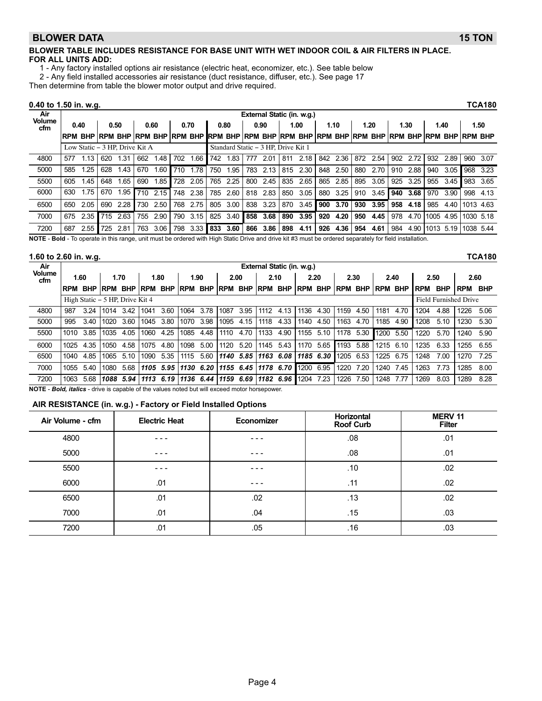#### <span id="page-3-0"></span>BLOWER DATA 15 TON

#### BLOWER TABLE INCLUDES RESISTANCE FOR BASE UNIT WITH WET INDOOR COIL & AIR FILTERS IN PLACE. FOR ALL UNITS ADD:

1 − Any factory installed options air resistance (electric heat, economizer, etc.). See table below

2 − Any field installed accessories air resistance (duct resistance, diffuser, etc.). See page 17

Then determine from table the blower motor output and drive required.

#### 0.40 to 1.50 in. w.g. TCA180

| Air                  |             |                                |     |      |     |          |      |      |      |      |     | External Static (in. w.g.)                                                        |     |      |     |      |     |      |     |      |                |      |           |      |
|----------------------|-------------|--------------------------------|-----|------|-----|----------|------|------|------|------|-----|-----------------------------------------------------------------------------------|-----|------|-----|------|-----|------|-----|------|----------------|------|-----------|------|
| <b>Volume</b><br>cfm | 0.40        |                                |     | 0.50 |     | 0.60     | 0.70 |      | 0.80 |      |     | 0.90                                                                              |     | 1.00 |     | 1.10 |     | 1.20 |     | 1.30 |                | 1.40 |           | 1.50 |
|                      | <b>IRPM</b> | <b>BHP RPM BHP</b>             |     |      |     |          |      |      |      |      |     | Irpm BhP RPM BhP  RPM BhP RPM BhP RPM BhP RPM BhP RPM BhP RPM BhP RPM BhP RPM BhP |     |      |     |      |     |      |     |      |                |      |           |      |
|                      |             | Low Static – 3 HP. Drive Kit A |     |      |     |          |      |      |      |      |     | Standard Static - 3 HP, Drive Kit 1                                               |     |      |     |      |     |      |     |      |                |      |           |      |
| 4800                 | 577         | 1.13                           | 620 | 1.31 | 662 | 1.48     | 702  | .66  | 742  | 1.83 | 777 | 2.01                                                                              | 811 | 2.18 | 842 | 2.36 | 872 | 2.54 | 902 | 2.72 | 932            | 2.89 | 960       | 3.07 |
| 5000                 | 585         | 1.25                           | 628 | 1.43 | 670 | .60      | 710  | 1.78 | 750  | 1.95 | 783 | 2.13                                                                              | 815 | 2.30 | 848 | 2.50 | 880 | 2.70 | 910 | 2.88 | 940            | 3.05 | 968       | 3.23 |
| 5500                 | 605         | 1.45                           | 648 | 1.65 | 690 | .85      | 728  | 2.05 | 765  | 2.25 | 800 | 2.45                                                                              | 835 | 2.65 | 865 | 2.85 | 895 | 3.05 | 925 | 3.25 | 955            | 3.45 | 983       | 3.65 |
| 6000                 | 630         | 1.75                           | 670 | 1.95 |     | 710 2.15 | 748  | 2.38 | 785  | 2.60 |     | 818 2.83                                                                          | 850 | 3.05 | 880 | 3.25 | 910 | 3.45 | 940 | 3.68 | 970            | 3.90 | 998       | 4.13 |
| 6500                 | 650         | 2.05                           | 690 | 2.28 | 730 | 2.50     | 768  | 2.75 | 805  | 3.00 | 838 | 3.23                                                                              | 870 | 3.45 | 900 | 3.70 | 930 | 3.95 | 958 | 4.18 | 985            | 4.40 | 1013 4.63 |      |
| 7000                 | 675         | 2.35                           | 715 | 2.63 | 755 | 2.90     | 790  | 3.15 | 825  | 3.40 | 858 | 3.68                                                                              | 890 | 3.95 | 920 | 4.20 | 950 | 4.45 | 978 |      | 4.70 1005 4.95 |      | 1030 5.18 |      |
| 7200                 | 687         | 2.55                           | 725 | 2.81 | 763 | 3.06     | 798  | 3.33 | 833  | 3.60 | 866 | 3.86                                                                              | 898 | 4.11 | 926 | 4.36 | 954 | 4.61 | 984 |      | 4.90 1013 5.19 |      | 1038 5.44 |      |

NOTE - Bold - To operate in this range, unit must be ordered with High Static Drive and drive kit #3 must be ordered separately for field installation.

#### 1.60 to 2.60 in. w.g. TCA180

Air Volume cfm External Static (in. w.g.) 1.60 | 1.70 | 1.80 | 1.90 | 2.00 | 2.10 | 2.20 | 2.30 | 2.40 | 2.50 | 2.60 RPM BHP |RPM BHP |RPM BHP |RPM BHP |RPM BHP |RPM BHP |RPM BHP |RPM BHP |RPM BHP |RPM BHP |RPM BHP High Static − 5 HP, Drive Kit 4 Field Furnished Drive 4800 987 3.24 1014 3.42 1041 3.60 1064 3.78 1087 3.95 1112 4.13 1136 4.30 1159 4.50 1181 4.70 1204 4.88 1226 5.06 5000 995 3.40 1020 3.60 1045 3.80 1070 3.98 1095 4.15 1118 4.33 1140 4.50 1163 4.70 1185 4.90 1208 5.10 1230 5.30 5500 1010 3.85 1035 4.05 1060 4.25 1085 4.48 1110 4.70 1133 4.90 1155 5.10 1178 5.30 1200 5.50 1220 5.70 1240 5.90 6000 1025 4.35 1050 4.58 1075 4.80 1098 5.00 1120 5.20 1145 5.43 1170 5.65 1193 5.88 1215 6.10 1235 6.33 1255 6.55 6500 1040 4.85 1065 5.10 1090 5.35 1115 5.60 1140 5.85 1163 6.08 1185 6.30 1205 6.53 1225 6.75 1248 7.00 1270 7.25 7000 1055 5.40 1080 5.68 1105 5.95 1130 6.20 1155 6.45 1178 6.70 1200 6.95 1220 7.20 1240 7.45 1263 7.73 1285 8.00 7200 1063 5.68 1088 5.94 1113 6.19 1136 6.44 1159 6.69 1182 6.96 1204 7.23 1226 7.50 1248 7.77 1269 8.03 1289 8.28

NOTE - Bold, italics - drive is capable of the values noted but will exceed motor horsepower.

#### AIR RESISTANCE (in. w.g.) − Factory or Field Installed Options

| Air Volume - cfm | <b>Electric Heat</b> | Economizer | Horizontal<br><b>Roof Curb</b> | <b>MERV 11</b><br><b>Filter</b> |
|------------------|----------------------|------------|--------------------------------|---------------------------------|
| 4800             | - - -                | - - -      | .08                            | .01                             |
| 5000             | $- - -$              | - - -      | .08                            | .01                             |
| 5500             | - - -                | - - -      | .10                            | .02                             |
| 6000             | .01                  | - - -      | .11                            | .02                             |
| 6500             | .01                  | .02        | .13                            | .02                             |
| 7000             | .01                  | .04        | .15                            | .03                             |
| 7200             | .01                  | .05        | .16                            | .03                             |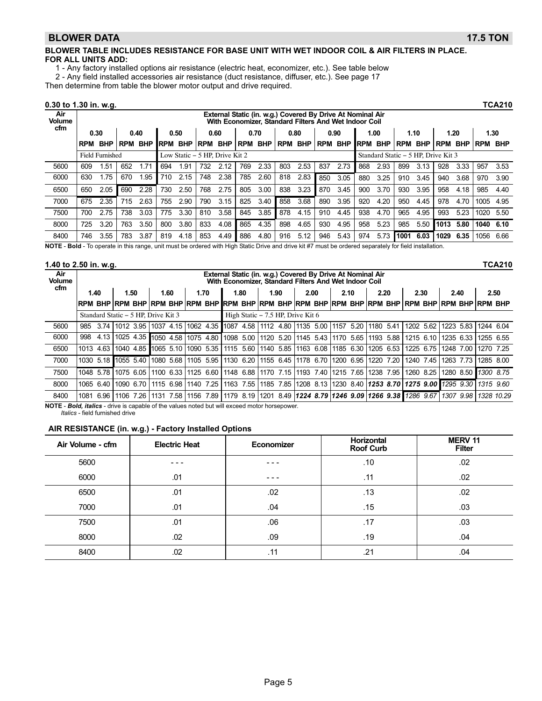#### BLOWER DATA 17.5 TON

#### BLOWER TABLE INCLUDES RESISTANCE FOR BASE UNIT WITH WET INDOOR COIL & AIR FILTERS IN PLACE. FOR ALL UNITS ADD:

1 − Any factory installed options air resistance (electric heat, economizer, etc.). See table below

2 − Any field installed accessories air resistance (duct resistance, diffuser, etc.). See page 17

Then determine from table the blower motor output and drive required.

#### 0.30 to 1.30 in. w.g. TCA210

| Air<br><b>Volume</b> |            |                        |            |            |             |            |            |                                |            |            |     | External Static (in. w.g.) Covered By Drive At Nominal Air<br>With Economizer. Standard Filters And Wet Indoor Coil |     |      |             |                                     |            |            |                |      |            |            |
|----------------------|------------|------------------------|------------|------------|-------------|------------|------------|--------------------------------|------------|------------|-----|---------------------------------------------------------------------------------------------------------------------|-----|------|-------------|-------------------------------------|------------|------------|----------------|------|------------|------------|
| cfm                  |            | 0.30                   | 0.40       |            |             | 0.50       | 0.60       |                                | 0.70       |            |     | 0.80                                                                                                                |     | 0.90 |             | 1.00                                |            | 1.10       |                | 1.20 | 1.30       |            |
|                      | <b>RPM</b> | <b>BHP</b>             | <b>RPM</b> | <b>BHP</b> | <b>IRPM</b> | <b>BHP</b> | <b>RPM</b> | <b>BHP</b>                     | <b>RPM</b> | <b>BHP</b> |     | RPM BHP RPM BHP                                                                                                     |     |      | <b>IRPM</b> | <b>BHP</b>                          | <b>RPM</b> | <b>BHP</b> | <b>RPM BHP</b> |      | <b>RPM</b> | <b>BHP</b> |
|                      |            | <b>Field Furnished</b> |            |            |             |            |            | Low Static – 5 HP. Drive Kit 2 |            |            |     |                                                                                                                     |     |      |             | Standard Static – 5 HP, Drive Kit 3 |            |            |                |      |            |            |
| 5600                 | 609        | .51                    | 652        | 1.71       | 694         | 1.91       | 732        | 2.12                           | 769        | 2.33       | 803 | 2.53                                                                                                                | 837 | 2.73 | 868         | 2.93                                | 899        | 3.13       | 928            | 3.33 | 957        | 3.53       |
| 6000                 | 630        | .75                    | 670        | i.95       | 710         | 2.15       | 748        | 2.38                           | 785        | 2.60       | 818 | 2.83                                                                                                                | 850 | 3.05 | 880         | 3.25                                | 910        | 3.45       | 940            | 3.68 | 970        | 3.90       |
| 6500                 | 650        | 2.05                   | 690        | 2.28       | 730         | 2.50       | 768        | 2.75                           | 805        | 3.00       | 838 | 3.23                                                                                                                | 870 | 3.45 | 900         | 3.70                                | 930        | 3.95       | 958            | 4.18 | 985        | 4.40       |
| 7000                 | 675        | 2.35                   | 715        | 2.63       | 755         | 2.90       | 790        | 3.15                           | 825        | 3.40       | 858 | 3.68                                                                                                                | 890 | 3.95 | 920         | 4.20                                | 950        | 4.45       | 978            | 4.70 | 1005       | 4.95       |
| 7500                 | 700        | 2.75                   | 738        | 3.03       | 775         | 3.30       | 810        | 3.58                           | 845        | 3.85       | 878 | 4.15                                                                                                                | 910 | 4.45 | 938         | 4.70                                | 965        | 4.95       | 993            | 5.23 | 1020       | 5.50       |
| 8000                 | 725        | 3.20                   | 763        | 3.50       | 800         | 3.80       | 833        | 4.08                           | 865        | 4.35       | 898 | 4.65                                                                                                                | 930 | 4.95 | 958         | 5.23                                | 985        | 5.50       | 1013           | 5.80 | 1040       | 6.10       |
| 8400                 | 746        | 3.55                   | 783        | 3.87       | 819         | 4.18       | 853        | 4.49                           | 886        | 4.80       | 916 | 5.12                                                                                                                | 946 | 5.43 | 974         | 5.73                                | 1001       | 6.03       | 1029           | 6.35 | 1056       | 6.66       |

NOTE - Bold - To operate in this range, unit must be ordered with High Static Drive and drive kit #7 must be ordered separately for field installation.

#### 1.40 to 2.50 in. w.g. TCA210

| Air<br><b>Volume</b> |      |      |                                                                                           |      |           |           |  |      | External Static (in. w.g.) Covered By Drive At Nominal Air<br>With Economizer, Standard Filters And Wet Indoor Coil |      |      |           |      |                                                                                                                              |           |                               |            |                                                                                                          |
|----------------------|------|------|-------------------------------------------------------------------------------------------|------|-----------|-----------|--|------|---------------------------------------------------------------------------------------------------------------------|------|------|-----------|------|------------------------------------------------------------------------------------------------------------------------------|-----------|-------------------------------|------------|----------------------------------------------------------------------------------------------------------|
| cfm                  | 1.40 |      |                                                                                           | 1.50 | 1.60      | 1.70      |  | 1.80 | 1.90                                                                                                                | 2.00 | 2.10 | 2.20      |      |                                                                                                                              | 2.30      | 2.40                          |            | 2.50                                                                                                     |
|                      |      |      |                                                                                           |      |           |           |  |      |                                                                                                                     |      |      |           |      | irpm bhp rpm bhp rpm bhp rpm bhp  rpm bhp  rpm bhp rpm bhp rpm bhp rpm bhp rpm bhp rpm bhp rpm bhp rpm bhp                   |           |                               |            |                                                                                                          |
|                      |      |      | Standard Static – 5 HP, Drive Kit 3                                                       |      |           |           |  |      | High Static – 7.5 HP, Drive Kit 6                                                                                   |      |      |           |      |                                                                                                                              |           |                               |            |                                                                                                          |
| 5600                 | 985  |      | 3.74 1012 3.95                                                                            |      |           |           |  |      | 1037 4.15  1062 4.35   1087 4.58   1112 4.80   1135 5.00   1157 5.20                                                |      |      | 1180 5.41 |      |                                                                                                                              | 1202 5.62 | 1223 5.83 1244 6.04           |            |                                                                                                          |
| 6000                 | 998  |      | 4.13 1025 4.35 1050 4.58 1075 4.80 1098 5.00 1120 5.20 1145 5.43 1170 5.65 1193 5.88      |      |           |           |  |      |                                                                                                                     |      |      |           |      |                                                                                                                              |           | 1215 6.10 1235 6.33 1255 6.55 |            |                                                                                                          |
| 6500                 |      |      | 1013 4.63 1040 4.85 1065 5.10 1090 5.35 1115 5.60 1140 5.85 1163 6.08 1185 6.30 1205 6.53 |      |           |           |  |      |                                                                                                                     |      |      |           |      |                                                                                                                              |           | 1225 6.75 1248 7.00           | 11270 7.25 |                                                                                                          |
| 7000                 |      |      | 1030 5.18 1055 5.40                                                                       |      |           |           |  |      | 1080 5.68  1105 5.95  1130 6.20  1155 6.45  1178 6.70  1200 6.95                                                    |      |      | 1220 7.20 |      |                                                                                                                              |           | 1240 7.45 1263 7.73           | 1285 8.00  |                                                                                                          |
| 7500                 |      |      | 1048 5.78 1075 6.05                                                                       |      |           |           |  |      | 1100 6.33  1125 6.60   1148 6.88   1170 7.15   1193 7.40   1215 7.65                                                |      |      | 1238      | 7.95 |                                                                                                                              |           | 1260 8.25 1280 8.50 1300 8.75 |            |                                                                                                          |
| 8000                 |      |      | 1065 6.40 1090 6.70                                                                       |      |           |           |  |      |                                                                                                                     |      |      |           |      | 1115 6.98   1140 7.25   1163 7.55   1185 7.85   1208 8.13   1230 8.40   <b>1253 8.70   1275 9.00  </b> 1295 9.30   1315 9.60 |           |                               |            |                                                                                                          |
| 8400                 | 1081 | 6.96 | 1106 7.26                                                                                 |      | 1131 7.58 | 1156 7.89 |  |      |                                                                                                                     |      |      |           |      |                                                                                                                              |           |                               |            | 1179 8.19  1201 8.49   <b>1224 8.79  1246 9.09  1266 9.38  </b> 1286 9.67   <i>1307 9.98  1328 10.29</i> |

NOTE - Bold, italics - drive is capable of the values noted but will exceed motor horsepower.

Italics − field furnished drive

#### AIR RESISTANCE (in. w.g.) − Factory Installed Options

| Air Volume - cfm | <b>Electric Heat</b> | Economizer | Horizontal<br><b>Roof Curb</b> | <b>MERV 11</b><br><b>Filter</b> |
|------------------|----------------------|------------|--------------------------------|---------------------------------|
| 5600             |                      |            | .10                            | .02                             |
| 6000             | .01                  | - - -      | .11                            | .02                             |
| 6500             | .01                  | .02        | .13                            | .02                             |
| 7000             | .01                  | .04        | .15                            | .03                             |
| 7500             | .01                  | .06        | .17                            | .03                             |
| 8000             | .02                  | .09        | .19                            | .04                             |
| 8400             | .02                  | .11        | .21                            | .04                             |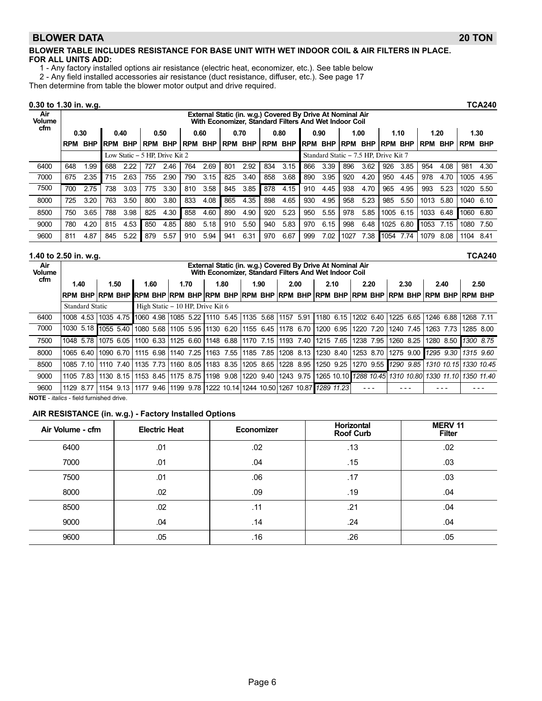#### BLOWER DATA 20 TON

#### BLOWER TABLE INCLUDES RESISTANCE FOR BASE UNIT WITH WET INDOOR COIL & AIR FILTERS IN PLACE. FOR ALL UNITS ADD:

1 − Any factory installed options air resistance (electric heat, economizer, etc.). See table below

2 − Any field installed accessories air resistance (duct resistance, diffuser, etc.). See page 17

Then determine from table the blower motor output and drive required.

#### 0.30 to 1.30 in. w.g. TCA240

| Air<br><b>Volume</b> |            |            |            |            |                                |            |            |            |                |      |            | External Static (in. w.g.) Covered By Drive At Nominal Air<br>With Economizer, Standard Filters And Wet Indoor Coil |             |                                       |            |            |            |            |            |            |                |      |
|----------------------|------------|------------|------------|------------|--------------------------------|------------|------------|------------|----------------|------|------------|---------------------------------------------------------------------------------------------------------------------|-------------|---------------------------------------|------------|------------|------------|------------|------------|------------|----------------|------|
| cfm                  | 0.30       |            |            | 0.40       |                                | 0.50       |            | 0.60       |                | 0.70 |            | 0.80                                                                                                                |             | 0.90                                  |            | 1.00       |            | 1.10       | 1.20       |            |                | 1.30 |
|                      | <b>RPM</b> | <b>BHP</b> | <b>RPM</b> | <b>BHP</b> | RPM                            | <b>BHP</b> | <b>RPM</b> | <b>BHP</b> | <b>RPM BHP</b> |      | <b>RPM</b> | <b>BHP</b>                                                                                                          | <b>IRPM</b> | <b>BHP</b>                            | <b>RPM</b> | <b>BHP</b> | <b>RPM</b> | <b>BHP</b> | <b>RPM</b> | <b>BHP</b> | <b>RPM BHP</b> |      |
|                      |            |            |            |            | Low Static – 5 HP. Drive Kit 2 |            |            |            |                |      |            |                                                                                                                     |             | Standard Static - 7.5 HP, Drive Kit 7 |            |            |            |            |            |            |                |      |
| 6400                 | 648        | l.99       | 688        | 2.22       | 727                            | 2.46       | 764        | 2.69       | 801            | 2.92 | 834        | 3.15                                                                                                                | 866         | 3.39                                  | 896        | 3.62       | 926        | 3.85       | 954        | 4.08       | 981            | 4.30 |
| 7000                 | 675        | 2.35       | 715        | 2.63       | 755                            | 2.90       | 790        | 3.15       | 825            | 3.40 | 858        | 3.68                                                                                                                | 890         | 3.95                                  | 920        | 4.20       | 950        | 4.45       | 978        | 4.70       | 1005           | 4.95 |
| 7500                 | 700        | 2.75       | 738        | 3.03       | 775                            | 3.30       | 810        | 3.58       | 845            | 3.85 | 878        | 4.15                                                                                                                | 910         | 4.45                                  | 938        | 4.70       | 965        | 4.95       | 993        | 5.23       | 1020           | 5.50 |
| 8000                 | 725        | 3.20       | 763        | 3.50       | 800                            | 3.80       | 833        | 4.08       | 865            | 4.35 | 898        | 4.65                                                                                                                | 930         | 4.95                                  | 958        | 5.23       | 985        | 5.50       | 1013       | 5.80       | 1040           | 6.10 |
| 8500                 | 750        | 3.65       | 788        | 3.98       | 825                            | 4.30       | 858        | 4.60       | 890            | 4.90 | 920        | 5.23                                                                                                                | 950         | 5.55                                  | 978        | 5.85       | 1005       | 6.15       | 1033       | 6.48       | 1060           | 6.80 |
| 9000                 | 780        | 4.20       | 815        | 4.53       | 850                            | 4.85       | 880        | 5.18       | 910            | 5.50 | 940        | 5.83                                                                                                                | 970         | 6.15                                  | 998        | 6.48       | 1025       | 6.80       | 1053       | 7.15       | 1080           | 7.50 |
| 9600                 | 811        | 4.87       | 845        | 5.22       | 879                            | 5.57       | 910        | 5.94       | 941            | 6.31 | 970        | 6.67                                                                                                                | 999         | 7.02                                  | 1027       | 7.38       | 1054       | 7.74       | 1079       | 8.08       | 1104           | 8.41 |

#### 1.40 to 2.50 in. w.g. TCA240

| Air<br><b>Volume</b> |                        |                     |      |                                  |      |      | External Static (in. w.g.) Covered By Drive At Nominal Air<br>With Economizer, Standard Filters And Wet Indoor Coil |           |              |                                   |                     |                                                        |
|----------------------|------------------------|---------------------|------|----------------------------------|------|------|---------------------------------------------------------------------------------------------------------------------|-----------|--------------|-----------------------------------|---------------------|--------------------------------------------------------|
| cfm                  | 1.40                   | 1.50                | 1.60 | 1.70                             | 1.80 | 1.90 | 2.00                                                                                                                | 2.10      | 2.20         | 2.30                              | 2.40                | 2.50                                                   |
|                      |                        |                     |      |                                  |      |      | irpm bhp ìrpm bhp irpm bhp ìrpm bhp ìrpm bhp ìrpm bhp ìrpm bhp ìrpm bhp ìrpm bhp ìrpm bhp ìrpm bhp ìrpm bhp i       |           |              |                                   |                     |                                                        |
|                      | <b>Standard Static</b> |                     |      | High Static – 10 HP, Drive Kit 6 |      |      |                                                                                                                     |           |              |                                   |                     |                                                        |
| 6400                 |                        |                     |      |                                  |      |      | 1008 4.53 1035 4.75 1060 4.98 11085 5.22 11110 5.45 11135 5.68 11157 5.91 1                                         | 1180 6.15 | 1202 6.40    | 1225 6.65                         | 1246 6.88 1268 7.11 |                                                        |
| 7000                 |                        | 1030 5.18 1055 5.40 |      |                                  |      |      | 1080 5.68  1105 5.95  1130 6.20  1155 6.45  1178 6.70  1200 6.95                                                    |           | 1220<br>7.20 | 1240 7.45                         | 1263 7.73           | 1285 8.00                                              |
| 7500                 |                        |                     |      |                                  |      |      | 1048 5.78 11075 6.05 11100 6.33 11125 6.60 11148 6.88 11170 7.15 11193 7.40 11215 7.65 1                            |           | 1238 7.95    | 1260 8.25                         | 1280 8.50 1300 8.75 |                                                        |
| 8000                 |                        |                     |      |                                  |      |      | 1065 6.40  1090 6.70   1115 6.98  1140 7.25  1163 7.55  1185 7.85  1208 8.13  1230 8.40  1253 8.70                  |           |              | 1275 9.00   1295 9.30   1315 9.60 |                     |                                                        |
| 8500                 | 1085 7.10              |                     |      |                                  |      |      | 1110 7.40 1135 7.73 1160 8.05 11183 8.35 11205 8.65 11228 8.95                                                      | 1250 9.25 | 1270 9.55    | 1290 9.85                         |                     | 1310 10.15 1330 10.45                                  |
| 9000                 | 1105                   |                     |      |                                  |      |      | 7.83   1130 8.15   1153 8.45   1175 8.75   1198 9.08   1220 9.40   1243 9.75                                        |           |              |                                   |                     | 1265 10.10 1288 10.45 1310 10.80 1330 11.10 1350 11.40 |
| 9600                 |                        |                     |      |                                  |      |      | 1129 8.77 11154 9.13 1177 9.46 11199 9.78 11222 10.14 1244 10.50 1267 10.87 1289 11.23                              |           |              |                                   |                     |                                                        |

NOTE − italics − field furnished drive.

#### AIR RESISTANCE (in. w.g.) − Factory Installed Options

| Air Volume - cfm | <b>Electric Heat</b> | Economizer | <b>Horizontal</b><br><b>Roof Curb</b> | <b>MERV 11</b><br><b>Filter</b> |
|------------------|----------------------|------------|---------------------------------------|---------------------------------|
| 6400             | .01                  | .02        | .13                                   | .02                             |
| 7000             | .01                  | .04        | .15                                   | .03                             |
| 7500             | .01                  | .06        | .17                                   | .03                             |
| 8000             | .02                  | .09        | .19                                   | .04                             |
| 8500             | .02                  | .11        | .21                                   | .04                             |
| 9000             | .04                  | .14        | .24                                   | .04                             |
| 9600             | .05                  | .16        | .26                                   | .05                             |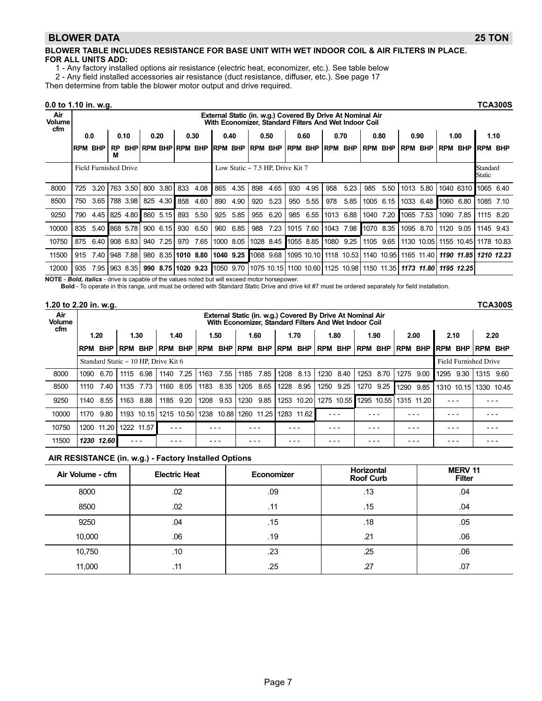#### BLOWER DATA 25 TON

#### BLOWER TABLE INCLUDES RESISTANCE FOR BASE UNIT WITH WET INDOOR COIL & AIR FILTERS IN PLACE. FOR ALL UNITS ADD:

1 − Any factory installed options air resistance (electric heat, economizer, etc.). See table below

2 − Any field installed accessories air resistance (duct resistance, diffuser, etc.). See page 17

Then determine from table the blower motor output and drive required.

0.0 to 1.10 in. w.g. TCA300S

| Air<br><b>Volume</b> |                |                       |                |          |     |          |                            |                                               |                |      |          |           |                |           |          | External Static (in. w.g.) Covered By Drive At Nominal Air<br>With Economizer, Standard Filters And Wet Indoor Coil |                |            |                |            |                    |            |            |            |
|----------------------|----------------|-----------------------|----------------|----------|-----|----------|----------------------------|-----------------------------------------------|----------------|------|----------|-----------|----------------|-----------|----------|---------------------------------------------------------------------------------------------------------------------|----------------|------------|----------------|------------|--------------------|------------|------------|------------|
| cfm                  | 0.0            |                       |                | 0.10     |     | 0.20     |                            | 0.30                                          |                | 0.40 |          | 0.50      |                | 0.60      |          | 0.70                                                                                                                |                | 0.80       |                | 0.90       | 1.00               |            | 1.10       |            |
|                      | <b>RPM BHP</b> |                       | <b>RP</b><br>м |          |     |          | <b>BHPIRPM BHPIRPM BHP</b> |                                               | <b>RPM BHP</b> |      | IRPM BHP |           | <b>RPM BHP</b> |           | IRPM BHP |                                                                                                                     | <b>RPM BHP</b> |            | <b>RPM BHP</b> |            | <b>RPM</b>         | <b>BHP</b> | <b>RPM</b> | <b>BHP</b> |
|                      |                | Field Furnished Drive |                |          |     |          |                            | Low Static – 7.5 HP, Drive Kit 7<br>1040 6310 |                |      |          |           |                |           |          |                                                                                                                     |                |            |                |            | Standard<br>Static |            |            |            |
| 8000                 | 725            | 3.20                  |                | 763 3.50 | 800 | 3.80     | 833                        | 4.08                                          | 865            | 4.35 | 898      | 4.65      | 930            | 4.95      | 958      | 5.23                                                                                                                | 985            | 5.50       | 1013           | 5.80       |                    |            | 1065       | 6.40       |
| 8500                 | 750            | 3.65                  |                | 788 3.98 |     | 825 4.30 | 858                        | 4.60                                          | 890            | 4.90 | 920      | 5.23      | 950            | 5.55      | 978      | 5.85                                                                                                                | 1005 6.15      |            |                | 1033 6.48  | 1060               | 6.80       | 1085 7.10  |            |
| 9250                 | 790            | 4.45                  |                | 825 4.80 |     | 860 5.15 | 893                        | 5.50                                          | 925            | 5.85 | 955      | 6.20      | 985            | 6.55      |          | 1013 6.88                                                                                                           | 1040 7.20      |            | 1065           | 7.53       | 1090               | 7.85       | 1115       | 8.20       |
| 10000                | 835            | 5.40 868 5.78         |                |          |     | 900 6.15 | 930                        | 6.50                                          | 960            | 6.85 | 988      | 7.23      |                | 1015 7.60 | 1043     | 7.98                                                                                                                | 1070 8.35      |            | 1095 8.70      |            | 1120               | 9.05       | 1145       | 9.43       |
| 10750                | 875            | 6.40                  |                | 908 6.83 | 940 | 7.25     | 970                        | 7.65                                          | 1000 8.05      |      |          | 1028 8.45 | 1055 8.85      |           | 1080     | 9.25                                                                                                                | 1105 9.65      |            |                | 1130 10.05 |                    | 1155 10.45 | 1178       | 10.83      |
| 11500                | 915            | 7.40                  |                | 948 7.88 | 980 |          | 8.35 1010 8.80             |                                               | 1040 9.25      |      |          | 1068 9.68 |                |           |          | 1095 10.10 1118 10.53 1140 10.95                                                                                    |                |            |                | 1165 11.40 |                    | 1190 11.85 | 1210 12.23 |            |
| 12000                | 935            | 7.95                  |                | 963 8.35 |     |          |                            | 990 8.75 1020 9.23 1050 9.70                  |                |      |          |           |                |           |          | 1075 10.15 1100 10.60 1125 10.98                                                                                    |                | 1150 11.35 |                | 1173 11.80 |                    | 1195 12.25 |            |            |

NOTE - Bold, italics - drive is capable of the values noted but will exceed motor horsepower.

Bold − To operate in this range, unit must be ordered with Standard Static Drive and drive kit #7 must be ordered separately for field installation.

#### 1.20 to 2.20 in. w.g. TCA300S

| Air<br><b>Volume</b><br>cfm | External Static (in. w.g.) Covered By Drive At Nominal Air<br>With Economizer, Standard Filters And Wet Indoor Coil |                                      |       |            |                       |            |            |            |            |                  |            |            |            |                       |                |                              |                |            |            |                 |            |            |
|-----------------------------|---------------------------------------------------------------------------------------------------------------------|--------------------------------------|-------|------------|-----------------------|------------|------------|------------|------------|------------------|------------|------------|------------|-----------------------|----------------|------------------------------|----------------|------------|------------|-----------------|------------|------------|
|                             |                                                                                                                     | 1.20                                 |       | 1.30       |                       | 1.40       |            | 1.50       |            | 1.60             |            | 1.70       |            | 1.80                  |                | 1.90                         |                | 2.00       |            | 2.10            | 2.20       |            |
|                             | <b>IRPM</b>                                                                                                         | <b>BHP</b>                           | l RPM | <b>BHP</b> | <b>RPM</b>            | <b>BHP</b> | <b>RPM</b> | <b>BHP</b> | <b>RPM</b> | <b>BHP</b>       | <b>RPM</b> | <b>BHP</b> | <b>RPM</b> | <b>BHP</b>            | <b>RPM BHP</b> |                              | <b>RPM BHP</b> |            | <b>RPM</b> | <b>BHP</b>      | <b>RPM</b> | <b>BHP</b> |
|                             |                                                                                                                     | Standard Static – 10 HP. Drive Kit 6 |       |            |                       |            |            |            |            |                  |            |            |            |                       |                | <b>Field Furnished Drive</b> |                |            |            |                 |            |            |
| 8000                        | 1090                                                                                                                | 6.70                                 | 1115  | 6.98       | 1140                  | 7.25       | 1163       | 7.55       | 1185       | 7.85             | 1208       | 8.13       | 1230       | 8.40                  | 1253           | 8.70                         | 1275           | 9.00       | 1295       | 9.30            | 1315       | 9.60       |
| 8500                        | 1110                                                                                                                | 7.40                                 | 1135  | 7.73       | 1160                  | 8.05       | 1183       | 8.35       | 1205       | 8.65             | 1228       | 8.95       | 1250       | 9.25                  | 1270           | 9.25                         | 1290           | 9.85       |            | 1310 10.15 1330 |            | 10.45      |
| 9250                        | 1140                                                                                                                | 8.55                                 | 1163  | 8.88       | 1185                  | 9.20       | 1208       | 9.53       | 1230       | 9.85             | 1253       | 10.20      |            | 1275 10.55 1295 10.55 |                |                              |                | 1315 11.20 |            |                 |            |            |
| 10000                       | 1170                                                                                                                | 9.80                                 |       |            | 1193 10.15 1215 10.50 |            | 1238       | 10.88 1260 |            | 11.25 1283 11.62 |            |            |            |                       |                |                              |                |            |            |                 |            |            |
| 10750                       | 1200                                                                                                                | 11.20                                |       | 1222 11.57 |                       |            |            |            |            |                  |            |            |            |                       |                |                              |                |            |            |                 |            |            |
| 11500                       |                                                                                                                     | 1230 12.60                           |       |            |                       |            |            |            |            |                  |            |            |            |                       |                |                              |                |            |            |                 |            |            |

#### AIR RESISTANCE (in. w.g.) − Factory Installed Options

| Air Volume - cfm | <b>Electric Heat</b> | Economizer | Horizontal<br><b>Roof Curb</b> | <b>MERV 11</b><br><b>Filter</b> |
|------------------|----------------------|------------|--------------------------------|---------------------------------|
| 8000             | .02                  | .09        | .13                            | .04                             |
| 8500             | .02                  | .11        | .15                            | .04                             |
| 9250             | .04                  | .15        | .18                            | .05                             |
| 10,000           | .06                  | .19        | .21                            | .06                             |
| 10,750           | .10                  | .23        | .25                            | .06                             |
| 11,000           | .11                  | .25        | .27                            | .07                             |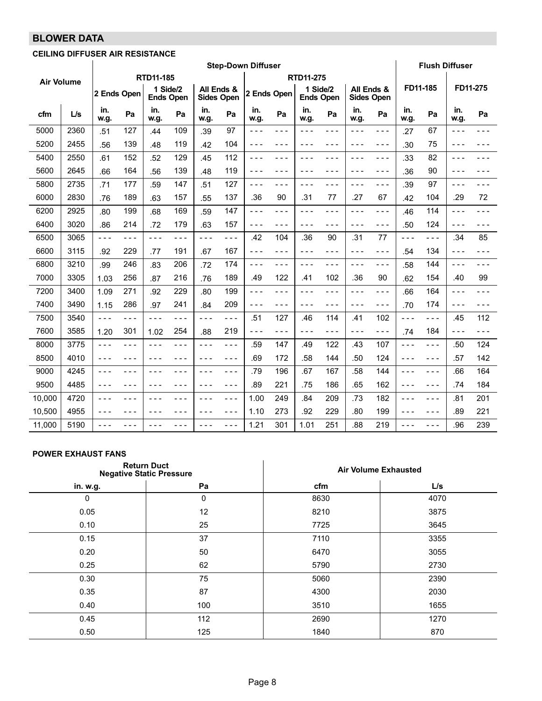# BLOWER DATA

## CEILING DIFFUSER AIR RESISTANCE

|                   |      |             |       |                              |       |                                 |         | <b>Step-Down Diffuser</b> |         |                              |         |             |                   |             | <b>Flush Diffuser</b> |             |          |
|-------------------|------|-------------|-------|------------------------------|-------|---------------------------------|---------|---------------------------|---------|------------------------------|---------|-------------|-------------------|-------------|-----------------------|-------------|----------|
| <b>Air Volume</b> |      |             |       | RTD11-185                    |       |                                 |         |                           |         | <b>RTD11-275</b>             |         |             |                   |             |                       |             |          |
|                   |      | 2 Ends Open |       | 1 Side/2<br><b>Ends Open</b> |       | All Ends &<br><b>Sides Open</b> |         | 2 Ends Open               |         | 1 Side/2<br><b>Ends Open</b> |         | All Ends &  | <b>Sides Open</b> |             | FD11-185              |             | FD11-275 |
| cfm               | L/s  | in.<br>w.g. | Pa    | in.<br>w.g.                  | Pa    | in.<br>w.g.                     | Pa      | in.<br>w.g.               | Pa      | in.<br>w.g.                  | Pa      | in.<br>w.g. | Pa                | in.<br>w.g. | Pa                    | in.<br>w.g. | Pa       |
| 5000              | 2360 | .51         | 127   | .44                          | 109   | .39                             | 97      | ---                       | $- - -$ | ---                          | $- - -$ | ---         | $- - -$           | .27         | 67                    | ---         | - - -    |
| 5200              | 2455 | .56         | 139   | .48                          | 119   | .42                             | 104     | ---                       | - - -   | - - -                        | - - -   | ---         | - - -             | .30         | 75                    | - - -       |          |
| 5400              | 2550 | .61         | 152   | .52                          | 129   | .45                             | 112     | - - -                     | $- - -$ | ---                          | $- - -$ | ---         | $- - -$           | .33         | 82                    | $- - -$     |          |
| 5600              | 2645 | .66         | 164   | .56                          | 139   | .48                             | 119     | $- - -$                   | $- - -$ | ---                          | $- - -$ | $  -$       | $- - -$           | .36         | 90                    | $- - -$     |          |
| 5800              | 2735 | .71         | 177   | .59                          | 147   | .51                             | 127     | $- - -$                   | $- - -$ | ---                          | $- - -$ | $- - -$     | $- - -$           | .39         | 97                    | $- - -$     |          |
| 6000              | 2830 | .76         | 189   | .63                          | 157   | .55                             | 137     | .36                       | 90      | .31                          | 77      | .27         | 67                | .42         | 104                   | .29         | 72       |
| 6200              | 2925 | .80         | 199   | .68                          | 169   | .59                             | 147     | $- - -$                   | $- - -$ | ---                          | $- - -$ | ---         | $- - -$           | .46         | 114                   | $- - -$     | - - -    |
| 6400              | 3020 | .86         | 214   | .72                          | 179   | .63                             | 157     | - - -                     | ---     | - - -                        | $- - -$ | ---         | $- - -$           | .50         | 124                   | - - -       | - - -    |
| 6500              | 3065 | $- - -$     | - - - | $- - -$                      | - - - | $- - -$                         | $- - -$ | .42                       | 104     | .36                          | 90      | .31         | 77                | $- - -$     | - - -                 | .34         | 85       |
| 6600              | 3115 | .92         | 229   | .77                          | 191   | .67                             | 167     | ---                       | $- - -$ | - - -                        | $- - -$ | ---         | $- - -$           | .54         | 134                   | $- - -$     | - - -    |
| 6800              | 3210 | .99         | 246   | .83                          | 206   | .72                             | 174     | ---                       | $- - -$ | ---                          | - - -   | ---         | - - -             | .58         | 144                   | $- - -$     |          |
| 7000              | 3305 | 1.03        | 256   | .87                          | 216   | .76                             | 189     | .49                       | 122     | .41                          | 102     | .36         | 90                | .62         | 154                   | .40         | 99       |
| 7200              | 3400 | 1.09        | 271   | .92                          | 229   | .80                             | 199     | $- - -$                   | $- - -$ | ---                          | $- - -$ | $- - -$     | $- - -$           | .66         | 164                   | $- - -$     | - - -    |
| 7400              | 3490 | 1.15        | 286   | .97                          | 241   | .84                             | 209     | ---                       | $- - -$ | - - -                        | - - -   | ---         | - - -             | .70         | 174                   | - - -       |          |
| 7500              | 3540 | $- - -$     | - - - | $- - -$                      | - - - | - - -                           | $- - -$ | .51                       | 127     | .46                          | 114     | .41         | 102               | $- - -$     | - - -                 | .45         | 112      |
| 7600              | 3585 | 1.20        | 301   | 1.02                         | 254   | .88                             | 219     | $- - -$                   | $- - -$ | - - -                        | $- - -$ | $- - -$     | $- - -$           | .74         | 184                   | $- - -$     | - - -    |
| 8000              | 3775 | $- - -$     | - - - | ---                          | - - - | - - -                           | - - -   | .59                       | 147     | .49                          | 122     | .43         | 107               | $- - -$     | - - -                 | .50         | 124      |
| 8500              | 4010 | $- - -$     | - - - | $  -$                        | - - - | $- - -$                         | ---     | .69                       | 172     | .58                          | 144     | .50         | 124               | $- - -$     | - - -                 | .57         | 142      |
| 9000              | 4245 | $- - -$     | - - - | $- - -$                      | - - - | $- - -$                         | $- - -$ | .79                       | 196     | .67                          | 167     | .58         | 144               | $- - -$     | - - -                 | .66         | 164      |
| 9500              | 4485 | $- - -$     | - - - | $  -$                        | - - - | $  -$                           | $- - -$ | .89                       | 221     | .75                          | 186     | .65         | 162               | $- - -$     | - - -                 | .74         | 184      |
| 10,000            | 4720 | $- - -$     | - - - | $  -$                        | - - - | - - -                           | $- - -$ | 1.00                      | 249     | .84                          | 209     | .73         | 182               | $- - -$     | - - -                 | .81         | 201      |
| 10,500            | 4955 | $- - -$     | - - - | $- - -$                      | - - - | $- - -$                         | ---     | 1.10                      | 273     | .92                          | 229     | .80         | 199               | $- - -$     | - - -                 | .89         | 221      |
| 11,000            | 5190 | $- - -$     | - - - | $- - -$                      | - - - | $- - -$                         | - - -   | 1.21                      | 301     | 1.01                         | 251     | .88         | 219               | $- - -$     | - - -                 | .96         | 239      |

#### POWER EXHAUST FANS

|          | <b>Return Duct</b><br><b>Negative Static Pressure</b> | <b>Air Volume Exhausted</b> |      |
|----------|-------------------------------------------------------|-----------------------------|------|
| in. w.g. | Pa                                                    | cfm                         | L/s  |
| $\Omega$ | 0                                                     | 8630                        | 4070 |
| 0.05     | 12                                                    | 8210                        | 3875 |
| 0.10     | 25                                                    | 7725                        | 3645 |
| 0.15     | 37                                                    | 7110                        | 3355 |
| 0.20     | 50                                                    | 6470                        | 3055 |
| 0.25     | 62                                                    | 5790                        | 2730 |
| 0.30     | 75                                                    | 5060                        | 2390 |
| 0.35     | 87                                                    | 4300                        | 2030 |
| 0.40     | 100                                                   | 3510                        | 1655 |
| 0.45     | 112                                                   | 2690                        | 1270 |
| 0.50     | 125                                                   | 1840                        | 870  |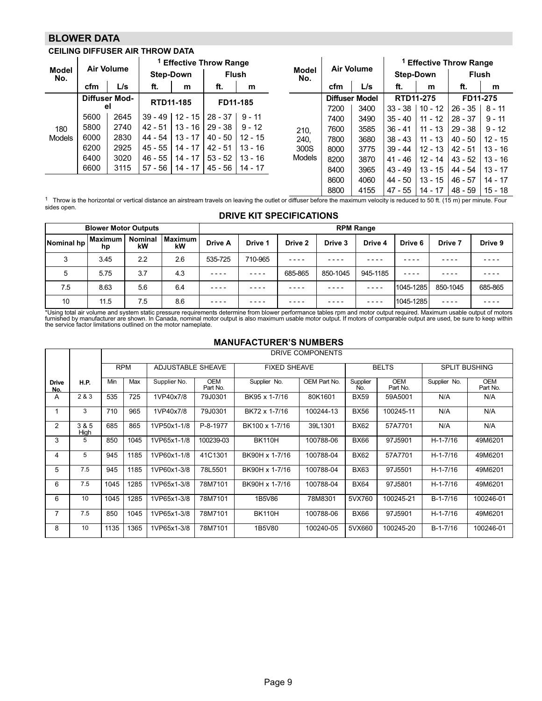### BLOWER DATA

j.

### CEILING DIFFUSER AIR THROW DATA

| <b>Model</b>  |      | <b>Air Volume</b> |                  |           | <sup>1</sup> Effective Throw Range |           |                     |      | <b>Air Volume</b>     |                  |           | <sup>1</sup> Effective Throw Range |           |
|---------------|------|-------------------|------------------|-----------|------------------------------------|-----------|---------------------|------|-----------------------|------------------|-----------|------------------------------------|-----------|
| No.           |      |                   | <b>Step-Down</b> |           | <b>Flush</b>                       |           | <b>Model</b><br>No. |      |                       | <b>Step-Down</b> |           | <b>Flush</b>                       |           |
|               | cfm  | L/s               | ft.              | m         | ft.                                | m         |                     | cfm  | L/s                   | ft.              | m         | ft.                                | m         |
|               |      | Diffuser Mod-     | RTD11-185        |           | FD11-185                           |           |                     |      | <b>Diffuser Model</b> | RTD11-275        |           | FD11-275                           |           |
|               |      | el                |                  |           |                                    |           |                     | 7200 | 3400                  | $33 - 38$        | $10 - 12$ | 26 - 35                            | 8 - 11    |
|               | 5600 | 2645              | $39 - 49$        | $12 - 15$ | 28 - 37                            | $9 - 11$  |                     | 7400 | 3490                  | $35 - 40$        | $11 - 12$ | $28 - 37$                          | $9 - 11$  |
| 180           | 5800 | 2740              | $42 - 51$        |           | $13 - 16$   29 - 38                | $9 - 12$  | 210,                | 7600 | 3585                  | $36 - 41$        | $11 - 13$ | $29 - 38$                          | $9 - 12$  |
| <b>Models</b> | 6000 | 2830              | 44 - 54          | $13 - 17$ | $40 - 50$   12 - 15                |           | 240,                | 7800 | 3680                  | $38 - 43$        | $11 - 13$ | $40 - 50$                          | $12 - 15$ |
|               | 6200 | 2925              | $45 - 55$        | $14 - 17$ | $42 - 51$                          | $13 - 16$ | 300S                | 8000 | 3775                  | 39 - 44 I        | $12 - 13$ | $42 - 51$                          | $13 - 16$ |
|               | 6400 | 3020              | $46 - 55$        | $14 - 17$ | $53 - 52$                          | $13 - 16$ | <b>Models</b>       | 8200 | 3870                  | 41 - 46          | $12 - 14$ | $43 - 52$                          | $13 - 16$ |
|               | 6600 | 3115              | 57 - 56          |           | 14 - 17   45 - 56                  | 14 - 17   |                     | 8400 | 3965                  | 43 - 49          | $13 - 15$ | 44 - 54                            | $13 - 17$ |
|               |      |                   |                  |           |                                    |           |                     | 8600 | 4060                  | 44 - 50          | $13 - 15$ | $46 - 57$                          | $14 - 17$ |
|               |      |                   |                  |           |                                    |           |                     | 8800 | 4155                  | 47 - 55          | 14 - 17   | 48 - 59                            | $15 - 18$ |

 $^{\rm 1}$  Throw is the horizontal or vertical distance an airstream travels on leaving the outlet or diffuser before the maximum velocity is reduced to 50 ft. (15 m) per minute. Four sides open.

#### DRIVE KIT SPECIFICATIONS

|            | <b>Blower Motor Outputs</b> |                      |               |           |         |         | <b>RPM Range</b> |          |           |          |         |
|------------|-----------------------------|----------------------|---------------|-----------|---------|---------|------------------|----------|-----------|----------|---------|
| Nominal hp | <b>Maximum</b><br>hp        | <b>Nominal</b><br>kW | Maximum<br>kW | Drive A   | Drive 1 | Drive 2 | Drive 3          | Drive 4  | Drive 6   | Drive 7  | Drive 9 |
| 3          | 3.45                        | 2.2                  | 2.6           | 535-725   | 710-965 | ----    | - - -            |          | - - - -   |          |         |
| 5          | 5.75                        | 3.7                  | 4.3           | $- - - -$ | ----    | 685-865 | 850-1045         | 945-1185 | ----      |          |         |
| 7.5        | 8.63                        | 5.6                  | 6.4           | ----      | ----    | ----    | - - - -          |          | 1045-1285 | 850-1045 | 685-865 |
| 10         | 11.5                        | 7.5                  | 8.6           | ----      | ----    | ----    |                  |          | 1045-1285 | ----     |         |

\*Using total air volume and system static pressure requirements determine from blower performance tables rpm and motor output required. Maximum usable output of motors<br>furnished by manufacturer are shown. In Canada, nomina

#### MANUFACTURER'S NUMBERS

|                     |               |      |            |                          |                        | MANU AYTUNLIN 9 NUMBLING |                  |                 |                        |                      |                        |
|---------------------|---------------|------|------------|--------------------------|------------------------|--------------------------|------------------|-----------------|------------------------|----------------------|------------------------|
|                     |               |      |            |                          |                        |                          | DRIVE COMPONENTS |                 |                        |                      |                        |
|                     |               |      | <b>RPM</b> | <b>ADJUSTABLE SHEAVE</b> |                        | <b>FIXED SHEAVE</b>      |                  |                 | <b>BELTS</b>           | <b>SPLIT BUSHING</b> |                        |
| <b>Drive</b><br>No. | <b>H.P.</b>   | Min  | Max        | Supplier No.             | <b>OEM</b><br>Part No. | Supplier No.             | OEM Part No.     | Supplier<br>No. | <b>OEM</b><br>Part No. | Supplier No.         | <b>OEM</b><br>Part No. |
| A                   | 2 & 3         | 535  | 725        | 1VP40x7/8                | 79J0301                | BK95 x 1-7/16            | 80K1601          | <b>BX59</b>     | 59A5001                | N/A                  | N/A                    |
|                     | 3             | 710  | 965        | 1VP40x7/8                | 79J0301                | BK72 x 1-7/16            | 100244-13        | <b>BX56</b>     | 100245-11              | N/A                  | N/A                    |
| 2                   | 3 & 5<br>High | 685  | 865        | 1VP50x1-1/8              | P-8-1977               | BK100 x 1-7/16           | 39L1301          | <b>BX62</b>     | 57A7701                | N/A                  | N/A                    |
| 3                   | 5             | 850  | 1045       | 1VP65x1-1/8              | 100239-03              | <b>BK110H</b>            | 100788-06        | <b>BX66</b>     | 97J5901                | $H - 1 - 7/16$       | 49M6201                |
| 4                   | 5             | 945  | 1185       | 1VP60x1-1/8              | 41C1301                | BK90H x 1-7/16           | 100788-04        | <b>BX62</b>     | 57A7701                | $H - 1 - 7/16$       | 49M6201                |
| 5                   | 7.5           | 945  | 1185       | 1VP60x1-3/8              | 78L5501                | BK90H x 1-7/16           | 100788-04        | <b>BX63</b>     | 97J5501                | $H - 1 - 7/16$       | 49M6201                |
| 6                   | 7.5           | 1045 | 1285       | 1VP65x1-3/8              | 78M7101                | BK90H x 1-7/16           | 100788-04        | <b>BX64</b>     | 97J5801                | $H - 1 - 7/16$       | 49M6201                |
| 6                   | 10            | 1045 | 1285       | 1VP65x1-3/8              | 78M7101                | 1B5V86                   | 78M8301          | 5VX760          | 100245-21              | $B-1-7/16$           | 100246-01              |
| 7                   | 7.5           | 850  | 1045       | 1VP65x1-3/8              | 78M7101                | <b>BK110H</b>            | 100788-06        | <b>BX66</b>     | 97J5901                | $H - 1 - 7/16$       | 49M6201                |
| 8                   | 10            | 1135 | 1365       | 1VP65x1-3/8              | 78M7101                | 1B5V80                   | 100240-05        | 5VX660          | 100245-20              | $B-1-7/16$           | 100246-01              |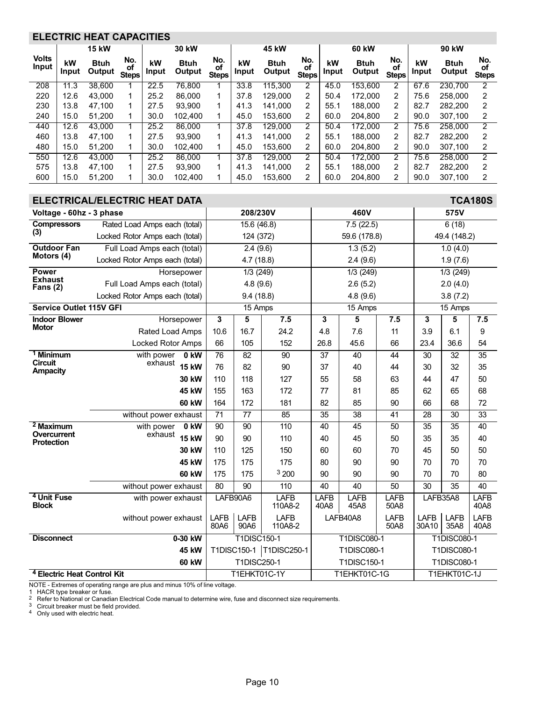## <span id="page-9-0"></span>ELECTRIC HEAT CAPACITIES

|                       |             | <b>15 kW</b>          |                           |             | 30 kW                 |                           |             | 45 kW                 |                           |             | 60 kW                 |                           |             | 90 kW                 |                           |
|-----------------------|-------------|-----------------------|---------------------------|-------------|-----------------------|---------------------------|-------------|-----------------------|---------------------------|-------------|-----------------------|---------------------------|-------------|-----------------------|---------------------------|
| <b>Volts</b><br>Input | kW<br>Input | <b>Btuh</b><br>Output | No.<br>οf<br><b>Steps</b> | kW<br>Input | <b>Btuh</b><br>Output | No.<br>of<br><b>Steps</b> | kW<br>Input | <b>Btuh</b><br>Output | No.<br>of<br><b>Steps</b> | kW<br>Input | <b>Btuh</b><br>Output | No.<br>оf<br><b>Steps</b> | kW<br>Input | <b>Btuh</b><br>Output | No.<br>οf<br><b>Steps</b> |
| 208                   | 11.3        | 38.600                |                           | 22.5        | 76.800                |                           | 33.8        | 115.300               | 2                         | 45.0        | 153.600               | 2                         | 67.6        | 230.700               | $\overline{2}$            |
| 220                   | 12.6        | 43.000                |                           | 25.2        | 86,000                | 1                         | 37.8        | 129.000               | 2                         | 50.4        | 172,000               | $\overline{2}$            | 75.6        | 258,000               | $\overline{2}$            |
| 230                   | 13.8        | 47.100                |                           | 27.5        | 93.900                | 1                         | 41.3        | 141.000               | 2                         | 55.1        | 188,000               | 2                         | 82.7        | 282.200               | 2                         |
| 240                   | 15.0        | 51.200                |                           | 30.0        | 102.400               | 1                         | 45.0        | 153.600               | 2                         | 60.0        | 204.800               | 2                         | 90.0        | 307.100               | 2                         |
| 440                   | 12.6        | 43,000                |                           | 25.2        | 86,000                |                           | 37.8        | 129.000               | 2                         | 50.4        | 172.000               | 2                         | 75.6        | 258,000               | 2                         |
| 460                   | 13.8        | 47.100                |                           | 27.5        | 93.900                | 1                         | 41.3        | 141.000               | 2                         | 55.1        | 188,000               | $\overline{2}$            | 82.7        | 282.200               | $\mathcal{P}$             |
| 480                   | 15.0        | 51.200                |                           | 30.0        | 102.400               | 1                         | 45.0        | 153.600               | 2                         | 60.0        | 204.800               | 2                         | 90.0        | 307.100               | 2                         |
| 550                   | 12.6        | 43.000                |                           | 25.2        | 86,000                |                           | 37.8        | 129.000               | 2                         | 50.4        | 172.000               | 2                         | 75.6        | 258,000               | 2                         |
| 575                   | 13.8        | 47.100                |                           | 27.5        | 93.900                | 1                         | 41.3        | 141.000               | 2                         | 55.1        | 188,000               | 2                         | 82.7        | 282.200               | 2                         |
| 600                   | 15.0        | 51.200                |                           | 30.0        | 102.400               |                           | 45.0        | 153.600               | 2                         | 60.0        | 204.800               | $\overline{2}$            | 90.0        | 307.100               | 2                         |

|                                        | ELECTRICAL/ELECTRIC HEAT DATA          |                                                                      |                 |                           |                 |                     |                      |                     |                     | <b>TCA180S</b>      |
|----------------------------------------|----------------------------------------|----------------------------------------------------------------------|-----------------|---------------------------|-----------------|---------------------|----------------------|---------------------|---------------------|---------------------|
| Voltage - 60hz - 3 phase               |                                        |                                                                      | 208/230V        |                           |                 | 460V                |                      |                     | 575V                |                     |
| <b>Compressors</b>                     | Rated Load Amps each (total)           |                                                                      | 15.6 (46.8)     |                           |                 | 7.5(22.5)           |                      |                     | 6(18)               |                     |
| (3)                                    | Locked Rotor Amps each (total)         |                                                                      | 124 (372)       |                           |                 | 59.6 (178.8)        |                      |                     | 49.4 (148.2)        |                     |
| <b>Outdoor Fan</b>                     | Full Load Amps each (total)            |                                                                      | 2.4(9.6)        |                           |                 | 1.3(5.2)            |                      |                     | 1.0(4.0)            |                     |
| Motors (4)                             | Locked Rotor Amps each (total)         |                                                                      | 4.7(18.8)       |                           |                 | 2.4(9.6)            |                      |                     | 1.9(7.6)            |                     |
| <b>Power</b>                           | Horsepower                             |                                                                      | 1/3 (249)       |                           |                 | 1/3 (249)           |                      |                     | 1/3(249)            |                     |
| <b>Exhaust</b><br>Fans $(2)$           | Full Load Amps each (total)            |                                                                      | 4.8(9.6)        |                           |                 | 2.6(5.2)            |                      |                     | 2.0(4.0)            |                     |
|                                        | Locked Rotor Amps each (total)         |                                                                      | 9.4(18.8)       |                           |                 | 4.8(9.6)            |                      |                     | 3.8(7.2)            |                     |
| <b>Service Outlet 115V GFI</b>         |                                        |                                                                      | $15$ Amps       |                           |                 | 15 Amps             |                      |                     | $15$ Amps           |                     |
| <b>Indoor Blower</b>                   | Horsepower                             | 3                                                                    | 5               | 7.5                       | 3               | 5                   | 7.5                  | 3                   | 5                   | 7.5                 |
| <b>Motor</b>                           | Rated Load Amps                        | 10.6                                                                 | 16.7            | 24.2                      | 4.8             | 7.6                 | 11                   | 3.9                 | 6.1                 | 9                   |
|                                        | <b>Locked Rotor Amps</b>               | 66                                                                   | 105             | 152                       | 26.8            | 45.6                | 66                   | 23.4                | 36.6                | 54                  |
| <sup>1</sup> Minimum<br><b>Circuit</b> | with power<br>0 kW                     | 76                                                                   | 82              | 90                        | 37              | 40                  | 44                   | 30                  | 32                  | 35                  |
| <b>Ampacity</b>                        | exhaust<br><b>15 kW</b>                | 76                                                                   | 82              | 90                        | 37              | 40                  | 44                   | 30                  | 32                  | 35                  |
|                                        | 30 kW                                  | 110                                                                  | 118             | 127                       | 55              | 58                  | 63                   | 44                  | 47                  | 50                  |
|                                        | 45 kW                                  | 155                                                                  | 163             | 172                       | 77              | 81                  | 85                   | 62                  | 65                  | 68                  |
|                                        | <b>60 kW</b>                           | 164                                                                  | 172             | 181                       | 82              | 85                  | 90                   | 66                  | 68                  | 72                  |
|                                        | without power exhaust                  | 71                                                                   | $\overline{77}$ | 85                        | $\overline{35}$ | 38                  | 41                   | $\overline{28}$     | $\overline{30}$     | $\overline{33}$     |
| $2$ Maximum<br>Overcurrent             | with power<br>0 kW                     | 90                                                                   | 90              | 110                       | 40              | 45                  | 50                   | 35                  | 35                  | 40                  |
| <b>Protection</b>                      | exhaust<br><b>15 kW</b>                | 90                                                                   | 90              | 110                       | 40              | 45                  | 50                   | 35                  | 35                  | 40                  |
|                                        | 30 kW                                  | 110                                                                  | 125             | 150                       | 60              | 60                  | 70                   | 45                  | 50                  | 50                  |
|                                        | 45 kW                                  | 175                                                                  | 175             | 175                       | 80              | 90                  | 90                   | 70                  | 70                  | 70                  |
|                                        | <b>60 kW</b>                           | 175                                                                  | 175             | 3 200                     | 90              | 90                  | 90                   | 70                  | 70                  | 80                  |
|                                        | without power exhaust                  | 80                                                                   | $\overline{90}$ | 110                       | 40              | 40                  | 50                   | $\overline{30}$     | 35                  | 40                  |
| <sup>4</sup> Unit Fuse<br><b>Block</b> | with power exhaust                     | LAFB90A6                                                             |                 | <b>LAFB</b><br>110A8-2    | LAFB<br>40A8    | LAFB<br>45A8        | LAFB<br>50A8         | LAFB35A8            |                     | <b>LAFB</b><br>40A8 |
|                                        | without power exhaust                  | <b>LAFB</b><br><b>LAFB</b><br><b>LAFB</b><br>80A6<br>90A6<br>110A8-2 |                 |                           | LAFB40A8        | <b>LAFB</b><br>50A8 | <b>LAFB</b><br>30A10 | <b>LAFB</b><br>35A8 | <b>LAFB</b><br>40A8 |                     |
| <b>Disconnect</b>                      | 0-30 kW                                |                                                                      | T1DISC150-1     |                           |                 | <b>T1DISC080-1</b>  |                      |                     | <b>T1DISC080-1</b>  |                     |
|                                        | 45 kW                                  |                                                                      |                 | T1DISC150-1   T1DISC250-1 |                 | <b>T1DISC080-1</b>  |                      |                     | T1DISC080-1         |                     |
|                                        | <b>60 kW</b>                           |                                                                      | T1DISC250-1     |                           |                 | T1DISC150-1         |                      |                     | T1DISC080-1         |                     |
|                                        | <sup>4</sup> Electric Heat Control Kit |                                                                      |                 | T1EHKT01C-1Y              |                 | T1EHKT01C-1G        |                      |                     | T1EHKT01C-1J        |                     |

NOTE - Extremes of operating range are plus and minus 10% of line voltage.<br>1  HACR type breaker or fuse.<br><sup>2</sup>  Refer to National or Canadian Electrical Code manual to determine wire, fuse and disconnect size requirements.<br><sup></sup>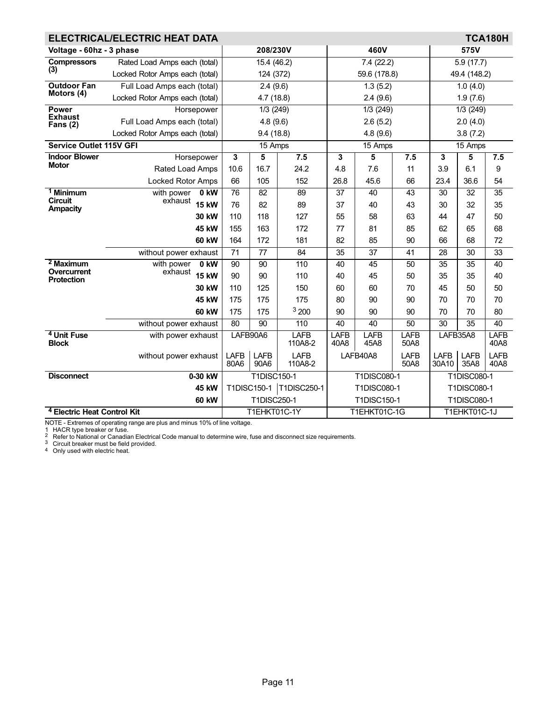|                                        | ELECTRICAL/ELECTRIC HEAT DATA          |                           |                     |                        |              |                    |                     |                      |                     | <b>TCA180H</b>      |
|----------------------------------------|----------------------------------------|---------------------------|---------------------|------------------------|--------------|--------------------|---------------------|----------------------|---------------------|---------------------|
| Voltage - 60hz - 3 phase               |                                        |                           | 208/230V            |                        |              | 460V               |                     |                      | 575V                |                     |
| <b>Compressors</b>                     | Rated Load Amps each (total)           |                           | 15.4 (46.2)         |                        |              | 7.4(22.2)          |                     |                      | 5.9(17.7)           |                     |
| (3)                                    | Locked Rotor Amps each (total)         |                           | 124 (372)           |                        |              | 59.6 (178.8)       |                     |                      | 49.4 (148.2)        |                     |
| <b>Outdoor Fan</b>                     | Full Load Amps each (total)            |                           | 2.4(9.6)            |                        |              | 1.3(5.2)           |                     |                      | 1.0(4.0)            |                     |
| Motors (4)                             | Locked Rotor Amps each (total)         |                           | 4.7(18.8)           |                        |              | 2.4(9.6)           |                     |                      | 1.9(7.6)            |                     |
| <b>Power</b>                           | Horsepower                             |                           | 1/3(249)            |                        |              | 1/3(249)           |                     |                      | 1/3(249)            |                     |
| <b>Exhaust</b><br>Fans $(2)$           | Full Load Amps each (total)            |                           | 4.8(9.6)            |                        |              | 2.6(5.2)           |                     |                      | 2.0(4.0)            |                     |
|                                        | Locked Rotor Amps each (total)         |                           | 9.4(18.8)           |                        |              | 4.8(9.6)           |                     |                      | 3.8(7.2)            |                     |
| <b>Service Outlet 115V GFI</b>         |                                        |                           | 15 Amps             |                        |              | 15 Amps            |                     |                      | 15 Amps             |                     |
| <b>Indoor Blower</b>                   | Horsepower                             | 3                         | $\sqrt{5}$          | 7.5                    | 3            | 5                  | 7.5                 | 3                    | 5                   | 7.5                 |
| <b>Motor</b>                           | Rated Load Amps                        | 10.6                      | 16.7                | 24.2                   | 4.8          | 7.6                | 11                  | 3.9                  | 6.1                 | 9                   |
|                                        | <b>Locked Rotor Amps</b>               | 66                        | 105                 | 152                    | 26.8         | 45.6               | 66                  | 23.4                 | 36.6                | 54                  |
| <b>Minimum</b>                         | with power<br>0 kW                     | 76                        | 82                  | 89                     | 37           | 40                 | 43                  | 30                   | 32                  | 35                  |
| <b>Circuit</b><br><b>Ampacity</b>      | exhaust<br><b>15 kW</b>                | 76                        | 82                  | 89                     | 37           | 40                 | 43                  | 30                   | 32                  | 35                  |
|                                        | 30 kW                                  | 110                       | 118                 | 127                    | 55           | 58                 | 63                  | 44                   | 47                  | 50                  |
|                                        | 45 kW                                  | 155                       | 163                 | 172                    | 77           | 81                 | 85                  | 62                   | 65                  | 68                  |
|                                        | <b>60 kW</b>                           | 164                       | 172                 | 181                    | 82           | 85                 | 90                  | 66                   | 68                  | 72                  |
|                                        | without power exhaust                  | 71                        | 77                  | 84                     | 35           | 37                 | 41                  | 28                   | 30                  | 33                  |
| $2$ Maximum<br>Overcurrent             | with power<br>0 kW                     | 90                        | $\overline{90}$     | 110                    | 40           | 45                 | 50                  | $\overline{35}$      | $\overline{35}$     | 40                  |
| <b>Protection</b>                      | exhaust<br><b>15 kW</b>                | 90                        | 90                  | 110                    | 40           | 45                 | 50                  | 35                   | 35                  | 40                  |
|                                        | 30 kW                                  | 110                       | 125                 | 150                    | 60           | 60                 | 70                  | 45                   | 50                  | 50                  |
|                                        | 45 kW                                  | 175                       | 175                 | 175                    | 80           | 90                 | 90                  | 70                   | 70                  | 70                  |
|                                        | <b>60 kW</b>                           | 175                       | 175                 | 3200                   | 90           | 90                 | 90                  | 70                   | 70                  | 80                  |
|                                        | without power exhaust                  | 80                        | 90                  | 110                    | 40           | 40                 | 50                  | 30                   | 35                  | $\overline{40}$     |
| <sup>4</sup> Unit Fuse<br><b>Block</b> | with power exhaust                     |                           | LAFB90A6            | <b>LAFB</b><br>110A8-2 | LAFB<br>40A8 | LAFB<br>45A8       | LAFB<br>50A8        | LAFB35A8             |                     | LAFB<br>40A8        |
|                                        | without power exhaust                  | <b>LAFB</b><br>80A6       | <b>LAFB</b><br>90A6 | <b>LAFB</b><br>110A8-2 |              | LAFB40A8           | <b>LAFB</b><br>50A8 | <b>LAFB</b><br>30A10 | <b>LAFB</b><br>35A8 | <b>LAFB</b><br>40A8 |
| <b>Disconnect</b>                      | 0-30 kW                                | <b>T1DISC150-1</b>        |                     |                        |              | <b>T1DISC080-1</b> |                     |                      | <b>T1DISC080-1</b>  |                     |
|                                        | <b>45 kW</b>                           | T1DISC150-1   T1DISC250-1 |                     |                        |              | T1DISC080-1        |                     |                      | T1DISC080-1         |                     |
|                                        | <b>60 kW</b>                           |                           | T1DISC250-1         |                        |              | T1DISC150-1        |                     |                      | T1DISC080-1         |                     |
|                                        | <sup>4</sup> Electric Heat Control Kit |                           |                     | T1EHKT01C-1Y           |              | T1EHKT01C-1G       |                     |                      | T1EHKT01C-1J        |                     |

1 HACR type breaker or fuse.<br><sup>2</sup> Refer to National or Canadian Electrical Code manual to determine wire, fuse and disconnect size requirements.<br><sup>3</sup> Circuit breaker must be field provided.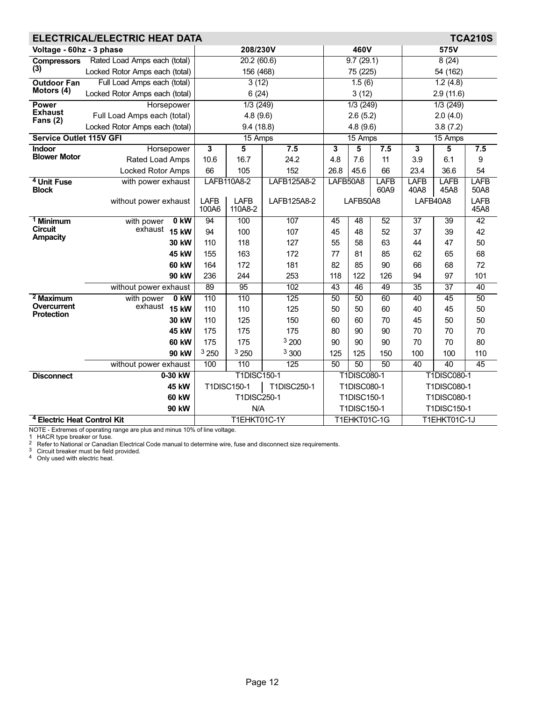|                                        | ELECTRICAL/ELECTRIC HEAT DATA          |                 |             |                    |             |              |                    |                     |                                                                                                                                                                                                                                                                        |          | <b>TCA210S</b>      |
|----------------------------------------|----------------------------------------|-----------------|-------------|--------------------|-------------|--------------|--------------------|---------------------|------------------------------------------------------------------------------------------------------------------------------------------------------------------------------------------------------------------------------------------------------------------------|----------|---------------------|
| Voltage - 60hz - 3 phase               |                                        |                 |             | 208/230V           |             |              | 460V               |                     |                                                                                                                                                                                                                                                                        | 575V     |                     |
| <b>Compressors</b>                     | Rated Load Amps each (total)           |                 |             | 20.2(60.6)         |             |              | 9.7(29.1)          |                     |                                                                                                                                                                                                                                                                        | 8(24)    |                     |
| (3)                                    | Locked Rotor Amps each (total)         |                 |             | 156 (468)          |             |              | 75 (225)           |                     |                                                                                                                                                                                                                                                                        | 54 (162) |                     |
| <b>Outdoor Fan</b>                     | Full Load Amps each (total)            |                 |             | 3(12)              |             |              | 1.5(6)             |                     |                                                                                                                                                                                                                                                                        | 1.2(4.8) |                     |
| Motors (4)                             | Locked Rotor Amps each (total)         |                 |             | 6(24)              |             |              | 3(12)              |                     |                                                                                                                                                                                                                                                                        |          |                     |
| <b>Power</b>                           | Horsepower                             |                 |             | 1/3(249)           |             |              | 1/3(249)           |                     |                                                                                                                                                                                                                                                                        |          |                     |
| <b>Exhaust</b><br>Fans $(2)$           | Full Load Amps each (total)            |                 |             | 4.8(9.6)           |             |              | 2.6(5.2)           |                     |                                                                                                                                                                                                                                                                        | 2.0(4.0) |                     |
|                                        | Locked Rotor Amps each (total)         |                 |             | 9.4(18.8)          |             |              | 4.8(9.6)           |                     |                                                                                                                                                                                                                                                                        | 3.8(7.2) |                     |
| <b>Service Outlet 115V GFI</b>         |                                        |                 |             | 15 Amps            |             |              | 15 Amps            |                     |                                                                                                                                                                                                                                                                        |          |                     |
| <b>Indoor</b>                          | Horsepower                             |                 | 3           | 5                  | 7.5         | $\mathbf{3}$ | 5                  | 7.5                 | 3                                                                                                                                                                                                                                                                      | 5        | 7.5                 |
| <b>Blower Motor</b>                    | Rated Load Amps                        |                 | 10.6        | 16.7               | 24.2        | 4.8          | 7.6                | 11                  | 3.9                                                                                                                                                                                                                                                                    | 6.1      | 9                   |
|                                        | Locked Rotor Amps                      |                 | 66          | 105                | 152         | 26.8         | 45.6               | 66                  |                                                                                                                                                                                                                                                                        |          | 54                  |
| <sup>4</sup> Unit Fuse<br><b>Block</b> | with power exhaust                     |                 |             | LAFB110A8-2        | LAFB125A8-2 | LAFB50A8     |                    | <b>LAFB</b><br>60A9 |                                                                                                                                                                                                                                                                        |          | <b>LAFB</b><br>50A8 |
|                                        | without power exhaust                  |                 | <b>LAFB</b> | <b>LAFB</b>        | LAFB125A8-2 |              | LAFB50A8           |                     |                                                                                                                                                                                                                                                                        |          | <b>LAFB</b>         |
|                                        |                                        |                 | 100A6       | 110A8-2            |             |              |                    |                     |                                                                                                                                                                                                                                                                        |          | 45A8                |
| <sup>1</sup> Minimum                   | with power                             | 0 <sub>KW</sub> | 94          | 100                | 107         | 45           | $\overline{48}$    | 52                  | $\overline{37}$                                                                                                                                                                                                                                                        | 39       | 42                  |
| <b>Circuit</b><br><b>Ampacity</b>      | exhaust<br><b>15 kW</b>                |                 | 94          | 100                | 107         | 45           | 48                 | 52                  | 37                                                                                                                                                                                                                                                                     | 39       | 42                  |
|                                        | 30 kW                                  |                 | 110         | 118                | 127         | 55           | 58                 | 63                  | 44                                                                                                                                                                                                                                                                     | 47       | 50                  |
|                                        | 45 kW                                  |                 | 155         | 163                | 172         | 77           | 81                 | 85                  | 62                                                                                                                                                                                                                                                                     | 65       | 68                  |
|                                        | <b>60 kW</b>                           |                 | 164         | 172                | 181         | 82           | 85                 | 90                  | 66                                                                                                                                                                                                                                                                     | 68       | 72                  |
|                                        | 90 kW                                  |                 | 236         | 244                | 253         | 118          | 122                | 126                 | 94                                                                                                                                                                                                                                                                     | 97       | 101                 |
|                                        | without power exhaust                  |                 | 89          | 95                 | 102         | 43           | 46                 | 49                  |                                                                                                                                                                                                                                                                        |          | 40                  |
| $\frac{2}{3}$ Maximum                  | with power                             | 0 kW            | 110         | 110                | 125         | 50           | 50                 | 60                  |                                                                                                                                                                                                                                                                        |          | 50                  |
| Overcurrent<br><b>Protection</b>       | exhaust<br><b>15 kW</b>                |                 | 110         | 110                | 125         | 50           | 50                 | 60                  | 40                                                                                                                                                                                                                                                                     |          | 50                  |
|                                        | 30 kW                                  |                 | 110         | 125                | 150         | 60           | 60                 | 70                  | 45                                                                                                                                                                                                                                                                     | 50       | 50                  |
|                                        | 45 kW                                  |                 | 175         | 175                | 175         | 80           | 90                 | 90                  |                                                                                                                                                                                                                                                                        |          | 70                  |
|                                        | <b>60 kW</b>                           |                 | 175         | 175                | 3200        | 90           | 90                 | 90                  | 70                                                                                                                                                                                                                                                                     |          | 80                  |
|                                        | 90 kW                                  |                 | 3250        | 3 250              | 3 300       | 125          | 125                | 150                 | 100                                                                                                                                                                                                                                                                    | 100      | 110                 |
|                                        | without power exhaust                  |                 | 100         | 110                | 125         | 50           | 50                 | 50                  |                                                                                                                                                                                                                                                                        |          | 45                  |
| <b>Disconnect</b>                      | 0-30 kW                                |                 |             | <b>T1DISC150-1</b> |             |              | <b>T1DISC080-1</b> |                     |                                                                                                                                                                                                                                                                        |          |                     |
|                                        | 45 kW                                  |                 |             | T1DISC150-1        | T1DISC250-1 |              | T1DISC080-1        |                     |                                                                                                                                                                                                                                                                        |          |                     |
|                                        | <b>60 kW</b>                           |                 |             | <b>T1DISC250-1</b> |             |              | T1DISC150-1        |                     |                                                                                                                                                                                                                                                                        |          |                     |
|                                        | 90 kW                                  |                 |             | N/A                |             |              | T1DISC150-1        |                     | 2.9(11.6)<br>1/3(249)<br>15 Amps<br>23.4<br>36.6<br><b>LAFB</b><br><b>LAFB</b><br>40A8<br>45A8<br>LAFB40A8<br>35<br>$\overline{37}$<br>40<br>45<br>45<br>70<br>70<br>70<br>40<br>40<br><b>T1DISC080-1</b><br>T1DISC080-1<br>T1DISC080-1<br>T1DISC150-1<br>T1EHKT01C-1J |          |                     |
|                                        | <sup>4</sup> Electric Heat Control Kit |                 |             | T1EHKT01C-1Y       |             |              | T1EHKT01C-1G       |                     |                                                                                                                                                                                                                                                                        |          |                     |

NOTE - Extremes of operating range are plus and minus 10% of line voltage.<br>1  HACR type breaker or fuse.<br><sup>2</sup>  Refer to National or Canadian Electrical Code manual to determine wire, fuse and disconnect size requirements.<br><sup></sup>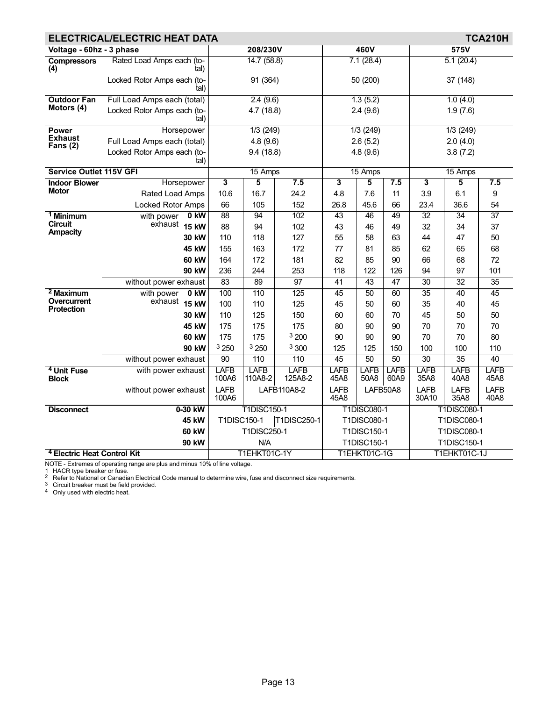|                                        | ELECTRICAL/ELECTRIC HEAT DATA       |                         |                        |                        |                     |                     |                     |                                                                                                                                  |                 | <b>TCA210H</b>      |
|----------------------------------------|-------------------------------------|-------------------------|------------------------|------------------------|---------------------|---------------------|---------------------|----------------------------------------------------------------------------------------------------------------------------------|-----------------|---------------------|
| Voltage - 60hz - 3 phase               |                                     |                         | 208/230V               |                        |                     | 460V                |                     |                                                                                                                                  | 575V            |                     |
| <b>Compressors</b><br>(4)              | Rated Load Amps each (to-<br>tal)   |                         | 14.7(58.8)             |                        |                     | 7.1(28.4)           |                     |                                                                                                                                  | 5.1(20.4)       |                     |
|                                        | Locked Rotor Amps each (to-<br>tal) |                         | 91 (364)               |                        |                     | 50 (200)            |                     |                                                                                                                                  | 37 (148)        |                     |
| <b>Outdoor Fan</b>                     | Full Load Amps each (total)         |                         | 2.4(9.6)               |                        |                     | 1.3(5.2)            |                     |                                                                                                                                  | 1.0(4.0)        |                     |
| Motors (4)                             | Locked Rotor Amps each (to-<br>tal) |                         | 4.7(18.8)              |                        |                     | 2.4(9.6)            |                     |                                                                                                                                  | 1.9(7.6)        |                     |
| <b>Power</b>                           | Horsepower                          |                         | 1/3(249)               |                        |                     | 1/3(249)            |                     |                                                                                                                                  | 1/3(249)        |                     |
| <b>Exhaust</b><br>Fans $(2)$           | Full Load Amps each (total)         |                         | 4.8(9.6)               |                        |                     | 2.6(5.2)            |                     |                                                                                                                                  | 2.0(4.0)        |                     |
|                                        | Locked Rotor Amps each (to-<br>tal) |                         | 9.4(18.8)              |                        |                     | 4.8(9.6)            |                     |                                                                                                                                  | 3.8(7.2)        |                     |
| <b>Service Outlet 115V GFI</b>         |                                     |                         | 15 Amps                |                        |                     | 15 Amps             |                     |                                                                                                                                  | 15 Amps         |                     |
| <b>Indoor Blower</b>                   | Horsepower                          | $\overline{\mathbf{3}}$ | 5                      | 7.5                    | 3                   | 5                   | 7.5                 | 3                                                                                                                                | 5               | 7.5                 |
| <b>Motor</b>                           | Rated Load Amps                     | 10.6                    | 16.7                   | 24.2                   | 4.8                 | 7.6                 | 11                  | 3.9                                                                                                                              | 6.1             | 9                   |
|                                        | <b>Locked Rotor Amps</b>            | 66                      | 105                    | 152                    | 26.8                | 45.6                | 66                  | 23.4                                                                                                                             | 36.6            | 54                  |
| <sup>1</sup> Minimum                   | with power<br>0 kW                  | 88                      | 94                     | 102                    | 43                  | 46                  | 49                  | $\overline{32}$                                                                                                                  | $\overline{34}$ | $\overline{37}$     |
| <b>Circuit</b><br><b>Ampacity</b>      | exhaust 15 kW                       | 88                      | 94                     | 102                    | 43                  | 46                  | 49                  | 32                                                                                                                               | 34              | 37                  |
|                                        | 30 kW                               | 110                     | 118                    | 127                    | 55                  | 58                  | 63                  | 44                                                                                                                               | 47              | 50                  |
|                                        | 45 kW                               | 155                     | 163                    | 172                    | 77                  | 81                  | 85                  | 62                                                                                                                               | 65              | 68                  |
|                                        | <b>60 kW</b>                        | 164                     | 172                    | 181                    | 82                  | 85                  | 90                  | 66                                                                                                                               | 68              | 72                  |
|                                        | 90 kW                               | 236                     | 244                    | 253                    | 118                 | 122                 | 126                 | 94                                                                                                                               | 97              | 101                 |
|                                        | without power exhaust               | 83                      | 89                     | 97                     | 41                  | 43                  | 47                  | 30                                                                                                                               | 32              | 35                  |
| $2$ Maximum                            | 0 kW<br>with power                  | 100                     | 110                    | 125                    | 45                  | 50                  | 60                  |                                                                                                                                  | 40              | 45                  |
| Overcurrent<br><b>Protection</b>       | exhaust<br><b>15 kW</b>             | 100                     | 110                    | 125                    | 45                  | 50                  | 60                  | 35                                                                                                                               | 40              | 45                  |
|                                        | 30 kW                               | 110                     | 125                    | 150                    | 60                  | 60                  | 70                  | 45                                                                                                                               | 50              | 50                  |
|                                        | 45 kW                               | 175                     | 175                    | 175                    | 80                  | 90                  | 90                  | 70                                                                                                                               | 70              | 70                  |
|                                        | 60 kW                               | 175                     | 175                    | 3200                   | 90                  | 90                  | 90                  | 70                                                                                                                               | 70              | 80                  |
|                                        | 90 kW                               | 3250                    | 3250                   | 3 300                  | 125                 | 125                 | 150                 | 100                                                                                                                              | 100             | 110                 |
|                                        | without power exhaust               | 90                      | 110                    | 110                    | 45                  | 50                  | 50                  | $\overline{30}$                                                                                                                  |                 | 40                  |
| <sup>4</sup> Unit Fuse<br><b>Block</b> | with power exhaust                  | <b>LAFB</b><br>100A6    | <b>LAFB</b><br>110A8-2 | <b>LAFB</b><br>125A8-2 | <b>LAFB</b><br>45A8 | <b>LAFB</b><br>50A8 | <b>LAFB</b><br>60A9 | 35A8                                                                                                                             | 40A8            | <b>LAFB</b><br>45A8 |
|                                        | without power exhaust               | <b>LAFB</b><br>100A6    |                        | LAFB110A8-2            | <b>LAFB</b><br>45A8 |                     | LAFB50A8            | <b>LAFB</b><br>30A10                                                                                                             | LAFB<br>35A8    | LAFB<br>40A8        |
| <b>Disconnect</b>                      | 0-30 kW                             |                         | <b>T1DISC150-1</b>     |                        |                     | <b>T1DISC080-1</b>  |                     |                                                                                                                                  |                 |                     |
|                                        | 45 kW                               | T1DISC150-1             |                        | T1DISC250-1            |                     | T1DISC080-1         |                     |                                                                                                                                  |                 |                     |
|                                        | <b>60 kW</b>                        |                         | T1DISC250-1            |                        |                     | T1DISC150-1         |                     |                                                                                                                                  |                 |                     |
|                                        | 90 kW                               |                         | N/A                    |                        |                     | <b>T1DISC150-1</b>  |                     | 35<br>35<br><b>LAFB</b><br><b>LAFB</b><br><b>T1DISC080-1</b><br>T1DISC080-1<br>T1DISC080-1<br><b>T1DISC150-1</b><br>T1EHKT01C-1J |                 |                     |
| <sup>4</sup> Electric Heat Control Kit |                                     |                         | T1EHKT01C-1Y           |                        |                     | T1EHKT01C-1G        |                     |                                                                                                                                  |                 |                     |

NOTE - Extremes of operating range are plus and minus 10% of line voltage.<br>1  HACR type breaker or fuse.<br><sup>2</sup>  Refer to National or Canadian Electrical Code manual to determine wire, fuse and disconnect size requirements.<br><sup></sup>

4 Only used with electric heat.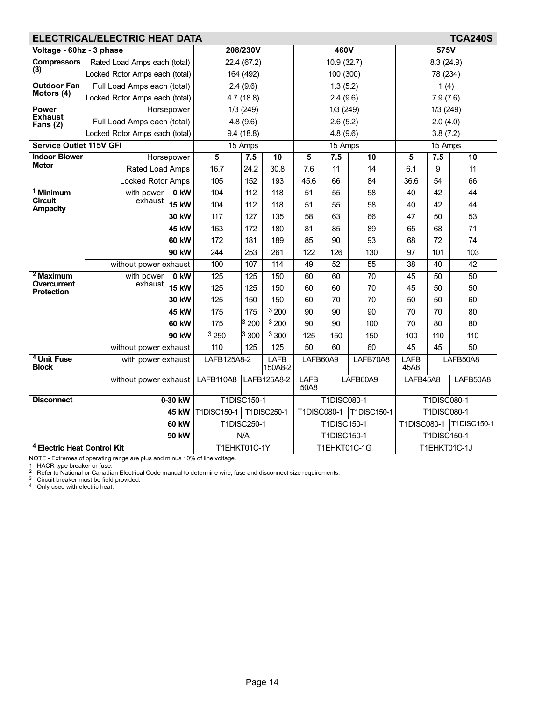| <b>TCA240S</b><br><b>ELECTRICAL/ELECTRIC HEAT DATA</b>       |                                |                           |                  |                        |                           |                    |                     |                        |                    |                           |
|--------------------------------------------------------------|--------------------------------|---------------------------|------------------|------------------------|---------------------------|--------------------|---------------------|------------------------|--------------------|---------------------------|
| Voltage - 60hz - 3 phase                                     |                                |                           | 208/230V         |                        | 460V                      |                    |                     | 575V                   |                    |                           |
| Rated Load Amps each (total)<br><b>Compressors</b>           |                                |                           | 22.4(67.2)       |                        |                           | 10.9(32.7)         |                     | 8.3(24.9)              |                    |                           |
| (3)                                                          | Locked Rotor Amps each (total) | 164 (492)                 |                  | 100 (300)              |                           |                    | 78 (234)            |                        |                    |                           |
| <b>Outdoor Fan</b>                                           | Full Load Amps each (total)    | 2.4(9.6)                  |                  |                        |                           | 1.3(5.2)           |                     | 1(4)                   |                    |                           |
| Motors (4)                                                   | Locked Rotor Amps each (total) |                           | 4.7(18.8)        |                        |                           | 2.4(9.6)           |                     | 7.9(7.6)               |                    |                           |
| <b>Power</b>                                                 | Horsepower                     |                           | 1/3(249)         |                        |                           | 1/3(249)           |                     | $\overline{1/3}$ (249) |                    |                           |
| <b>Exhaust</b><br>Fans $(2)$                                 | Full Load Amps each (total)    |                           | 4.8(9.6)         |                        |                           | 2.6(5.2)           |                     |                        | 2.0(4.0)           |                           |
|                                                              | Locked Rotor Amps each (total) |                           | 9.4(18.8)        |                        |                           | 4.8(9.6)           |                     |                        | 3.8(7.2)           |                           |
| <b>Service Outlet 115V GFI</b>                               |                                |                           | 15 Amps          |                        | 15 Amps                   |                    |                     |                        | 15 Amps            |                           |
| <b>Indoor Blower</b><br><b>Motor</b>                         | Horsepower                     | 5                         | 7.5              | $\overline{10}$        | 5                         | 7.5                | 10                  | 5                      | 7.5                | 10                        |
|                                                              | Rated Load Amps                | 16.7                      | 24.2             | 30.8                   | 7.6                       | 11                 | 14                  | 6.1                    | 9                  | 11                        |
|                                                              | <b>Locked Rotor Amps</b>       | 105                       | 152              | 193                    | 45.6                      | 66                 | 84                  | 36.6                   | 54                 | 66                        |
| <sup>1</sup> Minimum<br><b>Circuit</b>                       | with power<br>0 kW<br>exhaust  | 104                       | 112              | 118                    | 51                        | 55                 | 58                  | 40                     | 42                 | 44                        |
| Ampacity                                                     | <b>15 kW</b>                   | 104                       | 112              | 118                    | 51                        | 55                 | 58                  | 40                     | 42                 | 44                        |
|                                                              | 30 kW                          | 117                       | 127              | 135                    | 58                        | 63                 | 66                  | 47                     | 50                 | 53                        |
| 45 kW<br>60 kW                                               |                                | 163                       | 172              | 180                    | 81                        | 85                 | 89                  | 65                     | 68                 | 71                        |
|                                                              |                                | 172                       | 181              | 189                    | 85                        | 90                 | 93                  | 68                     | 72                 | 74                        |
|                                                              | 90 kW                          | 244                       | 253              | 261                    | 122                       | 126                | 130                 | 97                     | 101                | 103                       |
|                                                              | without power exhaust          | 100                       | 107              | 114                    | 49                        | 52                 | $\overline{55}$     | $\overline{38}$        | 40                 | $\overline{42}$           |
| $2$ Maximum<br><b>Overcurrent</b>                            | 0 kW<br>with power<br>exhaust  | 125                       | $\overline{125}$ | 150                    | 60                        | 60                 | 70                  | 45                     | 50                 | $\overline{50}$           |
| <b>Protection</b>                                            | <b>15 kW</b>                   | 125                       | 125              | 150                    | 60                        | 60                 | 70                  | 45                     | 50                 | 50                        |
|                                                              | 30 kW                          | 125                       | 150              | 150                    | 60                        | 70                 | 70                  | 50                     | 50                 | 60                        |
|                                                              | 45 kW                          | 175                       | 175              | 3200                   | 90                        | 90                 | 90                  | 70                     | 70                 | 80                        |
|                                                              | 60 kW                          | 175                       | 3200             | 3200                   | 90                        | 90                 | 100                 | 70                     | 80                 | 80                        |
|                                                              | 90 kW                          | 3250                      | 3300             | 3 300                  | 125                       | 150                | 150                 | 100                    | 110                | 110                       |
|                                                              | without power exhaust          | 110                       | $\overline{125}$ | 125                    | 50                        | 60                 | 60                  | 45                     | 45                 | 50                        |
| <sup>4</sup> Unit Fuse<br>with power exhaust<br><b>Block</b> |                                | LAFB125A8-2               |                  | <b>LAFB</b><br>150A8-2 | LAFB60A9<br>LAFB70A8      |                    | <b>LAFB</b><br>45A8 |                        | LAFB50A8           |                           |
| without power exhaust                                        |                                | LAFB110A8                 |                  | LAFB125A8-2            | LAFB<br>50A8              |                    | LAFB60A9            | LAFB45A8               |                    | LAFB50A8                  |
| <b>Disconnect</b>                                            | 0-30 kW                        |                           | T1DISC150-1      |                        |                           | <b>T1DISC080-1</b> |                     |                        | <b>T1DISC080-1</b> |                           |
|                                                              | 45 kW                          | T1DISC150-1   T1DISC250-1 |                  |                        | T1DISC080-1   T1DISC150-1 |                    |                     | <b>T1DISC080-1</b>     |                    |                           |
|                                                              | <b>60 kW</b>                   |                           | T1DISC250-1      |                        |                           | T1DISC150-1        |                     |                        |                    | T1DISC080-1   T1DISC150-1 |
|                                                              | 90 kW                          |                           | N/A              |                        |                           | T1DISC150-1        |                     |                        | T1DISC150-1        |                           |
| <sup>4</sup> Electric Heat Control Kit                       | T1EHKT01C-1Y                   |                           |                  |                        |                           | T1EHKT01C-1G       |                     |                        | T1EHKT01C-1J       |                           |

1 HACR type breaker or fuse.<br><sup>2</sup> Refer to National or Canadian Electrical Code manual to determine wire, fuse and disconnect size requirements.<br><sup>3</sup> Circuit breaker must be field provided.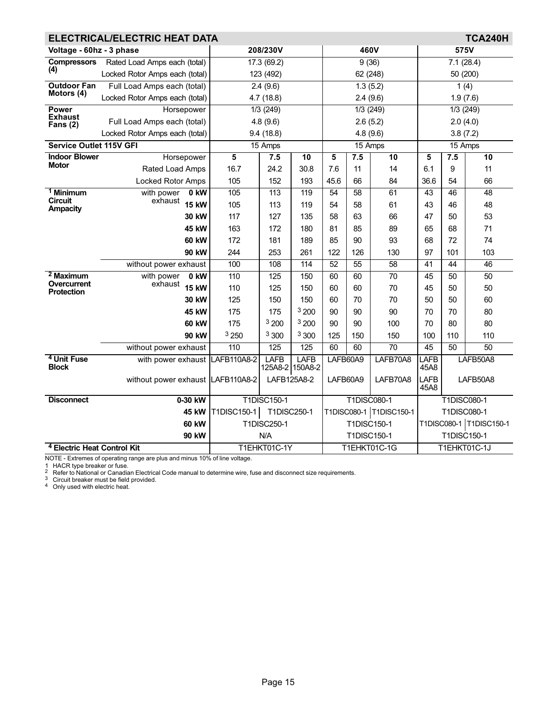| <b>TCA240H</b><br><b>ELECTRICAL/ELECTRIC HEAT DATA</b> |                                   |             |                    |                         |                           |                 |                 |                         |             |                 |
|--------------------------------------------------------|-----------------------------------|-------------|--------------------|-------------------------|---------------------------|-----------------|-----------------|-------------------------|-------------|-----------------|
| Voltage - 60hz - 3 phase                               |                                   |             | 208/230V           |                         |                           | 460V            |                 | 575V                    |             |                 |
| <b>Compressors</b>                                     | Rated Load Amps each (total)      | 17.3 (69.2) |                    | 9(36)                   |                           |                 | 7.1(28.4)       |                         |             |                 |
| (4)                                                    | Locked Rotor Amps each (total)    | 123 (492)   |                    | 62 (248)                |                           | 50 (200)        |                 |                         |             |                 |
| <b>Outdoor Fan</b>                                     | Full Load Amps each (total)       |             | 2.4(9.6)           |                         |                           | 1.3(5.2)        |                 |                         | 1(4)        |                 |
| Motors (4)                                             | Locked Rotor Amps each (total)    |             | 4.7 (18.8)         |                         |                           | 2.4(9.6)        |                 | 1.9(7.6)                |             |                 |
| <b>Power</b>                                           | Horsepower                        |             | 1/3(249)           |                         |                           | $1/3$ (249)     |                 |                         | 1/3(249)    |                 |
| <b>Exhaust</b><br>Fans $(2)$                           | Full Load Amps each (total)       |             | 4.8(9.6)           |                         |                           | 2.6(5.2)        |                 |                         | 2.0(4.0)    |                 |
|                                                        | Locked Rotor Amps each (total)    |             | 9.4(18.8)          |                         |                           | 4.8(9.6)        |                 |                         | 3.8(7.2)    |                 |
| <b>Service Outlet 115V GFI</b>                         |                                   |             | 15 Amps            |                         |                           | 15 Amps         |                 |                         | 15 Amps     |                 |
| <b>Indoor Blower</b><br><b>Motor</b>                   | Horsepower                        | 5           | 7.5                | 10                      | 5                         | 7.5             | 10              | 5                       | 7.5         | 10              |
|                                                        | Rated Load Amps                   | 16.7        | 24.2               | 30.8                    | 7.6                       | 11              | 14              | 6.1                     | 9           | 11              |
|                                                        | <b>Locked Rotor Amps</b>          | 105         | 152                | 193                     | 45.6                      | 66              | 84              | 36.6                    | 54          | 66              |
| <sup>1</sup> Minimum<br><b>Circuit</b>                 | with power<br>$0$ kW              | 105         | 113                | 119                     | 54                        | $\overline{58}$ | 61              | 43                      | 46          | $\overline{48}$ |
| <b>Ampacity</b>                                        | exhaust<br><b>15 kW</b>           | 105         | 113                | 119                     | 54                        | 58              | 61              | 43                      | 46          | 48              |
|                                                        | 30 kW                             | 117         | 127                | 135                     | 58                        | 63              | 66              | 47                      | 50          | 53              |
|                                                        | 45 kW                             | 163         | 172                | 180                     | 81                        | 85              | 89              | 65                      | 68          | 71              |
|                                                        | <b>60 kW</b>                      | 172         | 181                | 189                     | 85                        | 90              | 93              | 68                      | 72          | 74              |
|                                                        | 90 kW                             | 244         | 253                | 261                     | 122                       | 126             | 130             | 97                      | 101         | 103             |
|                                                        | without power exhaust             | 100         | 108                | 114                     | 52                        | $\overline{55}$ | 58              | 41                      | 44          | 46              |
| $2$ Maximum<br>Overcurrent                             | with power<br>0 kW<br>exhaust     | 110         | 125                | 150                     | 60                        | 60              | $\overline{70}$ | 45                      | 50          | $\overline{50}$ |
| <b>Protection</b>                                      | <b>15 kW</b>                      | 110         | 125                | 150                     | 60                        | 60              | 70              | 45                      | 50          | 50              |
|                                                        | 30 kW                             | 125         | 150                | 150                     | 60                        | 70              | 70              | 50                      | 50          | 60              |
|                                                        | 45 kW                             | 175         | 175                | 3200                    | 90                        | 90              | 90              | 70                      | 70          | 80              |
|                                                        | 60 kW                             | 175         | <sup>3</sup> 200   | 3200                    | 90                        | 90              | 100             | 70                      | 80          | 80              |
|                                                        | 90 kW                             | 3250        | 3 300              | 3 300                   | 125                       | 150             | 150             | 100                     | 110         | 110             |
|                                                        | without power exhaust             | 110         | 125                | 125                     | 60                        | 60              | 70              | 45                      | 50          | 50              |
| <sup>4</sup> Unit Fuse<br><b>Block</b>                 | with power exhaust                | LAFB110A8-2 | <b>LAFB</b>        | LAFB<br>125A8-2 150A8-2 | LAFB60A9                  |                 | LAFB70A8        | LAFB<br>45A8            |             | LAFB50A8        |
|                                                        | without power exhaust LAFB110A8-2 |             | LAFB125A8-2        |                         | LAFB60A9                  |                 | LAFB70A8        | LAFB<br>45A8            |             | LAFB50A8        |
| <b>Disconnect</b>                                      | 0-30 kW                           |             | <b>T1DISC150-1</b> |                         | <b>T1DISC080-1</b>        |                 |                 | <b>T1DISC080-1</b>      |             |                 |
|                                                        | 45 kW                             | T1DISC150-1 | T1DISC250-1        |                         | T1DISC080-1   T1DISC150-1 |                 |                 | <b>T1DISC080-1</b>      |             |                 |
|                                                        | <b>60 kW</b>                      |             | T1DISC250-1        |                         | T1DISC150-1               |                 |                 | T1DISC080-1 T1DISC150-1 |             |                 |
|                                                        | 90 kW                             |             | N/A                |                         |                           | T1DISC150-1     |                 |                         | T1DISC150-1 |                 |
| <sup>4</sup> Electric Heat Control Kit                 |                                   |             | T1EHKT01C-1Y       |                         | T1EHKT01C-1G              |                 |                 | T1EHKT01C-1J            |             |                 |

1 HACR type breaker or fuse.<br><sup>2</sup> Refer to National or Canadian Electrical Code manual to determine wire, fuse and disconnect size requirements.<br><sup>3</sup> Circuit breaker must be field provided.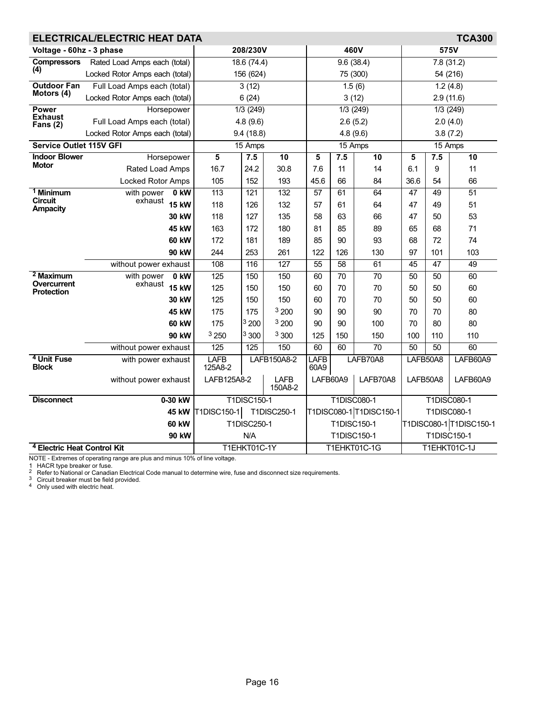|                                        | <b>TCA300</b><br>ELECTRICAL/ELECTRIC HEAT DATA |                        |                    |                        |                      |                 |                         |                 |                    |                         |
|----------------------------------------|------------------------------------------------|------------------------|--------------------|------------------------|----------------------|-----------------|-------------------------|-----------------|--------------------|-------------------------|
| Voltage - 60hz - 3 phase               |                                                |                        | 208/230V           |                        |                      |                 | 460V                    | 575V            |                    |                         |
| <b>Compressors</b>                     | Rated Load Amps each (total)                   |                        | 18.6(74.4)         |                        |                      | 9.6(38.4)       |                         |                 | 7.8(31.2)          |                         |
| (4)                                    | Locked Rotor Amps each (total)                 | 156 (624)              |                    | 75 (300)               |                      |                 | 54 (216)                |                 |                    |                         |
| <b>Outdoor Fan</b>                     | Full Load Amps each (total)                    | 3(12)                  |                    |                        |                      | 1.5(6)          | 1.2(4.8)                |                 |                    |                         |
| Motors (4)                             | Locked Rotor Amps each (total)                 |                        | 6(24)              |                        |                      | 3(12)           |                         | 2.9(11.6)       |                    |                         |
| <b>Power</b><br><b>Exhaust</b>         | Horsepower                                     |                        | 1/3 (249)          |                        |                      |                 | $1/3$ (249)             |                 | 1/3(249)           |                         |
| Fans $(2)$                             | Full Load Amps each (total)                    |                        | 4.8(9.6)           |                        |                      |                 | 2.6(5.2)                |                 | 2.0(4.0)           |                         |
|                                        | Locked Rotor Amps each (total)                 |                        | 9.4(18.8)          |                        |                      |                 | 4.8 (9.6)               |                 | 3.8(7.2)           |                         |
| Service Outlet 115V GFI                |                                                |                        | 15 Amps            |                        |                      | $15$ Amps       |                         |                 | 15 Amps            |                         |
| <b>Indoor Blower</b><br>Motor          | Horsepower                                     | 5                      | 7.5                | $\overline{10}$        | 5                    | 7.5             | $\overline{10}$         | 5               | 7.5                | $\overline{10}$         |
|                                        | Rated Load Amps                                | 16.7                   | 24.2               | 30.8                   | 7.6                  | 11              | 14                      | 6.1             | 9                  | 11                      |
|                                        | Locked Rotor Amps                              | 105                    | 152                | 193                    | 45.6                 | 66              | 84                      | 36.6            | 54                 | 66                      |
| $1$ Minimum<br><b>Circuit</b>          | with power<br>0 kW<br>exhaust                  | 113                    | 121                | 132                    | $\overline{57}$      | 61              | 64                      | $\overline{47}$ | 49                 | $\overline{51}$         |
| <b>Ampacity</b>                        | <b>15 kW</b>                                   | 118                    | 126                | 132                    | 57                   | 61              | 64                      | 47              | 49                 | 51                      |
|                                        | 30 kW                                          | 118                    | 127                | 135                    | 58                   | 63              | 66                      | 47              | 50                 | 53                      |
|                                        | 45 kW                                          | 163                    | 172                | 180                    | 81                   | 85              | 89                      | 65              | 68                 | 71                      |
|                                        | 60 kW                                          | 172                    | 181                | 189                    | 85                   | 90              | 93                      | 68              | 72                 | 74                      |
|                                        | 90 kW                                          | 244                    | 253                | 261                    | 122                  | 126             | 130                     | 97              | 101                | 103                     |
|                                        | without power exhaust                          | 108                    | 116                | 127                    | $\overline{55}$      | $\overline{58}$ | 61                      | 45              | $\overline{47}$    | 49                      |
| $2$ Maximum<br><b>Overcurrent</b>      | with power<br>0 kW<br>exhaust                  | 125                    | 150                | 150                    | 60                   | 70              | 70                      | $\overline{50}$ | $\overline{50}$    | 60                      |
| <b>Protection</b>                      | <b>15 kW</b>                                   | 125                    | 150                | 150                    | 60                   | 70              | 70                      | 50              | 50                 | 60                      |
|                                        | 30 kW                                          | 125                    | 150                | 150                    | 60                   | 70              | 70                      | 50              | 50                 | 60                      |
|                                        | 45 kW                                          | 175                    | 175                | 3200                   | 90                   | 90              | 90                      | 70              | 70                 | 80                      |
|                                        | 60 kW                                          | 175                    | 3200               | <sup>3</sup> 200       | 90                   | 90              | 100                     | 70              | 80                 | 80                      |
|                                        | 90 kW                                          | 3 250                  | 3300               | 3 300                  | 125                  | 150             | 150                     | 100             | 110                | 110                     |
|                                        | without power exhaust                          | 125                    | 125                | 150                    | 60                   | 60              | $\overline{70}$         | 50              | 50                 | 60                      |
| <sup>4</sup> Unit Fuse<br><b>Block</b> | with power exhaust                             | <b>LAFB</b><br>125A8-2 |                    | LAFB150A8-2            | LAFB<br>60A9         |                 | LAFB70A8                | LAFB50A8        |                    | LAFB60A9                |
|                                        | without power exhaust                          | LAFB125A8-2            |                    | <b>LAFB</b><br>150A8-2 | LAFB60A9<br>LAFB70A8 |                 | LAFB50A8                |                 | LAFB60A9           |                         |
| <b>Disconnect</b>                      | 0-30 kW                                        |                        | <b>T1DISC150-1</b> |                        | <b>T1DISC080-1</b>   |                 |                         |                 | <b>T1DISC080-1</b> |                         |
|                                        | <b>45 kW</b>                                   | T1DISC150-1            |                    | T1DISC250-1            |                      |                 | T1DISC080-1 T1DISC150-1 |                 | <b>T1DISC080-1</b> |                         |
|                                        | <b>60 kW</b>                                   |                        | T1DISC250-1        |                        |                      | T1DISC150-1     |                         |                 |                    | T1DISC080-1 T1DISC150-1 |
|                                        | 90 kW                                          |                        | N/A                |                        |                      | T1DISC150-1     |                         |                 | T1DISC150-1        |                         |
| <sup>4</sup> Electric Heat Control Kit |                                                |                        | T1EHKT01C-1Y       |                        |                      |                 | T1EHKT01C-1G            | T1EHKT01C-1J    |                    |                         |

1 HACR type breaker or fuse.<br><sup>2</sup> Refer to National or Canadian Electrical Code manual to determine wire, fuse and disconnect size requirements.<br><sup>3</sup> Circuit breaker must be field provided.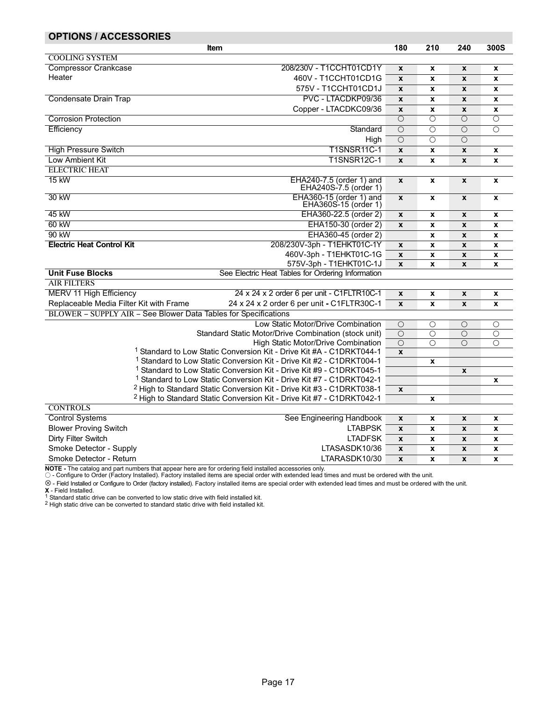<span id="page-16-0"></span>

| <b>OPTIONS / ACCESSORIES</b>                                    |                                                                                                                                                                     |                    |                       |                       |                       |  |
|-----------------------------------------------------------------|---------------------------------------------------------------------------------------------------------------------------------------------------------------------|--------------------|-----------------------|-----------------------|-----------------------|--|
|                                                                 | Item                                                                                                                                                                | 180                | 210                   | 240                   | 300S                  |  |
| <b>COOLING SYSTEM</b>                                           |                                                                                                                                                                     |                    |                       |                       |                       |  |
| <b>Compressor Crankcase</b>                                     | 208/230V - T1CCHT01CD1Y                                                                                                                                             | $\boldsymbol{x}$   | X                     | X                     | X                     |  |
| Heater                                                          | 460V - T1CCHT01CD1G                                                                                                                                                 | $\mathbf{x}$       | X                     | X                     | $\pmb{\mathsf{x}}$    |  |
|                                                                 | 575V - T1CCHT01CD1J                                                                                                                                                 | $\mathbf{x}$       | X                     | $\mathbf{x}$          | $\pmb{\mathsf{x}}$    |  |
| Condensate Drain Trap                                           | PVC - LTACDKP09/36                                                                                                                                                  | $\boldsymbol{x}$   | X                     | X                     | X                     |  |
|                                                                 | Copper - LTACDKC09/36                                                                                                                                               | $\pmb{\mathsf{x}}$ | $\pmb{\mathsf{x}}$    | $\mathbf{x}$          | $\pmb{\mathsf{x}}$    |  |
| <b>Corrosion Protection</b>                                     |                                                                                                                                                                     | $\overline{O}$     | O                     | $\overline{O}$        | О                     |  |
| Efficiency                                                      | Standard                                                                                                                                                            | $\overline{O}$     | $\overline{O}$        | $\overline{O}$        | $\overline{O}$        |  |
|                                                                 | High                                                                                                                                                                | $\overline{O}$     | $\overline{O}$        | $\overline{\bigcirc}$ |                       |  |
| <b>High Pressure Switch</b>                                     | <b>T1SNSR11C-1</b>                                                                                                                                                  | $\mathbf{x}$       | $\pmb{\mathsf{x}}$    | $\mathbf{x}$          | $\pmb{\mathsf{x}}$    |  |
| Low Ambient Kit                                                 | <b>T1SNSR12C-1</b>                                                                                                                                                  | $\mathbf{x}$       | X                     | $\pmb{\mathsf{x}}$    | X                     |  |
| <b>ELECTRIC HEAT</b>                                            |                                                                                                                                                                     |                    |                       |                       |                       |  |
| 15 kW                                                           | EHA240-7.5 (order 1) and<br>EHA240S-7.5 (order 1)                                                                                                                   | $\mathbf{x}$       | x                     | $\pmb{\mathsf{x}}$    | $\pmb{\mathsf{x}}$    |  |
| 30 kW                                                           | EHA360-15 (order 1) and                                                                                                                                             | $\mathbf{x}$       | x                     | $\mathbf{x}$          | $\pmb{\mathsf{x}}$    |  |
|                                                                 | EHA360S-15 (order 1)                                                                                                                                                |                    |                       |                       |                       |  |
| 45 kW                                                           | EHA360-22.5 (order 2)                                                                                                                                               | $\pmb{\mathsf{x}}$ | $\pmb{\mathsf{x}}$    | X                     | X                     |  |
| 60 kW                                                           | EHA150-30 (order 2)                                                                                                                                                 | $\mathbf{x}$       | $\pmb{\mathsf{x}}$    | $\pmb{\mathsf{x}}$    | X                     |  |
| 90 kW                                                           | EHA360-45 (order 2)                                                                                                                                                 |                    | $\pmb{\mathsf{x}}$    | $\pmb{\mathsf{x}}$    | $\pmb{\mathsf{x}}$    |  |
| <b>Electric Heat Control Kit</b>                                | 208/230V-3ph - T1EHKT01C-1Y                                                                                                                                         | $\pmb{\mathsf{x}}$ | X                     | $\pmb{\mathsf{x}}$    | X                     |  |
|                                                                 | 460V-3ph - T1EHKT01C-1G                                                                                                                                             | $\pmb{\mathsf{x}}$ | X                     | $\pmb{\mathsf{x}}$    | $\pmb{\mathsf{x}}$    |  |
|                                                                 | 575V-3ph - T1EHKT01C-1J                                                                                                                                             | $\pmb{\mathsf{x}}$ | $\pmb{\mathsf{x}}$    | $\pmb{\mathsf{x}}$    | $\pmb{\mathsf{x}}$    |  |
| <b>Unit Fuse Blocks</b>                                         | See Electric Heat Tables for Ordering Information                                                                                                                   |                    |                       |                       |                       |  |
| <b>AIR FILTERS</b>                                              |                                                                                                                                                                     |                    |                       |                       |                       |  |
| <b>MERV 11 High Efficiency</b>                                  | 24 x 24 x 2 order 6 per unit - C1FLTR10C-1                                                                                                                          | $\pmb{\mathsf{x}}$ | x                     | $\pmb{\mathsf{x}}$    | $\pmb{\mathsf{x}}$    |  |
| Replaceable Media Filter Kit with Frame                         | 24 x 24 x 2 order 6 per unit - C1FLTR30C-1                                                                                                                          | $\mathbf{x}$       | X                     | X                     | X                     |  |
| BLOWER - SUPPLY AIR - See Blower Data Tables for Specifications |                                                                                                                                                                     |                    |                       |                       |                       |  |
|                                                                 | Low Static Motor/Drive Combination                                                                                                                                  | $\overline{O}$     | О                     | $\circ$               | О                     |  |
|                                                                 | Standard Static Motor/Drive Combination (stock unit)                                                                                                                | $\bigcirc$         | $\circ$               | $\circ$               | $\circ$               |  |
|                                                                 | High Static Motor/Drive Combination                                                                                                                                 | $\overline{O}$     | $\overline{\bigcirc}$ | $\overline{O}$        | $\overline{O}$        |  |
|                                                                 | <sup>1</sup> Standard to Low Static Conversion Kit - Drive Kit #A - C1DRKT044-1                                                                                     | $\mathbf{x}$       |                       |                       |                       |  |
|                                                                 | <sup>1</sup> Standard to Low Static Conversion Kit - Drive Kit #2 - C1DRKT004-1                                                                                     |                    | X                     |                       |                       |  |
|                                                                 | <sup>1</sup> Standard to Low Static Conversion Kit - Drive Kit #9 - C1DRKT045-1                                                                                     |                    |                       | X                     |                       |  |
|                                                                 | <sup>1</sup> Standard to Low Static Conversion Kit - Drive Kit #7 - C1DRKT042-1<br><sup>2</sup> High to Standard Static Conversion Kit - Drive Kit #3 - C1DRKT038-1 |                    |                       |                       | $\boldsymbol{x}$      |  |
|                                                                 | <sup>2</sup> High to Standard Static Conversion Kit - Drive Kit #7 - C1DRKT042-1                                                                                    | $\pmb{\mathsf{x}}$ | $\pmb{\mathsf{x}}$    |                       |                       |  |
| <b>CONTROLS</b>                                                 |                                                                                                                                                                     |                    |                       |                       |                       |  |
| <b>Control Systems</b>                                          | See Engineering Handbook                                                                                                                                            | $\pmb{\mathsf{x}}$ | X                     | X                     | $\boldsymbol{x}$      |  |
| <b>Blower Proving Switch</b>                                    | <b>LTABPSK</b>                                                                                                                                                      | $\pmb{\mathsf{x}}$ | $\pmb{\mathsf{x}}$    | $\pmb{\mathsf{x}}$    |                       |  |
| Dirty Filter Switch                                             | <b>LTADFSK</b>                                                                                                                                                      | $\mathbf{x}$       | X                     | $\mathbf{x}$          | X<br>$\boldsymbol{x}$ |  |
| Smoke Detector - Supply                                         | LTASASDK10/36                                                                                                                                                       |                    |                       |                       |                       |  |
|                                                                 |                                                                                                                                                                     | $\pmb{\mathsf{x}}$ | x                     | $\pmb{\mathsf{x}}$    | $\pmb{\mathsf{x}}$    |  |
| Smoke Detector - Return                                         | LTARASDK10/30                                                                                                                                                       | $\boldsymbol{x}$   | X                     | X                     | X                     |  |

**NOTE -** The catalog and part numbers that appear here are for ordering field installed accessories only.<br>◯ - Configure to Order (Factory Installed). Factory installed items are special order with extended lead times and

⊗ − Field Installed or Configure to Order (factory installed). Factory installed items are special order with extended lead times and must be ordered with the unit.

**X** - Field Installed.<br><sup>1</sup> Standard static drive can be converted to low static drive with field installed kit.<br><sup>2</sup> High static drive can be converted to standard static drive with field installed kit.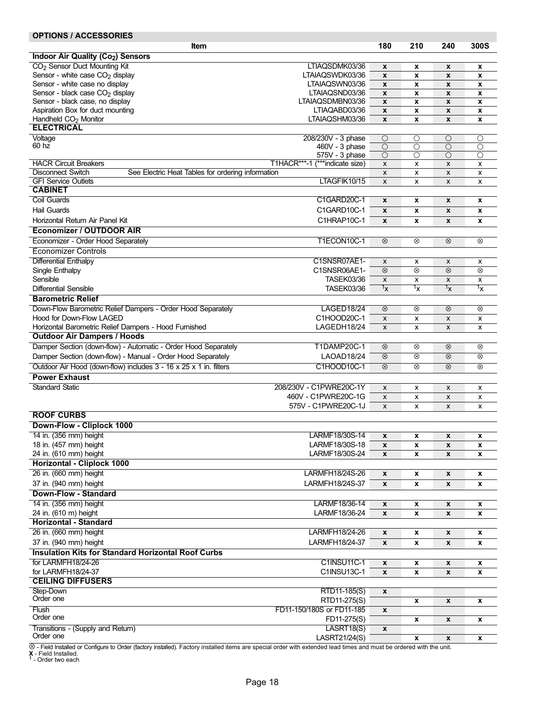### OPTIONS / ACCESSORIES

| <b>Item</b>                                                                                         |                                | 180                | 210                | 240                | 300S                      |
|-----------------------------------------------------------------------------------------------------|--------------------------------|--------------------|--------------------|--------------------|---------------------------|
|                                                                                                     |                                |                    |                    |                    |                           |
| Indoor Air Quality (Co <sub>2</sub> ) Sensors                                                       |                                |                    |                    |                    |                           |
| CO <sub>2</sub> Sensor Duct Mounting Kit                                                            | LTIAQSDMK03/36                 | $\pmb{\mathsf{x}}$ | x                  | X                  | X                         |
| Sensor - white case CO <sub>2</sub> display                                                         | LTAIAQSWDK03/36                | $\boldsymbol{x}$   | x                  | X                  | x                         |
| Sensor - white case no display                                                                      | LTAIAQSWN03/36                 | $\boldsymbol{x}$   | x                  | $\boldsymbol{x}$   | $\pmb{\mathsf{x}}$        |
| Sensor - black case CO <sub>2</sub> display                                                         | LTAIAQSND03/36                 | $\pmb{\mathsf{x}}$ | x                  | $\pmb{\mathsf{x}}$ | X                         |
| Sensor - black case, no display                                                                     | LTAIAQSDMBN03/36               | $\pmb{\mathsf{x}}$ | x                  | X                  | X                         |
| Aspiration Box for duct mounting                                                                    | LTIAQABD03/36                  | $\boldsymbol{x}$   | x                  | $\pmb{\mathsf{x}}$ | x                         |
| Handheld CO <sub>2</sub> Monitor                                                                    | LTAIAQSHM03/36                 | $\pmb{\mathsf{x}}$ | x                  | $\pmb{\mathsf{x}}$ | X                         |
| <b>ELECTRICAL</b>                                                                                   |                                |                    |                    |                    |                           |
| Voltage                                                                                             | 208/230V - 3 phase             | $\circ$            | $\overline{\circ}$ | О                  | $\circ$                   |
| 60 hz                                                                                               | 460V - 3 phase                 | $\overline{O}$     | О                  | О                  | О                         |
|                                                                                                     | 575V - 3 phase                 | $\circ$            | $\circ$            | $\circ$            | $\circ$                   |
| <b>HACR Circuit Breakers</b>                                                                        | T1HACR***-1 (***indicate size) | $\pmb{\times}$     | x                  | $\pmb{\times}$     | $\boldsymbol{\mathsf{x}}$ |
| <b>Disconnect Switch</b><br>See Electric Heat Tables for ordering information                       |                                | $\pmb{\times}$     | x                  | $\pmb{\times}$     | x                         |
| <b>GFI Service Outlets</b>                                                                          | LTAGFIK10/15                   | X                  | x                  | X                  | x                         |
| <b>CABINET</b>                                                                                      |                                |                    |                    |                    |                           |
| Coil Guards                                                                                         | C1GARD20C-1                    | $\pmb{\mathsf{x}}$ | x                  | $\pmb{\mathsf{x}}$ | x                         |
| Hail Guards                                                                                         | C1GARD10C-1                    | $\mathbf{x}$       | x                  | X                  | x                         |
|                                                                                                     |                                |                    |                    |                    |                           |
| Horizontal Return Air Panel Kit                                                                     | C1HRAP10C-1                    | $\boldsymbol{x}$   | X                  | $\boldsymbol{x}$   | X                         |
| Economizer / OUTDOOR AIR                                                                            |                                |                    |                    |                    |                           |
| Economizer - Order Hood Separately                                                                  | T1ECON10C-1                    | $\otimes$          | ⊗                  | $^{\circ}$         | $^{\circ}$                |
| <b>Economizer Controls</b>                                                                          |                                |                    |                    |                    |                           |
| Differential Enthalpy                                                                               | C1SNSR07AE1-                   | X                  | x                  | X                  | x                         |
|                                                                                                     | C1SNSR06AE1-                   | $\otimes$          | ⊗                  | $^{\circ}$         | $\otimes$                 |
| Single Enthalpy                                                                                     |                                |                    |                    |                    |                           |
| Sensible                                                                                            | <b>TASEK03/36</b>              | X                  | x                  | X                  | x                         |
| <b>Differential Sensible</b>                                                                        | <b>TASEK03/36</b>              | 1χ                 | 1χ                 | $1_X$              | $1_X$                     |
| <b>Barometric Relief</b>                                                                            |                                |                    |                    |                    |                           |
| Down-Flow Barometric Relief Dampers - Order Hood Separately                                         | LAGED18/24                     | $\otimes$          | $\otimes$          | $\otimes$          | $^{\circ}$                |
| Hood for Down-Flow LAGED                                                                            | C1HOOD20C-1                    | $\pmb{\times}$     | x                  | $\pmb{\times}$     | X                         |
| Horizontal Barometric Relief Dampers - Hood Furnished                                               | LAGEDH18/24                    | X                  | x                  | X                  | x                         |
| <b>Outdoor Air Dampers / Hoods</b>                                                                  |                                |                    |                    |                    |                           |
| Damper Section (down-flow) - Automatic - Order Hood Separately                                      | <b>T1DAMP20C-1</b>             | $^{\circ}$         | $^{\circledR}$     | $^{\circ}$         | $^{\circ}$                |
| Damper Section (down-flow) - Manual - Order Hood Separately                                         | LAOAD18/24                     | $\otimes$          | $\otimes$          | $\otimes$          | $^{\circ}$                |
|                                                                                                     |                                |                    |                    |                    |                           |
| Outdoor Air Hood (down-flow) includes 3 - 16 x 25 x 1 in. filters                                   | C1HOOD10C-1                    | $^{\circ}$         | $^{\circledR}$     | $^{\circ}$         | $\otimes$                 |
| <b>Power Exhaust</b>                                                                                |                                |                    |                    |                    |                           |
| <b>Standard Static</b>                                                                              | 208/230V - C1PWRE20C-1Y        | X                  | x                  | X                  | x                         |
|                                                                                                     | 460V - C1PWRE20C-1G            | $\pmb{\times}$     | x                  | $\pmb{\times}$     | X                         |
|                                                                                                     | 575V - C1PWRE20C-1J            | $\pmb{\times}$     | x                  | X                  | x                         |
| <b>ROOF CURBS</b>                                                                                   |                                |                    |                    |                    |                           |
| <b>Down-Flow - Cliplock 1000</b>                                                                    |                                |                    |                    |                    |                           |
|                                                                                                     |                                |                    |                    |                    |                           |
| 14 in. (356 mm) height                                                                              | LARMF18/30S-14                 | x                  | x                  | x                  | x                         |
| 18 in. (457 mm) height                                                                              | LARMF18/30S-18                 | $\pmb{\chi}$       | x                  | $\pmb{\mathsf{x}}$ | $\boldsymbol{x}$          |
| 24 in. (610 mm) height                                                                              | LARMF18/30S-24                 | $\pmb{\mathsf{x}}$ | x                  | $\pmb{\mathsf{x}}$ | x                         |
| <b>Horizontal - Cliplock 1000</b>                                                                   |                                |                    |                    |                    |                           |
| 26 in. (660 mm) height                                                                              | LARMFH18/24S-26                | X                  | x                  | $\pmb{\mathsf{x}}$ | x                         |
| 37 in. (940 mm) height                                                                              | LARMFH18/24S-37                | $\mathbf x$        | x                  | $\pmb{\mathsf{x}}$ | X                         |
| <b>Down-Flow - Standard</b>                                                                         |                                |                    |                    |                    |                           |
| 14 in. (356 mm) height                                                                              | LARMF18/36-14                  | $\pmb{\mathsf{x}}$ | x                  | $\pmb{\mathsf{x}}$ | X                         |
| 24 in. (610 m) height                                                                               | LARMF18/36-24                  |                    |                    |                    |                           |
| <b>Horizontal - Standard</b>                                                                        |                                | $\boldsymbol{x}$   | x                  | X                  | X                         |
|                                                                                                     |                                |                    |                    |                    |                           |
| 26 in. (660 mm) height                                                                              | <b>LARMFH18/24-26</b>          | $\pmb{\mathsf{x}}$ | x                  | $\pmb{\mathsf{x}}$ | x                         |
| 37 in. (940 mm) height                                                                              | LARMFH18/24-37                 | $\mathbf x$        | x                  | $\pmb{\mathsf{x}}$ | X                         |
| <b>Insulation Kits for Standard Horizontal Roof Curbs</b>                                           |                                |                    |                    |                    |                           |
| for LARMFH18/24-26                                                                                  | C1INSU11C-1                    | $\pmb{\chi}$       | x                  | $\pmb{\mathsf{x}}$ | X                         |
| for LARMFH18/24-37                                                                                  | C1INSU13C-1                    | $\boldsymbol{x}$   | x                  | $\pmb{\mathsf{x}}$ | $\pmb{\mathsf{x}}$        |
| <b>CEILING DIFFUSERS</b>                                                                            |                                |                    |                    |                    |                           |
|                                                                                                     |                                |                    |                    |                    |                           |
| Step-Down<br>Order one                                                                              | RTD11-185(S)                   | $\mathbf x$        |                    |                    |                           |
|                                                                                                     | RTD11-275(S)                   |                    | x                  | $\pmb{\mathsf{x}}$ | X                         |
| Flush                                                                                               | FD11-150/180S or FD11-185      | $\pmb{\chi}$       |                    |                    |                           |
| Order one                                                                                           | FD11-275(S)                    |                    | x                  | $\pmb{\mathsf{x}}$ | X                         |
| Transitions - (Supply and Return)                                                                   | LASRT18(S)                     | $\pmb{\mathsf{x}}$ |                    |                    |                           |
| Order one                                                                                           | LASRT21/24(S)                  |                    | x                  | X                  | X                         |
| $\widehat{\otimes}$ Field Installed or Configura to Order (fector installed). Fector: installed its |                                |                    |                    |                    |                           |

⊗ - Field Installed or Configure to Order (factory installed). Factory installed items are special order with extended lead times and must be ordered with the unit.<br>X - Field Installed.<br><sup>1</sup> - Order two each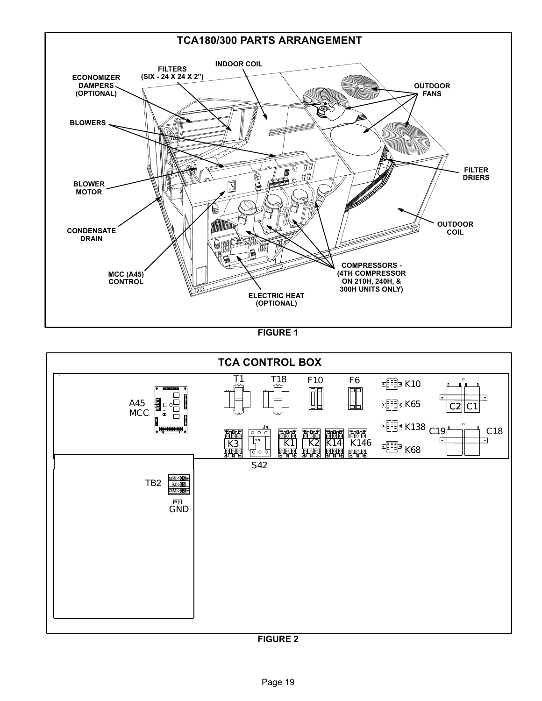<span id="page-18-0"></span>

FIGURE 1



FIGURE 2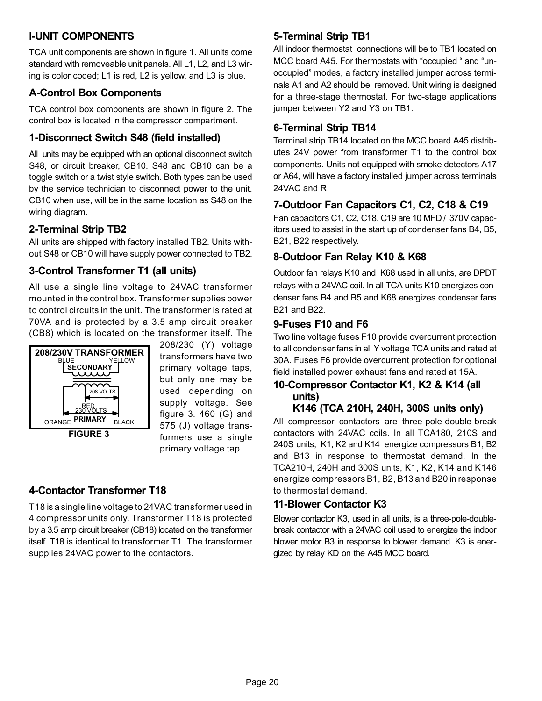# <span id="page-19-0"></span>I−UNIT COMPONENTS

TCA unit components are shown in figure [1](#page-18-0). All units come standard with removeable unit panels. All L1, L2, and L3 wiring is color coded; L1 is red, L2 is yellow, and L3 is blue.

# A−Control Box Components

TCA control box components are shown in figure [2.](#page-18-0) The control box is located in the compressor compartment.

# 1−Disconnect Switch S48 (field installed)

All units may be equipped with an optional disconnect switch S48, or circuit breaker, CB10. S48 and CB10 can be a toggle switch or a twist style switch. Both types can be used by the service technician to disconnect power to the unit. CB10 when use, will be in the same location as S48 on the wiring diagram.

# 2−Terminal Strip TB2

All units are shipped with factory installed TB2. Units without S48 or CB10 will have supply power connected to TB2.

# 3−Control Transformer T1 (all units)

All use a single line voltage to 24VAC transformer mounted in the control box. Transformer supplies power to control circuits in the unit. The transformer is rated at 70VA and is protected by a 3.5 amp circuit breaker (CB8) which is located on the transformer itself. The



FIGURE 3

208/230 (Y) voltage transformers have two primary voltage taps, but only one may be used depending on supply voltage. See figure 3. 460 (G) and 575 (J) voltage transformers use a single primary voltage tap.

# 4−Contactor Transformer T18

T18 is a single line voltage to 24VAC transformer used in 4 compressor units only. Transformer T18 is protected by a 3.5 amp circuit breaker (CB18) located on the transformer itself. T18 is identical to transformer T1. The transformer supplies 24VAC power to the contactors.

# 5−Terminal Strip TB1

All indoor thermostat connections will be to TB1 located on MCC board A45. For thermostats with "occupied " and "unoccupied" modes, a factory installed jumper across terminals A1 and A2 should be removed. Unit wiring is designed for a three−stage thermostat. For two−stage applications jumper between Y2 and Y3 on TB1.

## 6−Terminal Strip TB14

Terminal strip TB14 located on the MCC board A45 distributes 24V power from transformer T1 to the control box components. Units not equipped with smoke detectors A17 or A64, will have a factory installed jumper across terminals 24VAC and R.

# 7−Outdoor Fan Capacitors C1, C2, C18 & C19

Fan capacitors C1, C2, C18, C19 are 10 MFD / 370V capacitors used to assist in the start up of condenser fans B4, B5, B21, B22 respectively.

# 8−Outdoor Fan Relay K10 & K68

Outdoor fan relays K10 and K68 used in all units, are DPDT relays with a 24VAC coil. In all TCA units K10 energizes condenser fans B4 and B5 and K68 energizes condenser fans B21 and B22.

## 9−Fuses F10 and F6

Two line voltage fuses F10 provide overcurrent protection to all condenser fans in all Y voltage TCA units and rated at 30A. Fuses F6 provide overcurrent protection for optional field installed power exhaust fans and rated at 15A.

#### 10−Compressor Contactor K1, K2 & K14 (all units) K146 (TCA 210H, 240H, 300S units only)

All compressor contactors are three-pole-double-break contactors with 24VAC coils. In all TCA180, 210S and 240S units, K1, K2 and K14 energize compressors B1, B2 and B13 in response to thermostat demand. In the TCA210H, 240H and 300S units, K1, K2, K14 and K146 energize compressors B1, B2, B13 and B20 in response to thermostat demand.

# 11−Blower Contactor K3

Blower contactor K3, used in all units, is a three-pole-doublebreak contactor with a 24VAC coil used to energize the indoor blower motor B3 in response to blower demand. K3 is energized by relay KD on the A45 MCC board.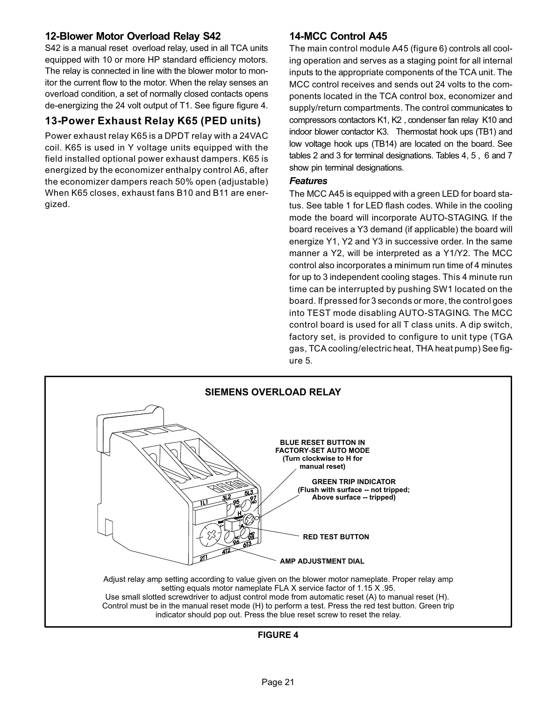## 12−Blower Motor Overload Relay S42

S42 is a manual reset overload relay, used in all TCA units equipped with 10 or more HP standard efficiency motors. The relay is connected in line with the blower motor to monitor the current flow to the motor. When the relay senses an overload condition, a set of normally closed contacts opens de−energizing the 24 volt output of T1. See figure figure 4.

# 13−Power Exhaust Relay K65 (PED units)

Power exhaust relay K65 is a DPDT relay with a 24VAC coil. K65 is used in Y voltage units equipped with the field installed optional power exhaust dampers. K65 is energized by the economizer enthalpy control A6, after the economizer dampers reach 50% open (adjustable) When K65 closes, exhaust fans B10 and B11 are energized.

## 14−MCC Control A45

The main control module A45 (figure [6](#page-21-0)) controls all cooling operation and serves as a staging point for all internal inputs to the appropriate components of the TCA unit. The MCC control receives and sends out 24 volts to the components located in the TCA control box, economizer and supply/return compartments. The control communicates to compressors contactors K1, K2 , condenser fan relay K10 and indoor blower contactor K3. Thermostat hook ups (TB1) and low voltage hook ups (TB14) are located on the board. See tables [2](#page-22-0) and [3](#page-22-0) for terminal designations. Tables [4](#page-22-0), [5](#page-22-0) , [6](#page-22-0) and [7](#page-22-0) show pin terminal designations.

#### **Features**

The MCC A45 is equipped with a green LED for board status. See table [1](#page-21-0) for LED flash codes. While in the cooling mode the board will incorporate AUTO−STAGING. If the board receives a Y3 demand (if applicable) the board will energize Y1, Y2 and Y3 in successive order. In the same manner a Y2, will be interpreted as a Y1/Y2. The MCC control also incorporates a minimum run time of 4 minutes for up to 3 independent cooling stages. This 4 minute run time can be interrupted by pushing SW1 located on the board. If pressed for 3 seconds or more, the control goes into TEST mode disabling AUTO−STAGING. The MCC control board is used for all T class units. A dip switch, factory set, is provided to configure to unit type (TGA gas, TCA cooling/electric heat, THA heat pump) See figure [5.](#page-21-0)



FIGURE 4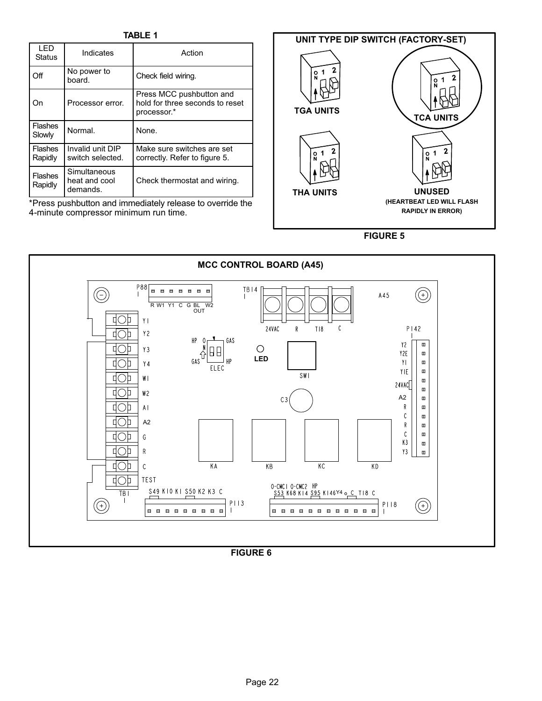TABLE 1

<span id="page-21-0"></span>

| I FD<br><b>Status</b>     | Indicates                                 | Action                                                                     |
|---------------------------|-------------------------------------------|----------------------------------------------------------------------------|
| Off                       | No power to<br>board.                     | Check field wiring.                                                        |
| On                        | Processor error.                          | Press MCC pushbutton and<br>hold for three seconds to reset<br>processor.* |
| <b>Flashes</b><br>Slowly  | Normal.                                   | None.                                                                      |
| <b>Flashes</b><br>Rapidly | Invalid unit DIP<br>switch selected.      | Make sure switches are set<br>correctly. Refer to figure 5.                |
| <b>Flashes</b><br>Rapidly | Simultaneous<br>heat and cool<br>demands. | Check thermostat and wiring.                                               |

\*Press pushbutton and immediately release to override the 4−minute compressor minimum run time.



FIGURE 5



FIGURE 6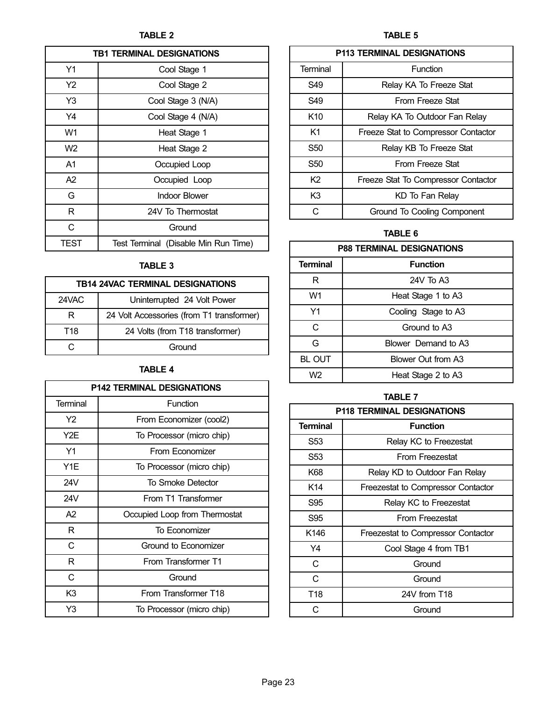<span id="page-22-0"></span>

| <b>TB1 TERMINAL DESIGNATIONS</b> |                                      |  |  |  |
|----------------------------------|--------------------------------------|--|--|--|
| Y1                               | Cool Stage 1                         |  |  |  |
| Y2                               | Cool Stage 2                         |  |  |  |
| Y3                               | Cool Stage 3 (N/A)                   |  |  |  |
| Y4                               | Cool Stage 4 (N/A)                   |  |  |  |
| W1                               | Heat Stage 1                         |  |  |  |
| W <sub>2</sub>                   | Heat Stage 2                         |  |  |  |
| A1                               | Occupied Loop                        |  |  |  |
| A2                               | Occupied Loop                        |  |  |  |
| G                                | <b>Indoor Blower</b>                 |  |  |  |
| R                                | 24V To Thermostat                    |  |  |  |
| C                                | Ground                               |  |  |  |
| TEST                             | Test Terminal (Disable Min Run Time) |  |  |  |

## TABLE 3

| <b>TB14 24VAC TERMINAL DESIGNATIONS</b> |                                           |  |  |  |
|-----------------------------------------|-------------------------------------------|--|--|--|
| 24VAC                                   | Uninterrupted 24 Volt Power               |  |  |  |
| R                                       | 24 Volt Accessories (from T1 transformer) |  |  |  |
| T18                                     | 24 Volts (from T18 transformer)           |  |  |  |
|                                         | Ground                                    |  |  |  |

# TABLE 4

| <b>P142 TERMINAL DESIGNATIONS</b> |                               |  |  |  |
|-----------------------------------|-------------------------------|--|--|--|
| Terminal                          | Function                      |  |  |  |
| Y2                                | From Economizer (cool2)       |  |  |  |
| Y <sub>2</sub> E                  | To Processor (micro chip)     |  |  |  |
| Y1                                | From Economizer               |  |  |  |
| Y1E                               | To Processor (micro chip)     |  |  |  |
| 24V                               | To Smoke Detector             |  |  |  |
| 24V                               | From T1 Transformer           |  |  |  |
| A2                                | Occupied Loop from Thermostat |  |  |  |
| R                                 | To Economizer                 |  |  |  |
| C                                 | Ground to Economizer          |  |  |  |
| R                                 | From Transformer T1           |  |  |  |
| C                                 | Ground                        |  |  |  |
| K <sub>3</sub>                    | From Transformer T18          |  |  |  |
| Y3                                | To Processor (micro chip)     |  |  |  |

## TABLE 5

| <b>P113 TERMINAL DESIGNATIONS</b> |                                     |  |  |
|-----------------------------------|-------------------------------------|--|--|
| Terminal                          | Function                            |  |  |
| S49                               | Relay KA To Freeze Stat             |  |  |
| S49                               | From Freeze Stat                    |  |  |
| K <sub>10</sub>                   | Relay KA To Outdoor Fan Relay       |  |  |
| K1                                | Freeze Stat to Compressor Contactor |  |  |
| S <sub>50</sub>                   | Relay KB To Freeze Stat             |  |  |
| S <sub>50</sub>                   | From Freeze Stat                    |  |  |
| K <sub>2</sub>                    | Freeze Stat To Compressor Contactor |  |  |
| K3                                | KD To Fan Relay                     |  |  |
| C                                 | Ground To Cooling Component         |  |  |

### TABLE 6

| <b>P88 TERMINAL DESIGNATIONS</b> |                     |  |  |
|----------------------------------|---------------------|--|--|
| <b>Terminal</b>                  | <b>Function</b>     |  |  |
| R                                | 24V To A3           |  |  |
| W1                               | Heat Stage 1 to A3  |  |  |
| Υ1                               | Cooling Stage to A3 |  |  |
| C                                | Ground to A3        |  |  |
| G                                | Blower Demand to A3 |  |  |
| <b>BL OUT</b>                    | Blower Out from A3  |  |  |
| W <sub>2</sub>                   | Heat Stage 2 to A3  |  |  |

# TABLE 7

| <b>P118 TERMINAL DESIGNATIONS</b> |                                    |  |  |  |
|-----------------------------------|------------------------------------|--|--|--|
| <b>Terminal</b>                   | <b>Function</b>                    |  |  |  |
| S53                               | Relay KC to Freezestat             |  |  |  |
| S53                               | From Freezestat                    |  |  |  |
| K68                               | Relay KD to Outdoor Fan Relay      |  |  |  |
| K14                               | Freezestat to Compressor Contactor |  |  |  |
| S95                               | Relay KC to Freezestat             |  |  |  |
| S95                               | From Freezestat                    |  |  |  |
| K <sub>146</sub>                  | Freezestat to Compressor Contactor |  |  |  |
| Y4                                | Cool Stage 4 from TB1              |  |  |  |
| C                                 | Ground                             |  |  |  |
| C                                 | Ground                             |  |  |  |
| T <sub>18</sub>                   | 24V from T18                       |  |  |  |
| C.                                | Ground                             |  |  |  |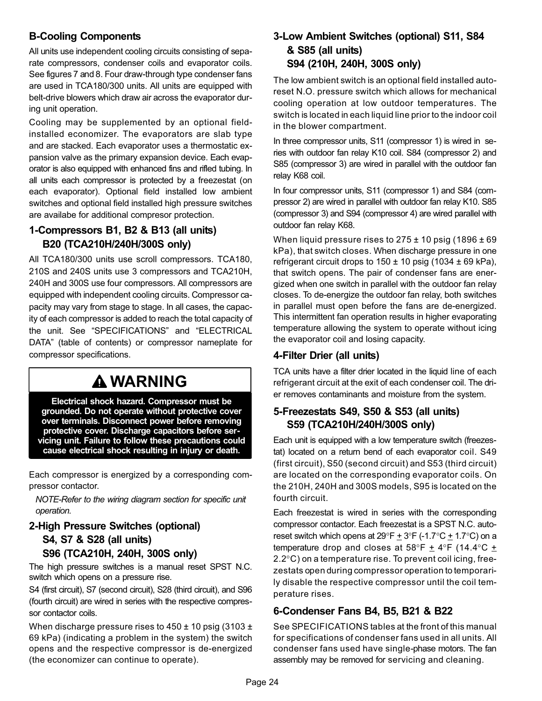# B−Cooling Components

All units use independent cooling circuits consisting of separate compressors, condenser coils and evaporator coils. See figures [7](#page-24-0) and [8.](#page-25-0) Four draw−through type condenser fans are used in TCA180/300 units. All units are equipped with belt-drive blowers which draw air across the evaporator during unit operation.

Cooling may be supplemented by an optional fieldinstalled economizer. The evaporators are slab type and are stacked. Each evaporator uses a thermostatic expansion valve as the primary expansion device. Each evaporator is also equipped with enhanced fins and rifled tubing. In all units each compressor is protected by a freezestat (on each evaporator). Optional field installed low ambient switches and optional field installed high pressure switches are availabe for additional compresor protection.

## 1−Compressors B1, B2 & B13 (all units) B20 (TCA210H/240H/300S only)

All TCA180/300 units use scroll compressors. TCA180, 210S and 240S units use 3 compressors and TCA210H, 240H and 300S use four compressors. All compressors are equipped with independent cooling circuits. Compressor capacity may vary from stage to stage. In all cases, the capacity of each compressor is added to reach the total capacity of the unit. See "SPECIFICATIONS" and "ELECTRICAL DATA" (table of contents) or compressor nameplate for compressor specifications.

# **A WARNING**

Electrical shock hazard. Compressor must be grounded. Do not operate without protective cover over terminals. Disconnect power before removing protective cover. Discharge capacitors before servicing unit. Failure to follow these precautions could cause electrical shock resulting in injury or death.

Each compressor is energized by a corresponding compressor contactor.

NOTE−Refer to the wiring diagram section for specific unit operation.

## 2−High Pressure Switches (optional) S4, S7 & S28 (all units) S96 (TCA210H, 240H, 300S only)

The high pressure switches is a manual reset SPST N.C. switch which opens on a pressure rise.

S4 (first circuit), S7 (second circuit), S28 (third circuit), and S96 (fourth circuit) are wired in series with the respective compressor contactor coils.

When discharge pressure rises to  $450 \pm 10$  psig (3103  $\pm$ 69 kPa) (indicating a problem in the system) the switch opens and the respective compressor is de−energized (the economizer can continue to operate).

## 3−Low Ambient Switches (optional) S11, S84 & S85 (all units) S94 (210H, 240H, 300S only)

The low ambient switch is an optional field installed autoreset N.O. pressure switch which allows for mechanical cooling operation at low outdoor temperatures. The switch is located in each liquid line prior to the indoor coil in the blower compartment.

In three compressor units, S11 (compressor 1) is wired in series with outdoor fan relay K10 coil. S84 (compressor 2) and S85 (compressor 3) are wired in parallel with the outdoor fan relay K68 coil.

In four compressor units, S11 (compressor 1) and S84 (compressor 2) are wired in parallel with outdoor fan relay K10. S85 (compressor 3) and S94 (compressor 4) are wired parallel with outdoor fan relay K68.

When liquid pressure rises to  $275 \pm 10$  psig (1896  $\pm 69$ ) kPa), that switch closes. When discharge pressure in one refrigerant circuit drops to  $150 \pm 10$  psig (1034  $\pm$  69 kPa), that switch opens. The pair of condenser fans are energized when one switch in parallel with the outdoor fan relay closes. To de−energize the outdoor fan relay, both switches in parallel must open before the fans are de−energized. This intermittent fan operation results in higher evaporating temperature allowing the system to operate without icing the evaporator coil and losing capacity.

# 4−Filter Drier (all units)

TCA units have a filter drier located in the liquid line of each refrigerant circuit at the exit of each condenser coil. The drier removes contaminants and moisture from the system.

# 5−Freezestats S49, S50 & S53 (all units) S59 (TCA210H/240H/300S only)

Each unit is equipped with a low temperature switch (freezestat) located on a return bend of each evaporator coil. S49 (first circuit), S50 (second circuit) and S53 (third circuit) are located on the corresponding evaporator coils. On the 210H, 240H and 300S models, S95 is located on the fourth circuit.

Each freezestat is wired in series with the corresponding compressor contactor. Each freezestat is a SPST N.C. auto− reset switch which opens at  $29^{\circ}F + 3^{\circ}F - 1.7^{\circ}C + 1.7^{\circ}C$  on a temperature drop and closes at 58°F  $\pm$  4°F (14.4°C  $\pm$ 2.2°C) on a temperature rise. To prevent coil icing, freezestats open during compressor operation to temporarily disable the respective compressor until the coil temperature rises.

# 6−Condenser Fans B4, B5, B21 & B22

See SPECIFICATIONS tables at the front of this manual for specifications of condenser fans used in all units. All condenser fans used have single−phase motors. The fan assembly may be removed for servicing and cleaning.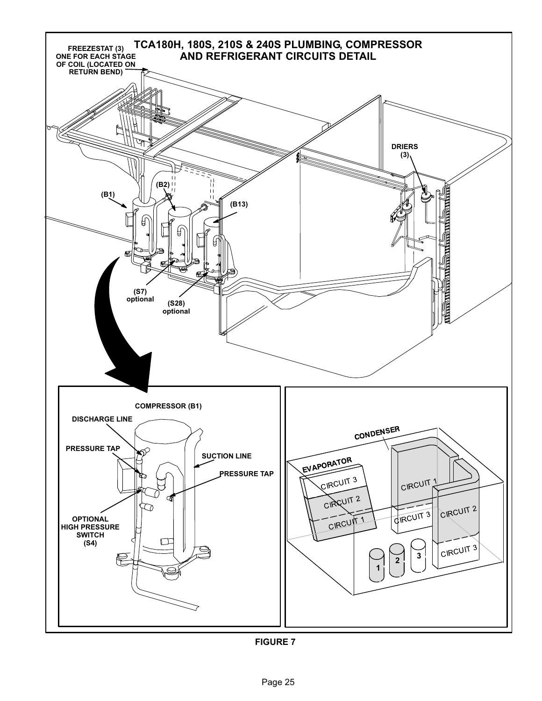<span id="page-24-0"></span>

FIGURE 7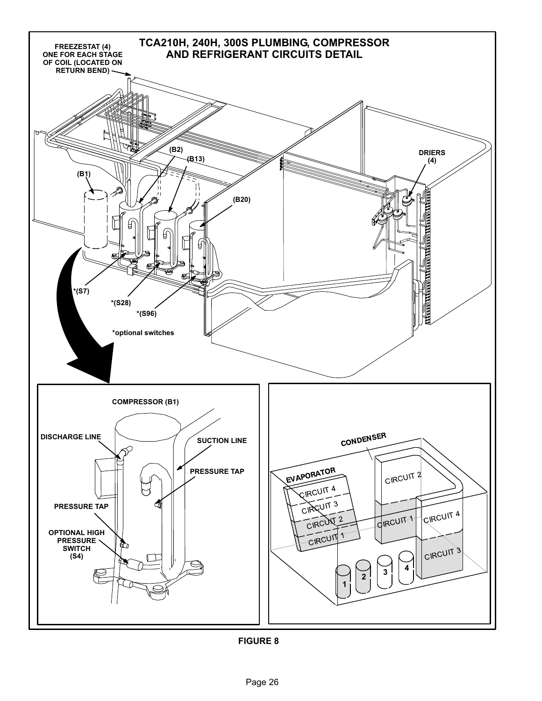<span id="page-25-0"></span>

FIGURE 8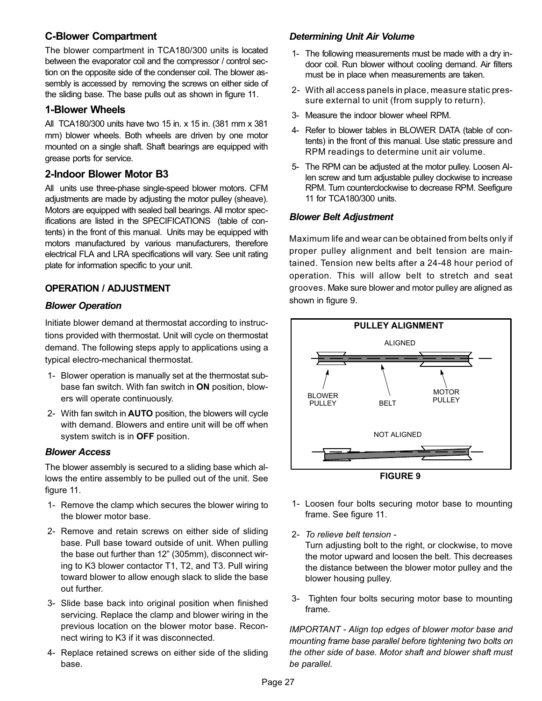## C−Blower Compartment

The blower compartment in TCA180/300 units is located between the evaporator coil and the compressor / control section on the opposite side of the condenser coil. The blower assembly is accessed by removing the screws on either side of the sliding base. The base pulls out as shown in figure [11.](#page-27-0)

## 1−Blower Wheels

All TCA180/300 units have two 15 in. x 15 in. (381 mm x 381 mm) blower wheels. Both wheels are driven by one motor mounted on a single shaft. Shaft bearings are equipped with grease ports for service.

## 2−Indoor Blower Motor B3

All units use three-phase single-speed blower motors. CFM adjustments are made by adjusting the motor pulley (sheave). Motors are equipped with sealed ball bearings. All motor specifications are listed in the SPECIFICATIONS (table of contents) in the front of this manual. Units may be equipped with motors manufactured by various manufacturers, therefore electrical FLA and LRA specifications will vary. See unit rating plate for information specific to your unit.

### OPERATION / ADJUSTMENT

### Blower Operation

Initiate blower demand at thermostat according to instructions provided with thermostat. Unit will cycle on thermostat demand. The following steps apply to applications using a typical electro−mechanical thermostat.

- 1− Blower operation is manually set at the thermostat subbase fan switch. With fan switch in ON position, blowers will operate continuously.
- 2− With fan switch in AUTO position, the blowers will cycle with demand. Blowers and entire unit will be off when system switch is in OFF position.

#### Blower Access

The blower assembly is secured to a sliding base which allows the entire assembly to be pulled out of the unit. See figure [11](#page-27-0).

- 1− Remove the clamp which secures the blower wiring to the blower motor base.
- 2− Remove and retain screws on either side of sliding base. Pull base toward outside of unit. When pulling the base out further than 12" (305mm), disconnect wiring to K3 blower contactor T1, T2, and T3. Pull wiring toward blower to allow enough slack to slide the base out further.
- 3− Slide base back into original position when finished servicing. Replace the clamp and blower wiring in the previous location on the blower motor base. Reconnect wiring to K3 if it was disconnected.
- 4− Replace retained screws on either side of the sliding base.

## Determining Unit Air Volume

- 1− The following measurements must be made with a dry indoor coil. Run blower without cooling demand. Air filters must be in place when measurements are taken.
- 2− With all access panels in place, measure static pressure external to unit (from supply to return).
- 3− Measure the indoor blower wheel RPM.
- 4− Refer to blower tables in BLOWER DATA (table of contents) in the front of this manual. Use static pressure and RPM readings to determine unit air volume.
- 5− The RPM can be adjusted at the motor pulley. Loosen Allen screw and turn adjustable pulley clockwise to increase RPM. Turn counterclockwise to decrease RPM. Seefigure [11](#page-27-0) for TCA180/300 units.

#### Blower Belt Adjustment

Maximum life and wear can be obtained from belts only if proper pulley alignment and belt tension are maintained. Tension new belts after a 24−48 hour period of operation. This will allow belt to stretch and seat grooves. Make sure blower and motor pulley are aligned as shown in figure 9.





- 2− To relieve belt tension − Turn adjusting bolt to the right, or clockwise, to move the motor upward and loosen the belt. This decreases the distance between the blower motor pulley and the blower housing pulley.
- 3− Tighten four bolts securing motor base to mounting frame.

IMPORTANT − Align top edges of blower motor base and mounting frame base parallel before tightening two bolts on the other side of base. Motor shaft and blower shaft must be parallel.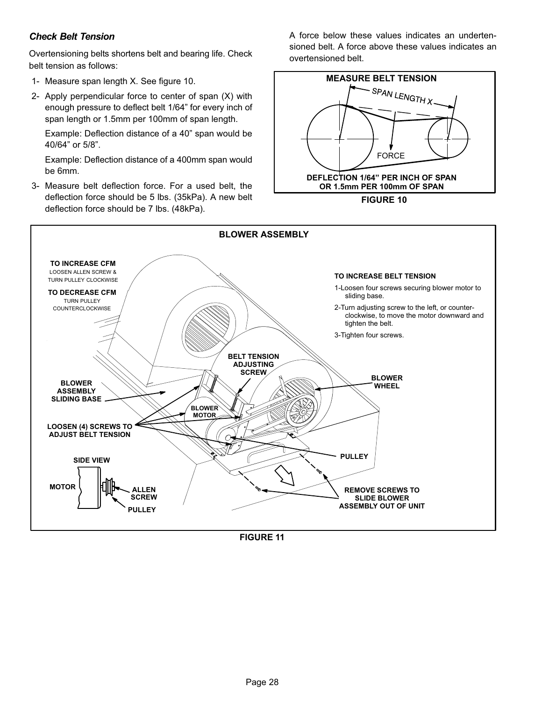## <span id="page-27-0"></span>Check Belt Tension

Overtensioning belts shortens belt and bearing life. Check belt tension as follows:

- 1− Measure span length X. See figure 10.
- 2− Apply perpendicular force to center of span (X) with enough pressure to deflect belt 1/64" for every inch of span length or 1.5mm per 100mm of span length.

Example: Deflection distance of a 40" span would be 40/64" or 5/8".

Example: Deflection distance of a 400mm span would be 6mm.

 3− Measure belt deflection force. For a used belt, the deflection force should be 5 lbs. (35kPa). A new belt deflection force should be 7 lbs. (48kPa).

A force below these values indicates an undertensioned belt. A force above these values indicates an overtensioned belt.





FIGURE 11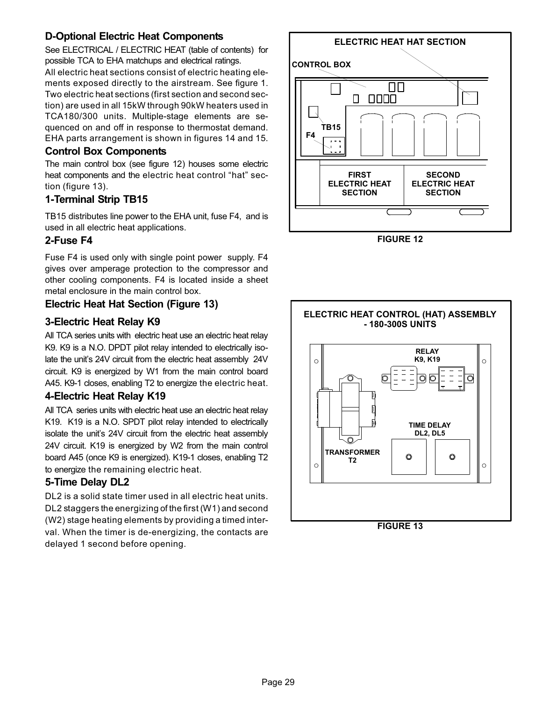# D−Optional Electric Heat Components

See ELECTRICAL / ELECTRIC HEAT (table of contents) for possible TCA to EHA matchups and electrical ratings. All electric heat sections consist of electric heating elements exposed directly to the airstream. See figure [1](#page-18-0). Two electric heat sections (first section and second section) are used in all 15kW through 90kW heaters used in TCA180/300 units. Multiple-stage elements are sequenced on and off in response to thermostat demand. EHA parts arrangement is shown in figures [14](#page-30-0) and [15](#page-31-0).

## Control Box Components

The main control box (see figure 12) houses some electric heat components and the electric heat control "hat" section (figure 13).

## 1−Terminal Strip TB15

TB15 distributes line power to the EHA unit, fuse F4, and is used in all electric heat applications.

## 2−Fuse F4

Fuse F4 is used only with single point power supply. F4 gives over amperage protection to the compressor and other cooling components. F4 is located inside a sheet metal enclosure in the main control box.

## Electric Heat Hat Section (Figure 13)

## 3−Electric Heat Relay K9

All TCA series units with electric heat use an electric heat relay K9. K9 is a N.O. DPDT pilot relay intended to electrically isolate the unit's 24V circuit from the electric heat assembly 24V circuit. K9 is energized by W1 from the main control board A45. K9−1 closes, enabling T2 to energize the electric heat.

### 4−Electric Heat Relay K19

All TCA series units with electric heat use an electric heat relay K19. K19 is a N.O. SPDT pilot relay intended to electrically isolate the unit's 24V circuit from the electric heat assembly 24V circuit. K19 is energized by W2 from the main control board A45 (once K9 is energized). K19−1 closes, enabling T2 to energize the remaining electric heat.

## 5−Time Delay DL2

DL2 is a solid state timer used in all electric heat units. DL2 staggers the energizing of the first (W1) and second (W2) stage heating elements by providing a timed interval. When the timer is de−energizing, the contacts are delayed 1 second before opening.



FIGURE 12



FIGURE 13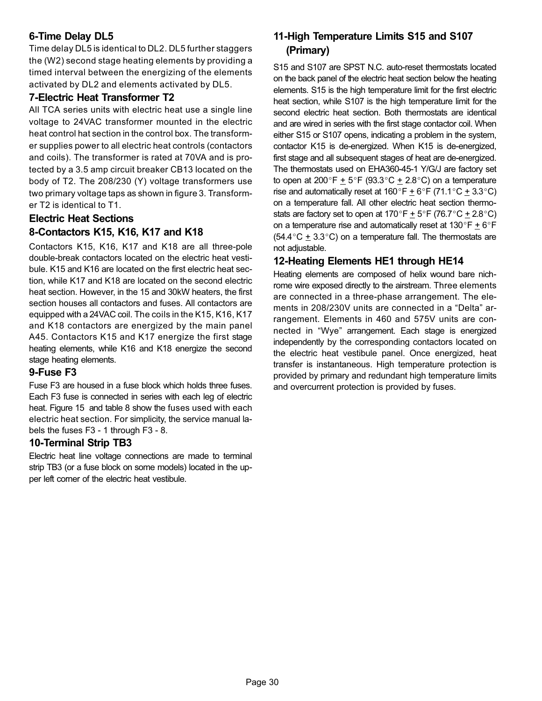# 6−Time Delay DL5

Time delay DL5 is identical to DL2. DL5 further staggers the (W2) second stage heating elements by providing a timed interval between the energizing of the elements activated by DL2 and elements activated by DL5.

## 7−Electric Heat Transformer T2

All TCA series units with electric heat use a single line voltage to 24VAC transformer mounted in the electric heat control hat section in the control box. The transformer supplies power to all electric heat controls (contactors and coils). The transformer is rated at 70VA and is protected by a 3.5 amp circuit breaker CB13 located on the body of T2. The 208/230 (Y) voltage transformers use two primary voltage taps as shown in figure [3](#page-19-0). Transformer T2 is identical to T1.

# Electric Heat Sections 8−Contactors K15, K16, K17 and K18

Contactors K15, K16, K17 and K18 are all three-pole double-break contactors located on the electric heat vestibule. K15 and K16 are located on the first electric heat section, while K17 and K18 are located on the second electric heat section. However, in the 15 and 30kW heaters, the first section houses all contactors and fuses. All contactors are equipped with a 24VAC coil. The coils in the K15, K16, K17 and K18 contactors are energized by the main panel A45. Contactors K15 and K17 energize the first stage heating elements, while K16 and K18 energize the second stage heating elements.

## 9−Fuse F3

Fuse F3 are housed in a fuse block which holds three fuses. Each F3 fuse is connected in series with each leg of electric heat. Figure [15](#page-31-0) and table [8](#page-30-0) show the fuses used with each electric heat section. For simplicity, the service manual labels the fuses F3 − 1 through F3 − 8.

## 10−Terminal Strip TB3

Electric heat line voltage connections are made to terminal strip TB3 (or a fuse block on some models) located in the upper left corner of the electric heat vestibule.

# 11−High Temperature Limits S15 and S107 (Primary)

S15 and S107 are SPST N.C. auto-reset thermostats located on the back panel of the electric heat section below the heating elements. S15 is the high temperature limit for the first electric heat section, while S107 is the high temperature limit for the second electric heat section. Both thermostats are identical and are wired in series with the first stage contactor coil. When either S15 or S107 opens, indicating a problem in the system, contactor K15 is de-energized. When K15 is de-energized, first stage and all subsequent stages of heat are de-energized. The thermostats used on EHA360-45-1 Y/G/J are factory set to open at 200°F  $\pm$  5°F (93.3°C  $\pm$  2.8°C) on a temperature rise and automatically reset at  $160^{\circ}F \pm 6^{\circ}F$  (71.1 $^{\circ}C \pm 3.3^{\circ}C$ ) on a temperature fall. All other electric heat section thermostats are factory set to open at 170°F  $\pm$  5°F (76.7°C  $\pm$  2.8°C) on a temperature rise and automatically reset at  $130^{\circ}F \pm 6^{\circ}F$  $(54.4\degree C \pm 3.3\degree C)$  on a temperature fall. The thermostats are not adjustable.

## 12−Heating Elements HE1 through HE14

Heating elements are composed of helix wound bare nichrome wire exposed directly to the airstream. Three elements are connected in a three-phase arrangement. The elements in 208/230V units are connected in a "Delta" arrangement. Elements in 460 and 575V units are connected in Wye" arrangement. Each stage is energized independently by the corresponding contactors located on the electric heat vestibule panel. Once energized, heat transfer is instantaneous. High temperature protection is provided by primary and redundant high temperature limits and overcurrent protection is provided by fuses.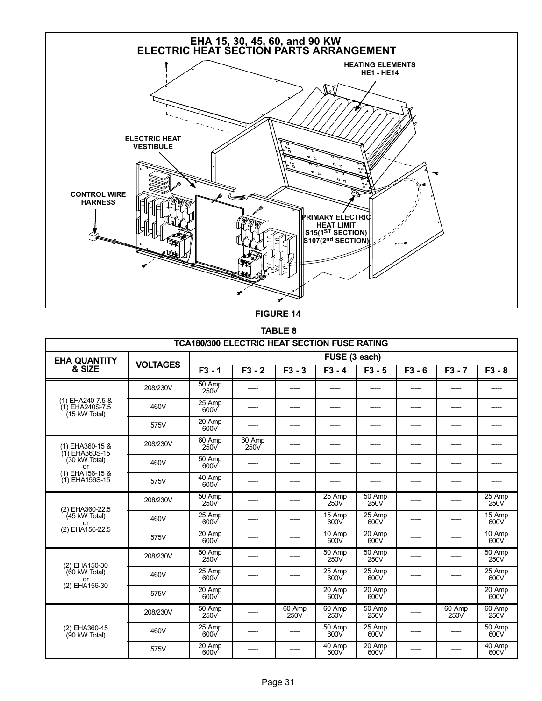<span id="page-30-0"></span>

FIGURE 14

TABLE 8

| <b>TCA180/300 ELECTRIC HEAT SECTION FUSE RATING</b>  |                 |                             |                |                |                |                |          |                |                |
|------------------------------------------------------|-----------------|-----------------------------|----------------|----------------|----------------|----------------|----------|----------------|----------------|
| <b>EHA QUANTITY</b>                                  |                 |                             |                |                | FUSE (3 each)  |                |          |                |                |
| & SIZE                                               | <b>VOLTAGES</b> | $F3 - 1$                    | $F3 - 2$       | $F3 - 3$       | $F3 - 4$       | $F3 - 5$       | $F3 - 6$ | $F3 - 7$       | $F3 - 8$       |
|                                                      | 208/230V        | 50 Amp<br>250V              |                |                |                |                |          |                |                |
| (1) EHA240-7.5 &<br>(1) EHA240S-7.5<br>(15 kW Total) | 460V            | 25 Amp<br>600V              |                |                |                |                |          |                |                |
|                                                      | 575V            | 20 Amp<br>600V              |                |                |                |                |          |                |                |
| (1) EHA360-15 &<br>$(1)$ EHA360S-15                  | 208/230V        | 60 Amp<br>250V              | 60 Amp<br>250V |                |                |                |          |                |                |
| (30 kW Total)<br>or                                  | 460V            | 50 Amp<br>600V              |                |                |                |                |          |                |                |
| (1) EHA156-15 &<br>(1) EHA156S-15                    | 575V            | 40 Amp<br>600V              |                |                |                |                |          |                |                |
| (2) EHA360-22.5                                      | 208/230V        | $\overline{50}$ Amp<br>250V |                |                | 25 Amp<br>250V | 50 Amp<br>250V |          |                | 25 Amp<br>250V |
| $(45$ kW Total)<br>or                                | 460V            | 25 Amp<br>600V              |                |                | 15 Amp<br>600V | 25 Amp<br>600V |          |                | 15 Amp<br>600V |
| (2) EHA156-22.5                                      | 575V            | 20 Amp<br>600V              |                |                | 10 Amp<br>600V | 20 Amp<br>600V |          |                | 10 Amp<br>600V |
| (2) EHA150-30                                        | 208/230V        | $\overline{50}$ Amp<br>250V |                |                | 50 Amp<br>250V | 50 Amp<br>250V |          |                | 50 Amp<br>250V |
| (60 kW Total)<br>or                                  | 460V            | 25 Amp<br>600V              |                |                | 25 Amp<br>600V | 25 Amp<br>600V |          |                | 25 Amp<br>600V |
| (2) EHA156-30                                        | 575V            | 20 Amp<br>600V              |                |                | 20 Amp<br>600V | 20 Amp<br>600V |          |                | 20 Amp<br>600V |
|                                                      | 208/230V        | 50 Amp<br>250V              |                | 60 Amp<br>250V | 60 Amp<br>250V | 50 Amp<br>250V |          | 60 Amp<br>250V | 60 Amp<br>250V |
| (2) EHA360-45<br>(90 kW Total)                       | 460V            | 25 Amp<br>600V              |                |                | 50 Amp<br>600V | 25 Amp<br>600V |          |                | 50 Amp<br>600V |
|                                                      | 575V            | 20 Amp<br>600V              |                |                | 40 Amp<br>600V | 20 Amp<br>600V |          |                | 40 Amp<br>600V |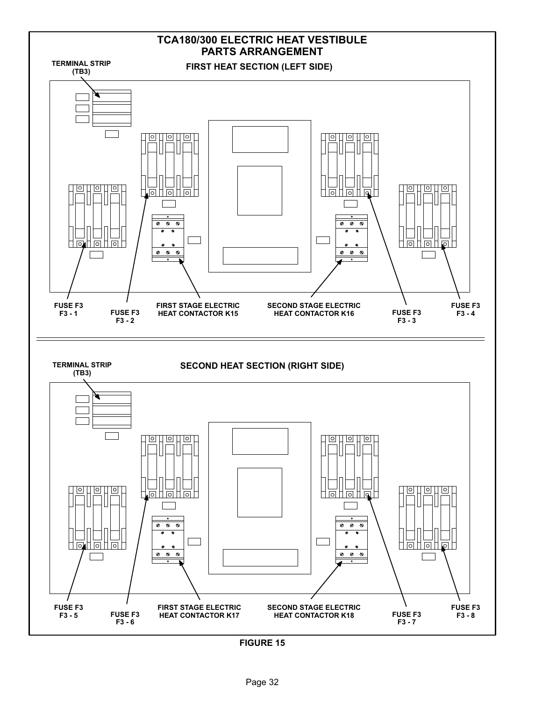<span id="page-31-0"></span>

FIGURE 15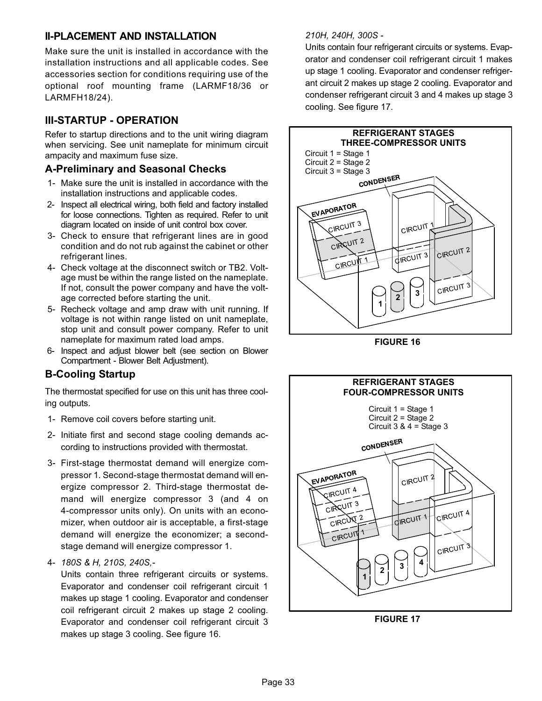## <span id="page-32-0"></span>II−PLACEMENT AND INSTALLATION

Make sure the unit is installed in accordance with the installation instructions and all applicable codes. See accessories section for conditions requiring use of the optional roof mounting frame (LARMF18/36 or LARMFH18/24).

# III−STARTUP − OPERATION

Refer to startup directions and to the unit wiring diagram when servicing. See unit nameplate for minimum circuit ampacity and maximum fuse size.

## A−Preliminary and Seasonal Checks

- 1− Make sure the unit is installed in accordance with the installation instructions and applicable codes.
- 2− Inspect all electrical wiring, both field and factory installed for loose connections. Tighten as required. Refer to unit diagram located on inside of unit control box cover.
- 3− Check to ensure that refrigerant lines are in good condition and do not rub against the cabinet or other refrigerant lines.
- 4− Check voltage at the disconnect switch or TB2. Voltage must be within the range listed on the nameplate. If not, consult the power company and have the voltage corrected before starting the unit.
- 5− Recheck voltage and amp draw with unit running. If voltage is not within range listed on unit nameplate, stop unit and consult power company. Refer to unit nameplate for maximum rated load amps.
- 6− Inspect and adjust blower belt (see section on Blower Compartment − Blower Belt Adjustment).

# B−Cooling Startup

The thermostat specified for use on this unit has three cooling outputs.

- 1− Remove coil covers before starting unit.
- 2− Initiate first and second stage cooling demands according to instructions provided with thermostat.
- 3− First−stage thermostat demand will energize compressor 1. Second−stage thermostat demand will energize compressor 2. Third−stage thermostat demand will energize compressor 3 (and 4 on 4−compressor units only). On units with an economizer, when outdoor air is acceptable, a first−stage demand will energize the economizer; a second− stage demand will energize compressor 1.
- 4− 180S & H, 210S, 240S,−

Units contain three refrigerant circuits or systems. Evaporator and condenser coil refrigerant circuit 1 makes up stage 1 cooling. Evaporator and condenser coil refrigerant circuit 2 makes up stage 2 cooling. Evaporator and condenser coil refrigerant circuit 3 makes up stage 3 cooling. See figure 16.

#### 210H, 240H, 300S −

Units contain four refrigerant circuits or systems. Evaporator and condenser coil refrigerant circuit 1 makes up stage 1 cooling. Evaporator and condenser refrigerant circuit 2 makes up stage 2 cooling. Evaporator and condenser refrigerant circuit 3 and 4 makes up stage 3 cooling. See figure 17.



FIGURE 16



FIGURE 17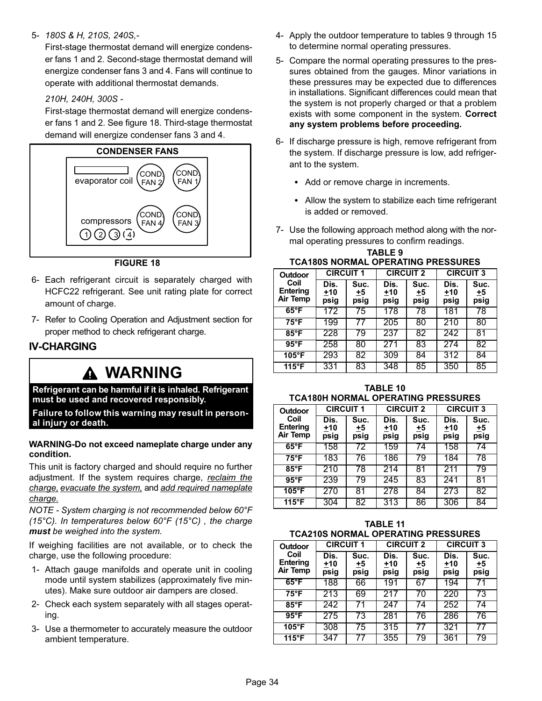#### <span id="page-33-0"></span>5− 180S & H, 210S, 240S,−

First−stage thermostat demand will energize condenser fans 1 and 2. Second−stage thermostat demand will energize condenser fans 3 and 4. Fans will continue to operate with additional thermostat demands.

210H, 240H, 300S −

First−stage thermostat demand will energize condenser fans 1 and 2. See figure 18. Third−stage thermostat demand will energize condenser fans 3 and 4.



FIGURE 18

- 6− Each refrigerant circuit is separately charged with HCFC22 refrigerant. See unit rating plate for correct amount of charge.
- 7− Refer to Cooling Operation and Adjustment section for proper method to check refrigerant charge.

## IV−CHARGING

# WARNING

Refrigerant can be harmful if it is inhaled. Refrigerant must be used and recovered responsibly.

Failure to follow this warning may result in personal injury or death.

#### WARNING−Do not exceed nameplate charge under any condition.

This unit is factory charged and should require no further adjustment. If the system requires charge, reclaim the charge, evacuate the system, and add required nameplate charge.

NOTE − System charging is not recommended below 60°F (15°C). In temperatures below  $60^{\circ}F$  (15°C), the charge must be weighed into the system.

If weighing facilities are not available, or to check the charge, use the following procedure:

- 1− Attach gauge manifolds and operate unit in cooling mode until system stabilizes (approximately five minutes). Make sure outdoor air dampers are closed.
- 2− Check each system separately with all stages operating.
- 3− Use a thermometer to accurately measure the outdoor ambient temperature.
- 4− Apply the outdoor temperature to tables 9 through [15](#page-34-0) to determine normal operating pressures.
- 5− Compare the normal operating pressures to the pressures obtained from the gauges. Minor variations in these pressures may be expected due to differences in installations. Significant differences could mean that the system is not properly charged or that a problem exists with some component in the system. Correct any system problems before proceeding.
- 6− If discharge pressure is high, remove refrigerant from the system. If discharge pressure is low, add refrigerant to the system.
	- Add or remove charge in increments.
	- Allow the system to stabilize each time refrigerant is added or removed.
- 7− Use the following approach method along with the normal operating pressures to confirm readings.

| I CA 1805 NORMAL OPERATING PRESSURES |                       |                    |                       |                    |                       |                           |  |  |  |  |
|--------------------------------------|-----------------------|--------------------|-----------------------|--------------------|-----------------------|---------------------------|--|--|--|--|
| <b>Outdoor</b>                       | <b>CIRCUIT 1</b>      |                    | <b>CIRCUIT 2</b>      |                    | <b>CIRCUIT 3</b>      |                           |  |  |  |  |
| Coil<br><b>Entering</b><br>Air Temp  | Dis.<br>$+10$<br>psig | Suc.<br>+5<br>psig | Dis.<br>$+10$<br>psig | Suc.<br>+5<br>psig | Dis.<br>$+10$<br>psig | Suc.<br><u>+5</u><br>psig |  |  |  |  |
| $65^{\circ}$ F                       | 172                   | 75                 | 178                   | 78                 | 181                   | 78                        |  |  |  |  |
| $75^{\circ}$ F                       | 199                   |                    | 205                   | 80                 | 210                   | 80                        |  |  |  |  |
| 85°F                                 | 228                   | 79                 | 237                   | 82                 | 242                   | 81                        |  |  |  |  |
| $95^{\circ}$ F                       | 258                   | 80                 | $\overline{271}$      | 83                 | 274                   | 82                        |  |  |  |  |
| $105^{\circ}$ F                      | 293                   | 82                 | 309                   | 84                 | 312                   | 84                        |  |  |  |  |
| 115°F                                | 331                   | 83                 | 348                   | 85                 | 350                   | 85                        |  |  |  |  |

TABLE 9 TCA180S NORMAL OPERATING PRESSURES

| <b>TABLE 10</b>                           |
|-------------------------------------------|
| <b>TCA180H NORMAL OPERATING PRESSURES</b> |

| Outdoor                      | <b>CIRCUIT 1</b>      |                    | <b>CIRCUIT 2</b>      |                      | <b>CIRCUIT 3</b>      |                    |  |
|------------------------------|-----------------------|--------------------|-----------------------|----------------------|-----------------------|--------------------|--|
| Coil<br>Entering<br>Air Temp | Dis.<br>$+10$<br>psig | Suc.<br>+5<br>psig | Dis.<br>$+10$<br>psig | Suc.<br>$+5$<br>psig | Dis.<br>$+10$<br>psig | Suc.<br>+5<br>psig |  |
| $65^{\circ}$ F               | 158                   | 72                 | 159                   | 74                   | 158                   | 74                 |  |
| $75^{\circ}$ F               | 183                   | 76                 | 186                   | 79                   | 184                   | 78                 |  |
| $85^{\circ}$ F               | 210                   | 78                 | 214                   | 81                   | 211                   | 79                 |  |
| $95^{\circ}$ F               | 239                   | 79                 | 245                   | 83                   | 241                   | 81                 |  |
| $105^{\circ}$ F              | 270                   | 81                 | 278                   | 84                   | 273                   | 82                 |  |
| $115^{\circ}$ F              | 304                   | 82                 | 313                   | 86                   | 306                   | 84                 |  |

| <b>TABLE 11</b>                           |
|-------------------------------------------|
| <b>TCA210S NORMAL OPERATING PRESSURES</b> |

| ושוו שטו באשו<br>,,,,,,,,,,,        |                       |                    |                       |                      |                       |                           |  |  |  |  |
|-------------------------------------|-----------------------|--------------------|-----------------------|----------------------|-----------------------|---------------------------|--|--|--|--|
| <b>Outdoor</b>                      | <b>CIRCUIT 1</b>      |                    | <b>CIRCUIT 2</b>      |                      | <b>CIRCUIT 3</b>      |                           |  |  |  |  |
| Coil<br><b>Entering</b><br>Air Temp | Dis.<br>$+10$<br>psig | Suc.<br>+5<br>psig | Dis.<br>$+10$<br>psig | Suc.<br>$+5$<br>psig | Dis.<br>$+10$<br>psig | Suc.<br><u>+5</u><br>psig |  |  |  |  |
| $65^{\circ}$ F                      | 188                   | 66                 | 191                   | 67                   | 194                   |                           |  |  |  |  |
| $75^{\circ}$ F                      | 213                   | 69                 | 217                   | 70                   | 220                   | 73                        |  |  |  |  |
| $85^{\circ}$ F                      | 242                   |                    | 247                   | 74                   | 252                   | 74                        |  |  |  |  |
| $95^{\circ}$ F                      | 275                   | 73                 | 281                   | 76                   | 286                   | 76                        |  |  |  |  |
| $105^{\circ}$ F                     | 308                   | 75                 | 315                   | 77                   | 321                   | 77                        |  |  |  |  |
| 115°F                               | 347                   |                    | 355                   | 79                   | 361                   | 79                        |  |  |  |  |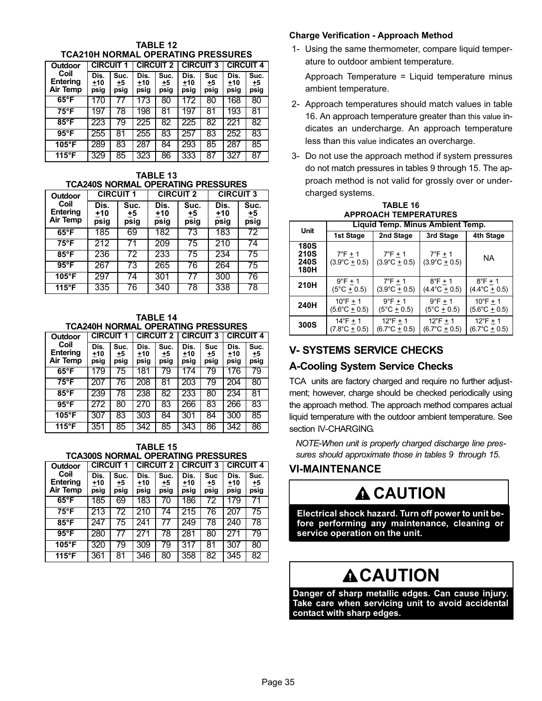<span id="page-34-0"></span>TABLE 12 TCA210H NORMAL OPERATING PRESSURES

| <b>Outdoor</b>                      |                     | <b>CIRCUIT 2</b><br><b>CIRCUIT</b> |                     | <b>CIRCUIT 3</b>   |                     | <b>CIRCUIT 4</b>         |                       |                    |
|-------------------------------------|---------------------|------------------------------------|---------------------|--------------------|---------------------|--------------------------|-----------------------|--------------------|
| Coil<br><b>Entering</b><br>Air Temp | Dis.<br>+10<br>psig | Suc.<br>+5<br>psig                 | Dis.<br>+10<br>psig | Suc.<br>+5<br>psig | Dis.<br>+10<br>psig | <b>Suc</b><br>+5<br>psig | Dis.<br>$+10$<br>psig | Suc.<br>+5<br>psig |
| $65^{\circ}$ F                      | 70                  |                                    | 173                 | 80                 | 172                 | 80                       | 168                   | 80                 |
| 75°F                                | 19                  | 78                                 | 198                 | 81                 | 197                 | 81                       | 193                   | 81                 |
| 85°F                                | 223                 | 79                                 | 225                 | 82                 | 225                 | 82                       | 221                   | 82                 |
| $95^{\circ}$ F                      | 255                 | 81                                 | 255                 | 83                 | 257                 | 83                       | 252                   | 83                 |
| $105^{\circ}$ F                     | 289                 | 83                                 | 287                 | 84                 | 293                 | 85                       | 287                   | 85                 |
| 115°F                               | 329                 | 85                                 | 323                 | 86                 | 333                 | 87                       | 327                   | 87                 |

TABLE 13 TCA240S NORMAL OPERATING PRESSURES

| Outdoor                             | <b>CIRCUIT 1</b>      |                    | <b>CIRCUIT 2</b>      |                    | <b>CIRCUIT 3</b>      |                    |  |
|-------------------------------------|-----------------------|--------------------|-----------------------|--------------------|-----------------------|--------------------|--|
| Coil<br><b>Entering</b><br>Air Temp | Dis.<br>$+10$<br>psig | Suc.<br>+5<br>psig | Dis.<br>$+10$<br>psig | Suc.<br>+5<br>psig | Dis.<br>$+10$<br>psig | Suc.<br>+5<br>psig |  |
| $65^{\circ}$ F                      | 185                   | 69                 | 182                   | 73                 | 183                   | 72                 |  |
| $75^{\circ}$ F                      | 212                   | 71                 | 209                   | 75                 | 210                   | 74                 |  |
| $85^{\circ}$ F                      | 236                   | 72                 | 233                   | 75                 | 234                   | 75                 |  |
| $95^{\circ}$ F                      | 267                   | 73                 | 265                   | 76                 | 264                   | 75                 |  |
| $105^{\circ}$ F                     | 297                   | 74                 | 301                   | 77                 | 300                   | 76                 |  |
| $115^{\circ}$ F                     | 335                   | 76                 | 340                   | 78                 | 338                   | 78                 |  |

TABLE 14 TCA240H NORMAL OPERATING PRESSURES

| Outdoor                                    | <b>CIRCUIT 1</b>      |                    | <b>CIRCUIT 2</b>      |                    | <b>CIRCUIT 3</b>      |                   | <b>CIRCUIT 4</b>      |                    |
|--------------------------------------------|-----------------------|--------------------|-----------------------|--------------------|-----------------------|-------------------|-----------------------|--------------------|
| Coil<br><b>Entering</b><br><b>Air Temp</b> | Dis.<br>$+10$<br>psig | Suc.<br>+5<br>psig | Dis.<br>$+10$<br>psig | Suc.<br>+5<br>psig | Dis.<br>$+10$<br>psig | Suc<br>+5<br>psig | Dis.<br>$+10$<br>psig | Suc.<br>+5<br>psig |
| $65^{\circ}$ F                             | 179                   | 75                 | 181                   | 79                 | 174                   | 79                | 176                   | 79                 |
| 75°F                                       | 207                   | 76                 | 208                   | 81                 | 203                   | 79                | 204                   | 80                 |
| $85^{\circ}$ F                             | 239                   | 78                 | 238                   | 82                 | 233                   | 80                | 234                   | 81                 |
| $95^{\circ}$ F                             | 272                   | 80                 | 270                   | 83                 | 266                   | 83                | 266                   | 83                 |
| 105°F                                      | 307                   | 83                 | 303                   | 84                 | 301                   | 84                | 300                   | 85                 |
| $115^{\circ}$ F                            | 351                   | 85                 | 342                   | 85                 | 343                   | 86                | 342                   | 86                 |

TABLE 15 TCA300S NORMAL OPERATING PRESSURES

| Outdoor                             | <b>CIRCUIT 1</b>      |                    |                     | <b>CIRCUIT 2</b>   | <b>CIRCUIT 3</b>    |                          | <b>CIRCUIT 4</b>      |                           |
|-------------------------------------|-----------------------|--------------------|---------------------|--------------------|---------------------|--------------------------|-----------------------|---------------------------|
| Coil<br><b>Entering</b><br>Air Temp | Dis.<br>$+10$<br>psig | Suc.<br>+5<br>psig | Dis.<br>+10<br>psig | Suc.<br>+5<br>psig | Dis.<br>+10<br>psig | <b>Suc</b><br>+5<br>psig | Dis.<br>$+10$<br>psig | Suc.<br><u>+5</u><br>psig |
| $65^{\circ}$ F                      | 185                   | 69                 | 183                 | 70                 | 186                 | 72                       | 179                   |                           |
| 75°F                                | 213                   | 72                 | 210                 | 74                 | 215                 | 76                       | 207                   | 75                        |
| $85^{\circ}$ F                      | 247                   | 75                 | 241                 | 77                 | 249                 | 78                       | 240                   | 78                        |
| $95^{\circ}$ F                      | 280                   |                    | 271                 | 78                 | 281                 | 80                       | 271                   | 79                        |
| $105^{\circ}$ F                     | 320                   | 79                 | 309                 | 79                 | 317                 | 81                       | 307                   | 80                        |
| $115^{\circ}F$                      | 361                   | 81                 | 346                 | 80                 | 358                 | 82                       | 345                   | 82                        |

#### Charge Verification − Approach Method

 1− Using the same thermometer, compare liquid temperature to outdoor ambient temperature.

Approach Temperature = Liquid temperature minus ambient temperature.

- 2− Approach temperatures should match values in table 16. An approach temperature greater than this value indicates an undercharge. An approach temperature less than this value indicates an overcharge.
- 3− Do not use the approach method if system pressures do not match pressures in tables [9](#page-33-0) through 15. The approach method is not valid for grossly over or undercharged systems.

| <b>TABLE 16</b>              |
|------------------------------|
| <b>APPROACH TEMPERATURES</b> |

| Unit                                                     | Liquid Temp. Minus Ambient Temp.            |                                             |                                             |                               |  |  |  |  |  |
|----------------------------------------------------------|---------------------------------------------|---------------------------------------------|---------------------------------------------|-------------------------------|--|--|--|--|--|
|                                                          | 1st Stage                                   | 2nd Stage                                   | 3rd Stage                                   | 4th Stage                     |  |  |  |  |  |
| <b>180S</b><br><b>210S</b><br><b>240S</b><br><b>180H</b> | $7^{\circ}$ F + 1<br>$(3.9^{\circ}C + 0.5)$ | $7^{\circ}$ F + 1<br>$(3.9^{\circ}C + 0.5)$ | $7^{\circ}$ F + 1<br>$(3.9^{\circ}C + 0.5)$ | NA                            |  |  |  |  |  |
| 210H                                                     | $9^{\circ}$ F + 1                           | $7^{\circ}$ F + 1                           | $8^{\circ}$ F + 1                           | $8^{\circ}$ F + 1             |  |  |  |  |  |
|                                                          | $(5^{\circ}C \pm 0.5)$                      | (3.9°C <u>+</u> 0.5)                        | $(4.4^{\circ}C \pm 0.5)$                    | $(4.4^{\circ}C \pm 0.5)$      |  |  |  |  |  |
| 240H                                                     | $10^{\circ}$ F + 1                          | $9^{\circ}$ F + 1                           | $9^{\circ}F + 1$                            | $10^{\circ}$ F + 1            |  |  |  |  |  |
|                                                          | $(5.6^{\circ}C \pm 0.5)$                    | $(5^{\circ}C + 0.5)$                        | $(5^{\circ}C + 0.5)$                        | $(5.6^{\circ}\text{C} + 0.5)$ |  |  |  |  |  |
| 300S                                                     | $14^{\circ}F + 1$                           | $12^{\circ}F + 1$                           | $12^{\circ}$ F + 1                          | $12^{\circ}F + 1$             |  |  |  |  |  |
|                                                          | $(7.8^{\circ}\text{C} + 0.5)$               | (6.7°C <u>+</u> 0.5)                        | $(6.7^{\circ}C + 0.5)$                      | (6.7°C <u>+</u> 0.5)          |  |  |  |  |  |

# V− SYSTEMS SERVICE CHECKS

# A−Cooling System Service Checks

TCA units are factory charged and require no further adjustment; however, charge should be checked periodically using the approach method. The approach method compares actual liquid temperature with the outdoor ambient temperature. See section [IV−](#page-33-0)CHARGING.

NOTE−When unit is properly charged discharge line pres-sures should approximate those in tables [9](#page-33-0) through 15.

## VI−MAINTENANCE

# **A CAUTION**

Electrical shock hazard. Turn off power to unit before performing any maintenance, cleaning or service operation on the unit.

# **ACAUTION**

Danger of sharp metallic edges. Can cause injury. Take care when servicing unit to avoid accidental contact with sharp edges.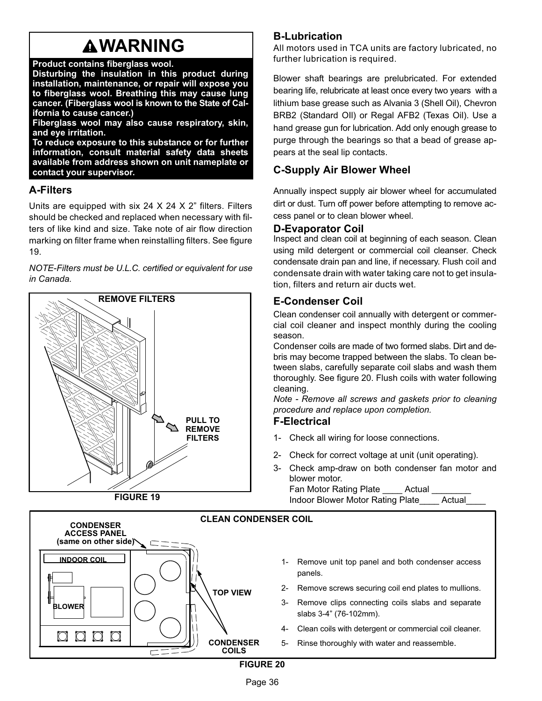# **AWARNING**

#### Product contains fiberglass wool.

Disturbing the insulation in this product during installation, maintenance, or repair will expose you to fiberglass wool. Breathing this may cause lung cancer. (Fiberglass wool is known to the State of California to cause cancer.)

Fiberglass wool may also cause respiratory, skin, and eye irritation.

To reduce exposure to this substance or for further information, consult material safety data sheets available from address shown on unit nameplate or contact your supervisor.

## A−Filters

Units are equipped with six 24  $X$  24  $X$  2" filters. Filters should be checked and replaced when necessary with filters of like kind and size. Take note of air flow direction marking on filter frame when reinstalling filters. See figure 19.

NOTE−Filters must be U.L.C. certified or equivalent for use in Canada.





# B−Lubrication

All motors used in TCA units are factory lubricated, no further lubrication is required.

Blower shaft bearings are prelubricated. For extended bearing life, relubricate at least once every two years with a lithium base grease such as Alvania 3 (Shell Oil), Chevron BRB2 (Standard OIl) or Regal AFB2 (Texas Oil). Use a hand grease gun for lubrication. Add only enough grease to purge through the bearings so that a bead of grease appears at the seal lip contacts.

# C−Supply Air Blower Wheel

Annually inspect supply air blower wheel for accumulated dirt or dust. Turn off power before attempting to remove access panel or to clean blower wheel.

## D−Evaporator Coil

Inspect and clean coil at beginning of each season. Clean using mild detergent or commercial coil cleanser. Check condensate drain pan and line, if necessary. Flush coil and condensate drain with water taking care not to get insulation, filters and return air ducts wet.

# E−Condenser Coil

Clean condenser coil annually with detergent or commercial coil cleaner and inspect monthly during the cooling season.

Condenser coils are made of two formed slabs. Dirt and debris may become trapped between the slabs. To clean between slabs, carefully separate coil slabs and wash them thoroughly. See figure 20. Flush coils with water following cleaning.

Note − Remove all screws and gaskets prior to cleaning procedure and replace upon completion.

## F−Electrical

- 1− Check all wiring for loose connections.
- 2− Check for correct voltage at unit (unit operating).
- 3− Check amp−draw on both condenser fan motor and blower motor.

```
Fan Motor Rating Plate Actual
Indoor Blower Motor Rating Plate____ Actual____
```


Page 36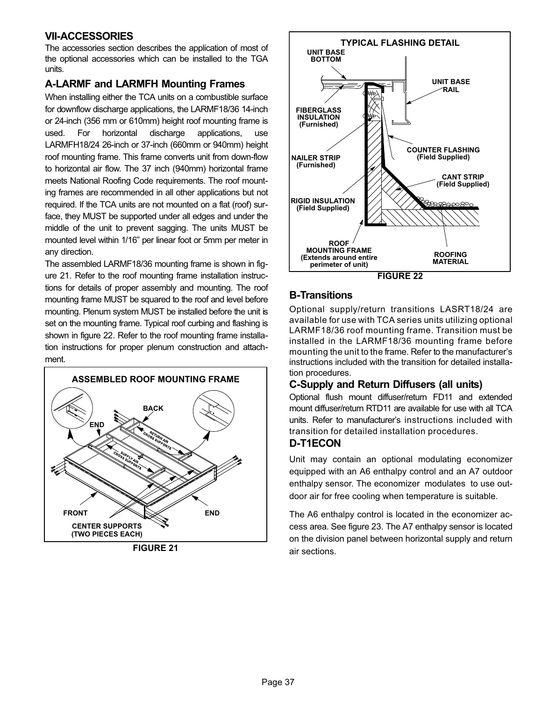## <span id="page-36-0"></span>VII−ACCESSORIES

The accessories section describes the application of most of the optional accessories which can be installed to the TGA units.

## A−LARMF and LARMFH Mounting Frames

When installing either the TCA units on a combustible surface for downflow discharge applications, the LARMF18/36 14-inch or 24-inch (356 mm or 610mm) height roof mounting frame is used. For horizontal discharge applications, use LARMFH18/24 26-inch or 37-inch (660mm or 940mm) height roof mounting frame. This frame converts unit from down-flow to horizontal air flow. The 37 inch (940mm) horizontal frame meets National Roofing Code requirements. The roof mounting frames are recommended in all other applications but not required. If the TCA units are not mounted on a flat (roof) surface, they MUST be supported under all edges and under the middle of the unit to prevent sagging. The units MUST be mounted level within 1/16" per linear foot or 5mm per meter in any direction.

The assembled LARMF18/36 mounting frame is shown in figure 21. Refer to the roof mounting frame installation instructions for details of proper assembly and mounting. The roof mounting frame MUST be squared to the roof and level before mounting. Plenum system MUST be installed before the unit is set on the mounting frame. Typical roof curbing and flashing is shown in figure 22. Refer to the roof mounting frame installation instructions for proper plenum construction and attachment.



FIGURE 21



## B−Transitions

Optional supply/return transitions LASRT18/24 are available for use with TCA series units utilizing optional LARMF18/36 roof mounting frame. Transition must be installed in the LARMF18/36 mounting frame before mounting the unit to the frame. Refer to the manufacturer's instructions included with the transition for detailed installation procedures.

## C−Supply and Return Diffusers (all units)

Optional flush mount diffuser/return FD11 and extended mount diffuser/return RTD11 are available for use with all TCA units. Refer to manufacturer's instructions included with transition for detailed installation procedures.

## D−T1ECON

Unit may contain an optional modulating economizer equipped with an A6 enthalpy control and an A7 outdoor enthalpy sensor. The economizer modulates to use outdoor air for free cooling when temperature is suitable.

The A6 enthalpy control is located in the economizer access area. See figure [23](#page-37-0). The A7 enthalpy sensor is located on the division panel between horizontal supply and return air sections.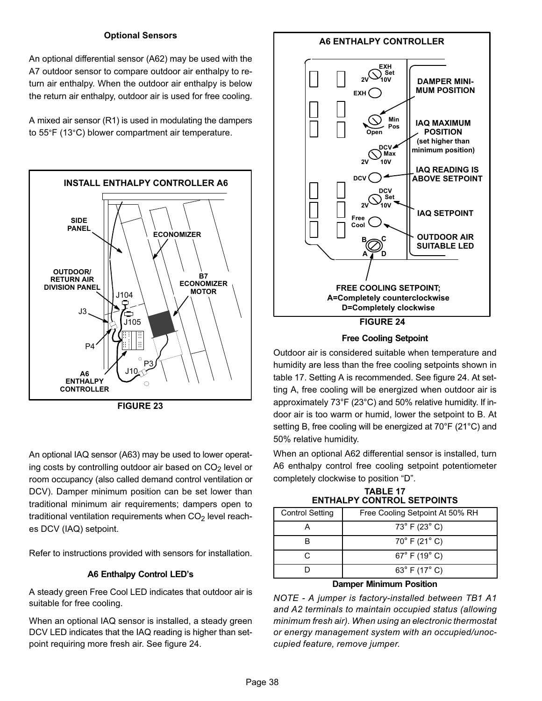#### Optional Sensors

<span id="page-37-0"></span>An optional differential sensor (A62) may be used with the A7 outdoor sensor to compare outdoor air enthalpy to return air enthalpy. When the outdoor air enthalpy is below the return air enthalpy, outdoor air is used for free cooling.

A mixed air sensor (R1) is used in modulating the dampers to 55°F (13°C) blower compartment air temperature.





An optional IAQ sensor (A63) may be used to lower operating costs by controlling outdoor air based on  $CO<sub>2</sub>$  level or room occupancy (also called demand control ventilation or DCV). Damper minimum position can be set lower than traditional minimum air requirements; dampers open to traditional ventilation requirements when  $CO<sub>2</sub>$  level reaches DCV (IAQ) setpoint.

Refer to instructions provided with sensors for installation.

#### A6 Enthalpy Control LED's

A steady green Free Cool LED indicates that outdoor air is suitable for free cooling.

When an optional IAQ sensor is installed, a steady green DCV LED indicates that the IAQ reading is higher than setpoint requiring more fresh air. See figure 24.

#### A6 ENTHALPY CONTROLLER



Free Cooling Setpoint

Outdoor air is considered suitable when temperature and humidity are less than the free cooling setpoints shown in table 17. Setting A is recommended. See figure 24. At setting A, free cooling will be energized when outdoor air is approximately 73°F (23°C) and 50% relative humidity. If indoor air is too warm or humid, lower the setpoint to B. At setting B, free cooling will be energized at 70°F (21°C) and 50% relative humidity.

When an optional A62 differential sensor is installed, turn A6 enthalpy control free cooling setpoint potentiometer completely clockwise to position "D".

TABLE 17 ENTHALPY CONTROL SETPOINTS

| Free Cooling Setpoint At 50% RH  |
|----------------------------------|
| $73^{\circ}$ F (23 $^{\circ}$ C) |
| $70^{\circ}$ F (21 $^{\circ}$ C) |
| $67^{\circ}$ F (19 $^{\circ}$ C) |
| 63° F (17° C)                    |
|                                  |

#### Damper Minimum Position

NOTE − A jumper is factory−installed between TB1 A1 and A2 terminals to maintain occupied status (allowing minimum fresh air). When using an electronic thermostat or energy management system with an occupied/unoccupied feature, remove jumper.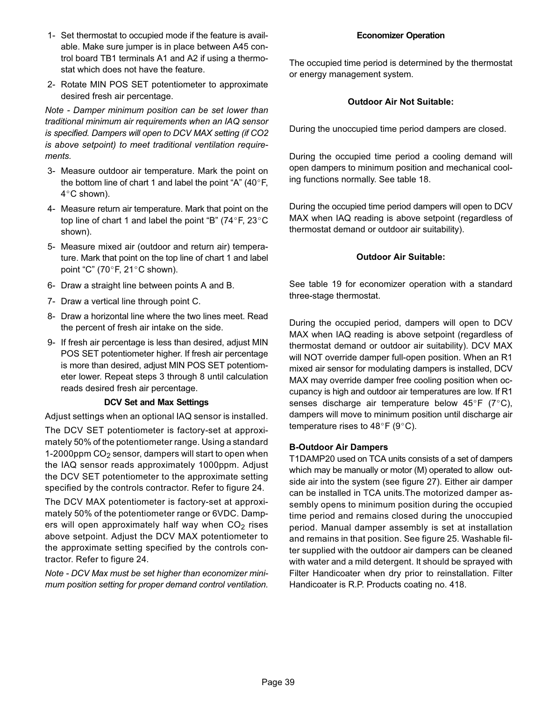- 1− Set thermostat to occupied mode if the feature is available. Make sure jumper is in place between A45 control board TB1 terminals A1 and A2 if using a thermostat which does not have the feature.
- 2− Rotate MIN POS SET potentiometer to approximate desired fresh air percentage.

Note − Damper minimum position can be set lower than traditional minimum air requirements when an IAQ sensor is specified. Dampers will open to DCV MAX setting (if CO2 is above setpoint) to meet traditional ventilation requirements.

- 3− Measure outdoor air temperature. Mark the point on the bottom line of chart 1 and label the point "A" (40 $\degree$ F, 4°C shown).
- 4− Measure return air temperature. Mark that point on the top line of chart 1 and label the point "B" (74°F, 23°C shown).
- 5− Measure mixed air (outdoor and return air) temperature. Mark that point on the top line of chart 1 and label point "C" (70°F, 21°C shown).
- 6− Draw a straight line between points A and B.
- 7− Draw a vertical line through point C.
- 8− Draw a horizontal line where the two lines meet. Read the percent of fresh air intake on the side.
- 9− If fresh air percentage is less than desired, adjust MIN POS SET potentiometer higher. If fresh air percentage is more than desired, adjust MIN POS SET potentiometer lower. Repeat steps 3 through 8 until calculation reads desired fresh air percentage.

#### DCV Set and Max Settings

Adjust settings when an optional IAQ sensor is installed.

The DCV SET potentiometer is factory−set at approximately 50% of the potentiometer range. Using a standard 1-2000ppm CO<sub>2</sub> sensor, dampers will start to open when the IAQ sensor reads approximately 1000ppm. Adjust the DCV SET potentiometer to the approximate setting specified by the controls contractor. Refer to figure [24](#page-37-0).

The DCV MAX potentiometer is factory−set at approximately 50% of the potentiometer range or 6VDC. Dampers will open approximately half way when  $CO<sub>2</sub>$  rises above setpoint. Adjust the DCV MAX potentiometer to the approximate setting specified by the controls contractor. Refer to figure [24](#page-37-0).

Note − DCV Max must be set higher than economizer minimum position setting for proper demand control ventilation.

#### Economizer Operation

The occupied time period is determined by the thermostat or energy management system.

#### Outdoor Air Not Suitable:

During the unoccupied time period dampers are closed.

During the occupied time period a cooling demand will open dampers to minimum position and mechanical cooling functions normally. See table [18](#page-40-0).

During the occupied time period dampers will open to DCV MAX when IAQ reading is above setpoint (regardless of thermostat demand or outdoor air suitability).

#### Outdoor Air Suitable:

See table [19](#page-40-0) for economizer operation with a standard three−stage thermostat.

During the occupied period, dampers will open to DCV MAX when IAQ reading is above setpoint (regardless of thermostat demand or outdoor air suitability). DCV MAX will NOT override damper full−open position. When an R1 mixed air sensor for modulating dampers is installed, DCV MAX may override damper free cooling position when occupancy is high and outdoor air temperatures are low. If R1 senses discharge air temperature below  $45^{\circ}F$  (7°C), dampers will move to minimum position until discharge air temperature rises to 48°F (9°C).

#### B−Outdoor Air Dampers

T1DAMP20 used on TCA units consists of a set of dampers which may be manually or motor (M) operated to allow outside air into the system (see figure [27\)](#page-39-0). Either air damper can be installed in TCA units.The motorized damper assembly opens to minimum position during the occupied time period and remains closed during the unoccupied period. Manual damper assembly is set at installation and remains in that position. See figure [25.](#page-39-0) Washable filter supplied with the outdoor air dampers can be cleaned with water and a mild detergent. It should be sprayed with Filter Handicoater when dry prior to reinstallation. Filter Handicoater is R.P. Products coating no. 418.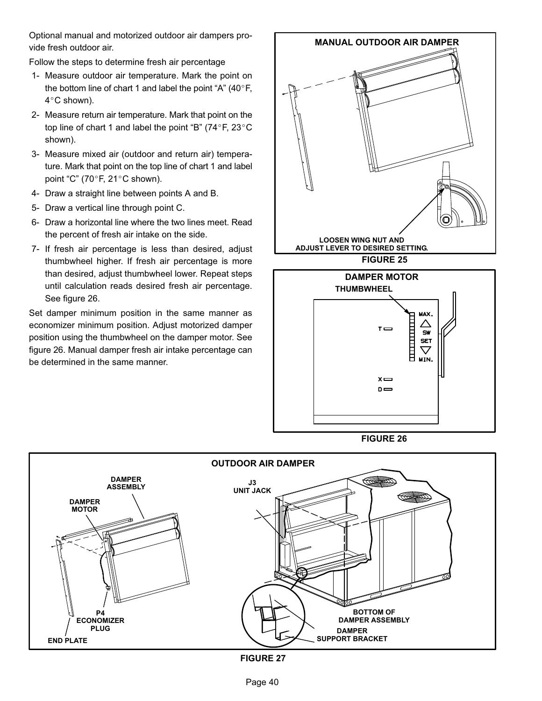<span id="page-39-0"></span>Optional manual and motorized outdoor air dampers provide fresh outdoor air.

Follow the steps to determine fresh air percentage

- 1− Measure outdoor air temperature. Mark the point on the bottom line of chart 1 and label the point "A" (40 $^{\circ}$ F, 4°C shown).
- 2− Measure return air temperature. Mark that point on the top line of chart 1 and label the point "B" (74°F, 23°C shown).
- 3− Measure mixed air (outdoor and return air) temperature. Mark that point on the top line of chart 1 and label point "C" (70 $\degree$ F, 21 $\degree$ C shown).
- 4− Draw a straight line between points A and B.
- 5− Draw a vertical line through point C.
- 6− Draw a horizontal line where the two lines meet. Read the percent of fresh air intake on the side.
- 7− If fresh air percentage is less than desired, adjust thumbwheel higher. If fresh air percentage is more than desired, adjust thumbwheel lower. Repeat steps until calculation reads desired fresh air percentage. See figure 26.

Set damper minimum position in the same manner as economizer minimum position. Adjust motorized damper position using the thumbwheel on the damper motor. See figure 26. Manual damper fresh air intake percentage can be determined in the same manner.



FIGURE 26



FIGURE 27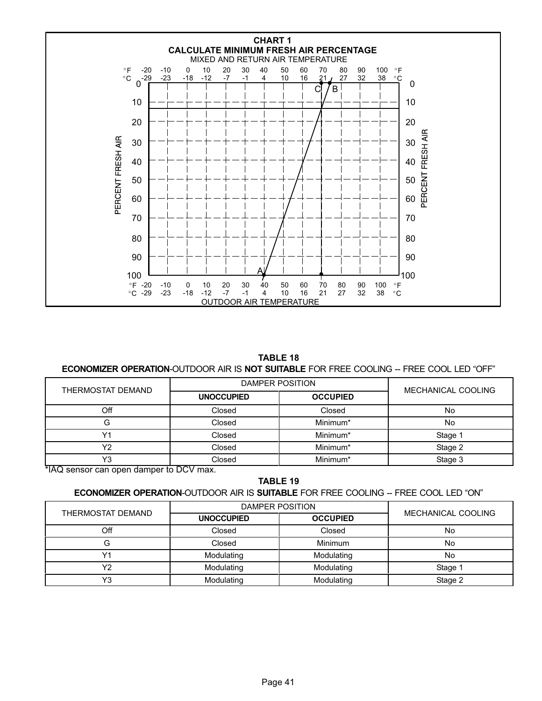<span id="page-40-0"></span>

TABLE 18

#### ECONOMIZER OPERATION-OUTDOOR AIR IS NOT SUITABLE FOR FREE COOLING -- FREE COOL LED "OFF"

| THERMOSTAT DEMAND                       | DAMPER POSITION   |                 |                    |
|-----------------------------------------|-------------------|-----------------|--------------------|
|                                         | <b>UNOCCUPIED</b> | <b>OCCUPIED</b> | MECHANICAL COOLING |
| Off                                     | Closed            | Closed          | No                 |
|                                         | Closed            | Minimum*        | No                 |
| $\sqrt{4}$                              | Closed            | Minimum*        | Stage 1            |
| v2                                      | Closed            | Minimum*        | Stage 2            |
| Y3                                      | Closed            | Minimum*        | Stage 3            |
| *IAQ sensor can open damper to DCV max. |                   |                 |                    |

TABLE 19

#### **ECONOMIZER OPERATION-OUTDOOR AIR IS SUITABLE FOR FREE COOLING -- FREE COOL LED "ON"**

|  | THERMOSTAT DEMAND | DAMPER POSITION   |                 |                    |
|--|-------------------|-------------------|-----------------|--------------------|
|  |                   | <b>UNOCCUPIED</b> | <b>OCCUPIED</b> | MECHANICAL COOLING |
|  | Off               | Closed            | Closed          | No.                |
|  |                   | Closed            | Minimum         | No.                |
|  |                   | Modulating        | Modulating      | No.                |
|  | vo                | Modulating        | Modulating      | Stage 1            |
|  | $\sqrt{2}$        | Modulating        | Modulating      | Stage 2            |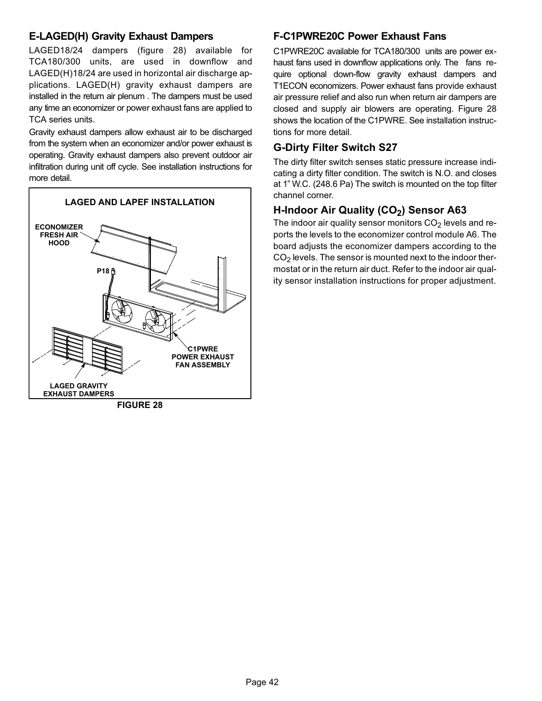## E−LAGED(H) Gravity Exhaust Dampers

LAGED18/24 dampers (figure 28) available for TCA180/300 units, are used in downflow and LAGED(H)18/24 are used in horizontal air discharge applications. LAGED(H) gravity exhaust dampers are installed in the return air plenum . The dampers must be used any time an economizer or power exhaust fans are applied to TCA series units.

Gravity exhaust dampers allow exhaust air to be discharged from the system when an economizer and/or power exhaust is operating. Gravity exhaust dampers also prevent outdoor air infiltration during unit off cycle. See installation instructions for more detail.



FIGURE 28

## F−C1PWRE20C Power Exhaust Fans

C1PWRE20C available for TCA180/300 units are power exhaust fans used in downflow applications only. The fans require optional down-flow gravity exhaust dampers and T1ECON economizers. Power exhaust fans provide exhaust air pressure relief and also run when return air dampers are closed and supply air blowers are operating. Figure 28 shows the location of the C1PWRE. See installation instructions for more detail.

## G−Dirty Filter Switch S27

The dirty filter switch senses static pressure increase indicating a dirty filter condition. The switch is N.O. and closes at 1" W.C. (248.6 Pa) The switch is mounted on the top filter channel corner.

# H-Indoor Air Quality (CO<sub>2</sub>) Sensor A63

The indoor air quality sensor monitors  $CO<sub>2</sub>$  levels and reports the levels to the economizer control module A6. The board adjusts the economizer dampers according to the  $CO<sub>2</sub>$  levels. The sensor is mounted next to the indoor thermostat or in the return air duct. Refer to the indoor air quality sensor installation instructions for proper adjustment.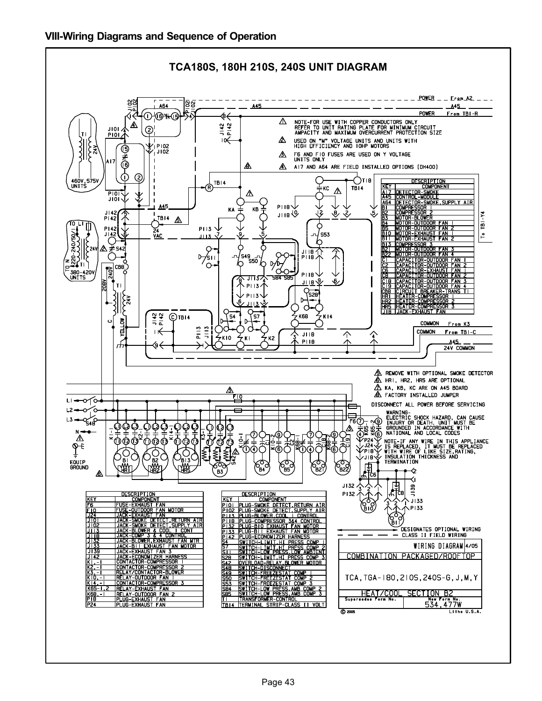<span id="page-42-0"></span>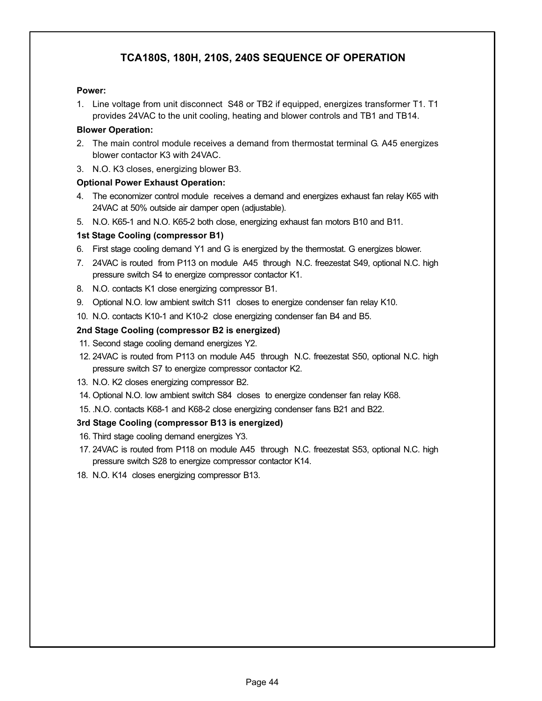# TCA180S, 180H, 210S, 240S SEQUENCE OF OPERATION

#### Power:

1. Line voltage from unit disconnect S48 or TB2 if equipped, energizes transformer T1. T1 provides 24VAC to the unit cooling, heating and blower controls and TB1 and TB14.

#### Blower Operation:

- 2. The main control module receives a demand from thermostat terminal G. A45 energizes blower contactor K3 with 24VAC.
- 3. N.O. K3 closes, energizing blower B3.

#### Optional Power Exhaust Operation:

- 4. The economizer control module receives a demand and energizes exhaust fan relay K65 with 24VAC at 50% outside air damper open (adjustable).
- 5. N.O. K65−1 and N.O. K65−2 both close, energizing exhaust fan motors B10 and B11.

### 1st Stage Cooling (compressor B1)

- 6. First stage cooling demand Y1 and G is energized by the thermostat. G energizes blower.
- 7. 24VAC is routed from P113 on module A45 through N.C. freezestat S49, optional N.C. high pressure switch S4 to energize compressor contactor K1.
- 8. N.O. contacts K1 close energizing compressor B1.
- 9. Optional N.O. low ambient switch S11 closes to energize condenser fan relay K10.
- 10. N.O. contacts K10−1 and K10−2 close energizing condenser fan B4 and B5.

#### 2nd Stage Cooling (compressor B2 is energized)

- 11. Second stage cooling demand energizes Y2.
- 12. 24VAC is routed from P113 on module A45 through N.C. freezestat S50, optional N.C. high pressure switch S7 to energize compressor contactor K2.
- 13. N.O. K2 closes energizing compressor B2.
- 14. Optional N.O. low ambient switch S84 closes to energize condenser fan relay K68.
- 15. .N.O. contacts K68−1 and K68−2 close energizing condenser fans B21 and B22.

#### 3rd Stage Cooling (compressor B13 is energized)

- 16. Third stage cooling demand energizes Y3.
- 17. 24VAC is routed from P118 on module A45 through N.C. freezestat S53, optional N.C. high pressure switch S28 to energize compressor contactor K14.
- 18. N.O. K14 closes energizing compressor B13.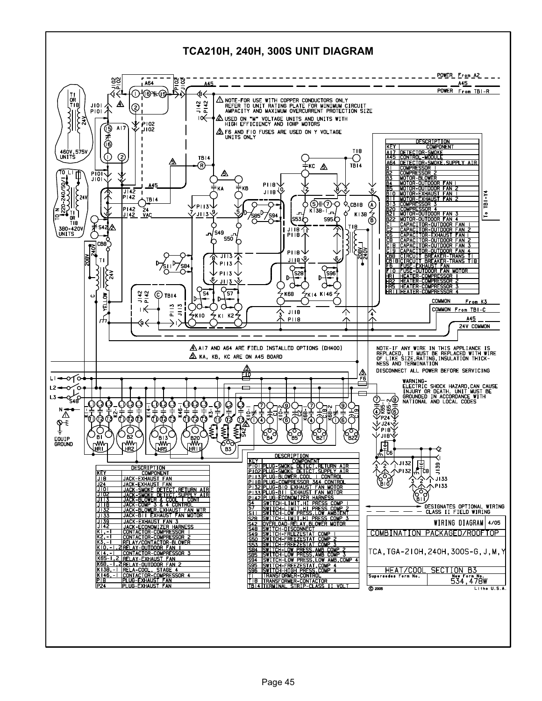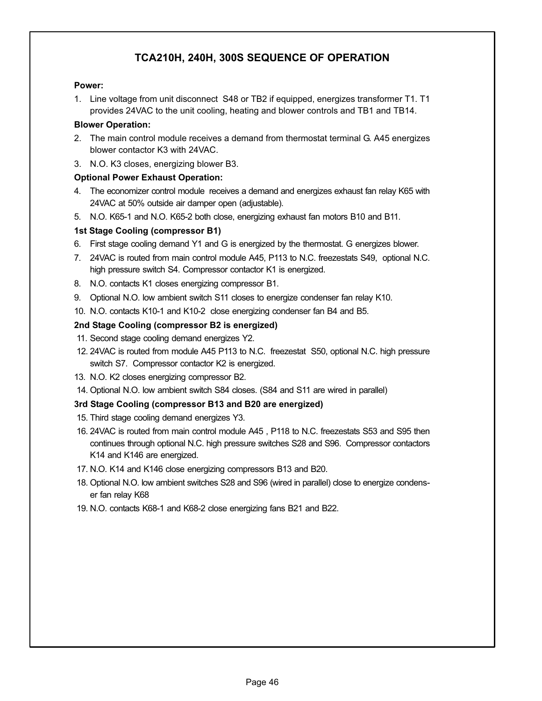# TCA210H, 240H, 300S SEQUENCE OF OPERATION

#### Power:

1. Line voltage from unit disconnect S48 or TB2 if equipped, energizes transformer T1. T1 provides 24VAC to the unit cooling, heating and blower controls and TB1 and TB14.

### Blower Operation:

- 2. The main control module receives a demand from thermostat terminal G. A45 energizes blower contactor K3 with 24VAC.
- 3. N.O. K3 closes, energizing blower B3.

#### Optional Power Exhaust Operation:

- 4. The economizer control module receives a demand and energizes exhaust fan relay K65 with 24VAC at 50% outside air damper open (adjustable).
- 5. N.O. K65−1 and N.O. K65−2 both close, energizing exhaust fan motors B10 and B11.

### 1st Stage Cooling (compressor B1)

- 6. First stage cooling demand Y1 and G is energized by the thermostat. G energizes blower.
- 7. 24VAC is routed from main control module A45, P113 to N.C. freezestats S49, optional N.C. high pressure switch S4. Compressor contactor K1 is energized.
- 8. N.O. contacts K1 closes energizing compressor B1.
- 9. Optional N.O. low ambient switch S11 closes to energize condenser fan relay K10.
- 10. N.O. contacts K10−1 and K10−2 close energizing condenser fan B4 and B5.

### 2nd Stage Cooling (compressor B2 is energized)

- 11. Second stage cooling demand energizes Y2.
- 12. 24VAC is routed from module A45 P113 to N.C. freezestat S50, optional N.C. high pressure switch S7. Compressor contactor K2 is energized.
- 13. N.O. K2 closes energizing compressor B2.
- 14. Optional N.O. low ambient switch S84 closes. (S84 and S11 are wired in parallel)

### 3rd Stage Cooling (compressor B13 and B20 are energized)

- 15. Third stage cooling demand energizes Y3.
- 16. 24VAC is routed from main control module A45 , P118 to N.C. freezestats S53 and S95 then continues through optional N.C. high pressure switches S28 and S96. Compressor contactors K14 and K146 are energized.
- 17. N.O. K14 and K146 close energizing compressors B13 and B20.
- 18. Optional N.O. low ambient switches S28 and S96 (wired in parallel) close to energize condenser fan relay K68
- 19. N.O. contacts K68−1 and K68−2 close energizing fans B21 and B22.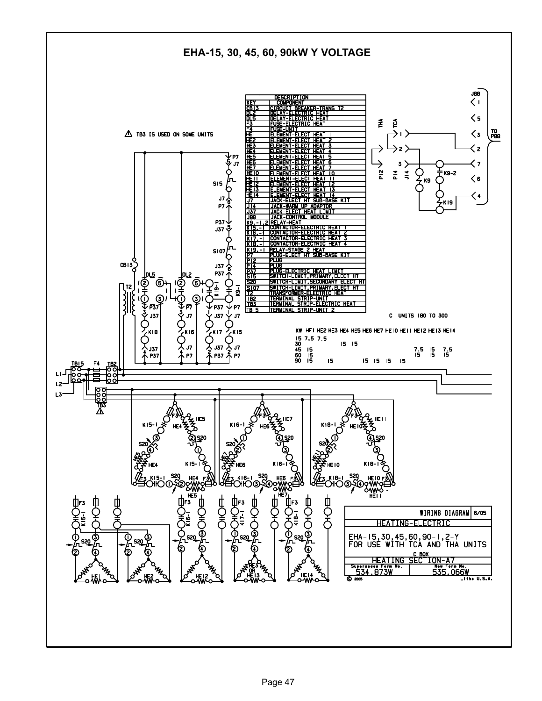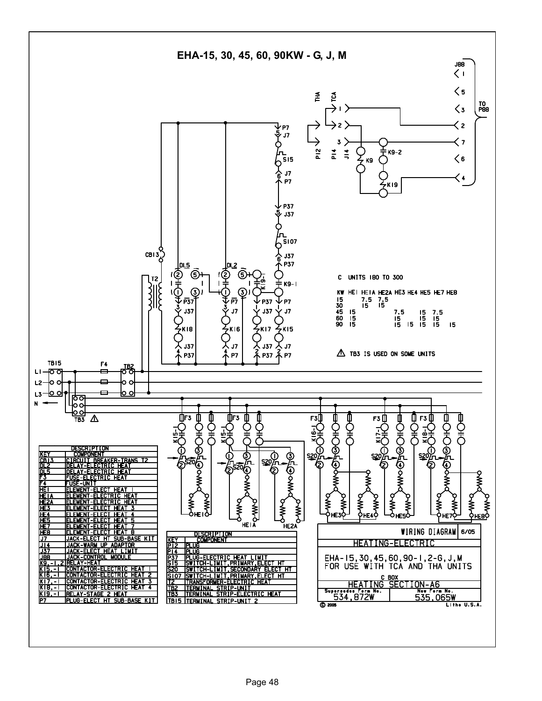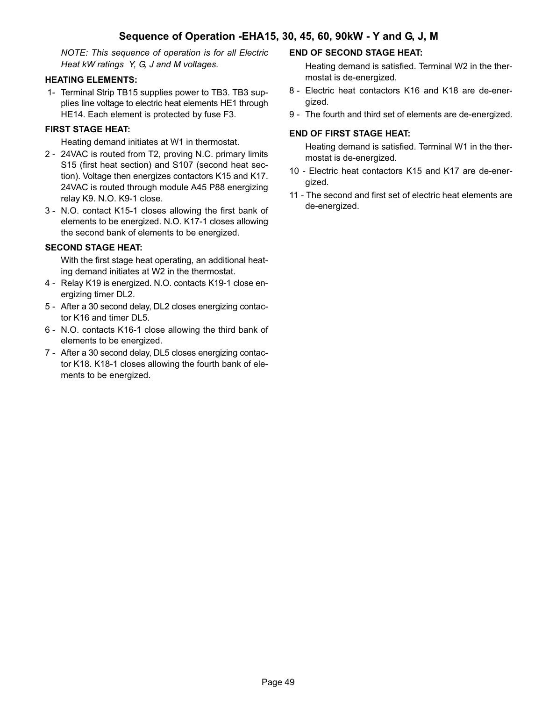NOTE: This sequence of operation is for all Electric Heat kW ratings Y, G, J and M voltages.

### HEATING ELEMENTS:

 1− Terminal Strip TB15 supplies power to TB3. TB3 supplies line voltage to electric heat elements HE1 through HE14. Each element is protected by fuse F3.

### FIRST STAGE HEAT:

Heating demand initiates at W1 in thermostat.

- 2 24VAC is routed from T2, proving N.C. primary limits S15 (first heat section) and S107 (second heat section). Voltage then energizes contactors K15 and K17. 24VAC is routed through module A45 P88 energizing relay K9. N.O. K9−1 close.
- 3 − N.O. contact K15−1 closes allowing the first bank of elements to be energized. N.O. K17−1 closes allowing the second bank of elements to be energized.

### SECOND STAGE HEAT:

 With the first stage heat operating, an additional heating demand initiates at W2 in the thermostat.

- 4 − Relay K19 is energized. N.O. contacts K19−1 close energizing timer DL2.
- 5 − After a 30 second delay, DL2 closes energizing contactor K16 and timer DL5.
- 6 − N.O. contacts K16−1 close allowing the third bank of elements to be energized.
- 7 − After a 30 second delay, DL5 closes energizing contactor K18. K18−1 closes allowing the fourth bank of elements to be energized.

### END OF SECOND STAGE HEAT:

 Heating demand is satisfied. Terminal W2 in the thermostat is de−energized.

- 8 − Electric heat contactors K16 and K18 are de−energized.
- 9 The fourth and third set of elements are de-energized.

#### END OF FIRST STAGE HEAT:

 Heating demand is satisfied. Terminal W1 in the thermostat is de−energized.

- 10 − Electric heat contactors K15 and K17 are de−energized.
- 11 The second and first set of electric heat elements are de−energized.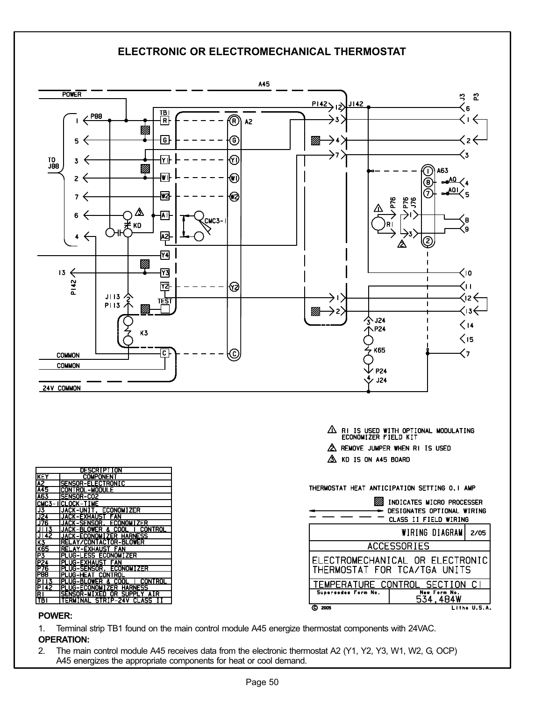## ELECTRONIC OR ELECTROMECHANICAL THERMOSTAT



#### POWER:

1. Terminal strip TB1 found on the main control module A45 energize thermostat components with 24VAC.

OPERATION:

2. The main control module A45 receives data from the electronic thermostat A2 (Y1, Y2, Y3, W1, W2, G, OCP) A45 energizes the appropriate components for heat or cool demand.